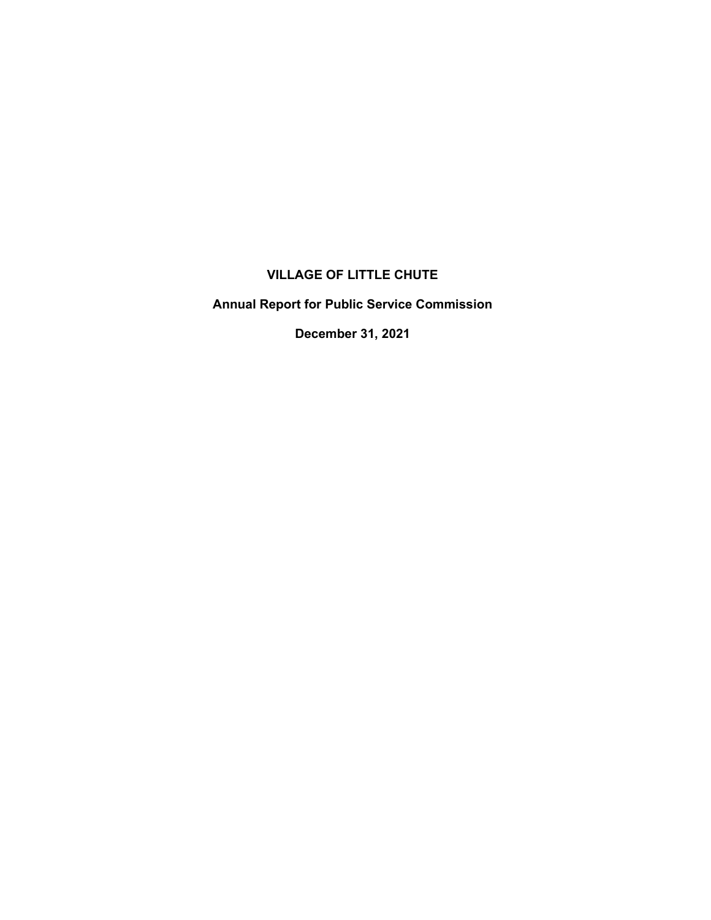# **VILLAGE OF LITTLE CHUTE**

**Annual Report for Public Service Commission**

**December 31, 2021**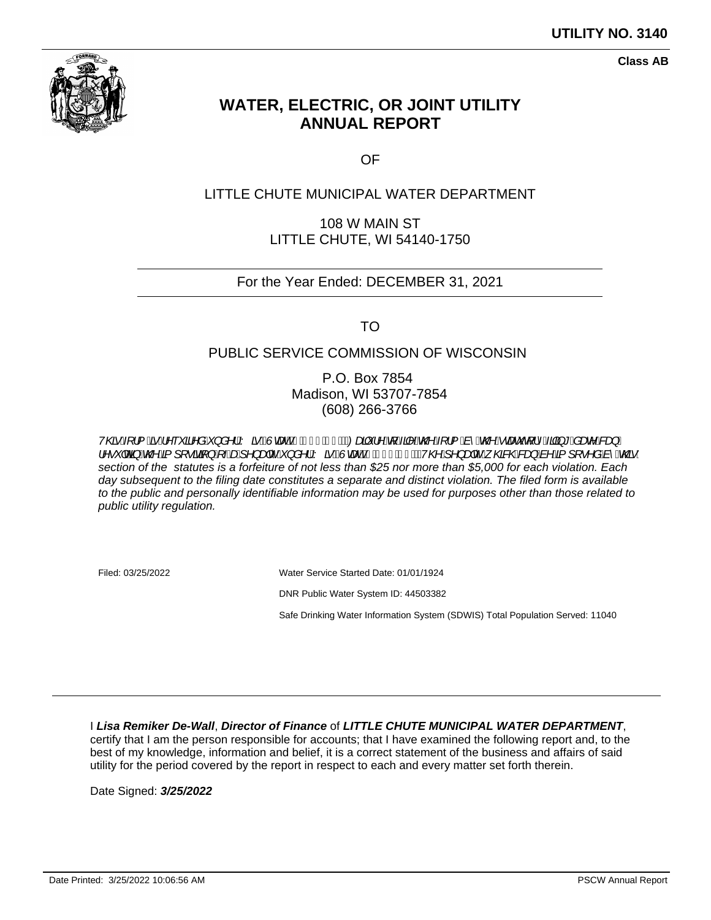

**Class AB**

# **WATER, ELECTRIC, OR JOINT UTILITY ANNUAL REPORT**

OF

## LITTLE CHUTE MUNICIPAL WATER DEPARTMENT

108 W MAIN ST LITTLE CHUTE, WI 54140-1750

### For the Year Ended: DECEMBER 31, 2021

TO

#### PUBLIC SERVICE COMMISSION OF WISCONSIN

P.O. Box 7854 Madison, WI 53707-7854 (608) 266-3766

V@Al¦&A^~\*a^åA}å^¦AY&**B**WaadahAJÎETDWaaj\*¦^AjAjA@Aj¦&^&@Aaae`q¦^Ajg\*&ae^&a}A ¦^•~|og\$*A*@A{J[•ã@}A{*-Aad*j^}adc´A´}å^¦AYānÈQuandŽhAFJÎHČIÈAV@Aj^}adc^A{@&@kag}Aà^A{J[•^åAà^A{@}} section of the statutes is a forfeiture of not less than \$25 nor more than \$5,000 for each violation. Each day subsequent to the filing date constitutes a separate and distinct violation. The filed form is available to the public and personally identifiable information may be used for purposes other than those related to public utility regulation.

Filed: 03/25/2022 Water Service Started Date: 01/01/1924 DNR Public Water System ID: 44503382 Safe Drinking Water Information System (SDWIS) Total Population Served: 11040

I **Lisa Remiker De-Wall**, **Director of Finance** of **LITTLE CHUTE MUNICIPAL WATER DEPARTMENT**, certify that I am the person responsible for accounts; that I have examined the following report and, to the best of my knowledge, information and belief, it is a correct statement of the business and affairs of said utility for the period covered by the report in respect to each and every matter set forth therein.

Date Signed: **3/25/2022**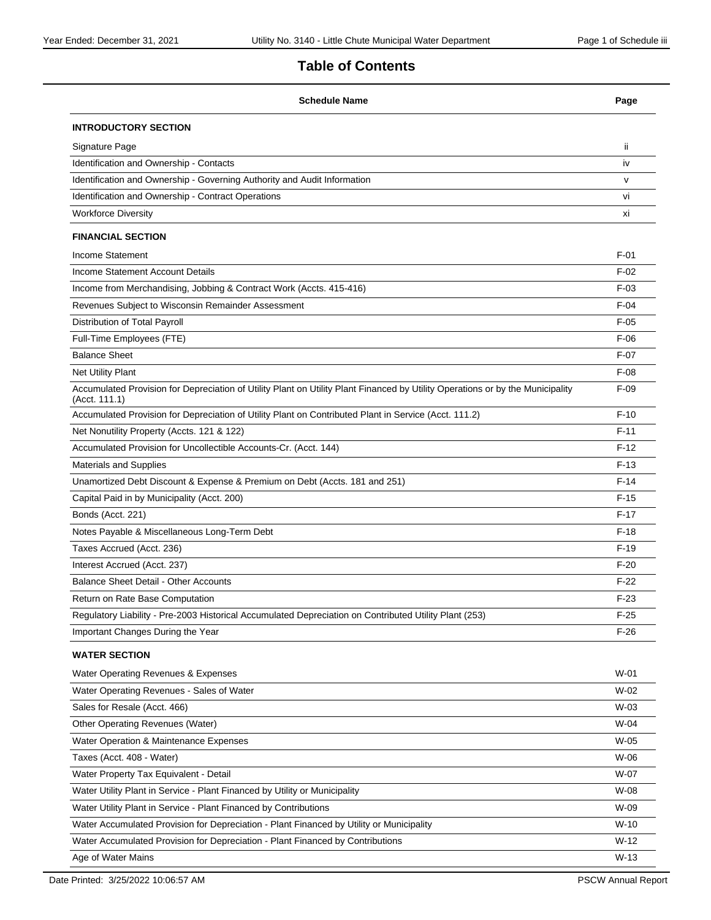# **Table of Contents**

| <b>Schedule Name</b>                                                                                                                            | Page   |
|-------------------------------------------------------------------------------------------------------------------------------------------------|--------|
| <b>INTRODUCTORY SECTION</b>                                                                                                                     |        |
| Signature Page                                                                                                                                  | ïi     |
| Identification and Ownership - Contacts                                                                                                         | iv     |
| Identification and Ownership - Governing Authority and Audit Information                                                                        | v      |
| Identification and Ownership - Contract Operations                                                                                              | vi     |
| <b>Workforce Diversity</b>                                                                                                                      | хi     |
| <b>FINANCIAL SECTION</b>                                                                                                                        |        |
| Income Statement                                                                                                                                | $F-01$ |
| Income Statement Account Details                                                                                                                | $F-02$ |
| Income from Merchandising, Jobbing & Contract Work (Accts. 415-416)                                                                             | $F-03$ |
| Revenues Subject to Wisconsin Remainder Assessment                                                                                              | $F-04$ |
| Distribution of Total Payroll                                                                                                                   | $F-05$ |
| Full-Time Employees (FTE)                                                                                                                       | $F-06$ |
| <b>Balance Sheet</b>                                                                                                                            | $F-07$ |
| Net Utility Plant                                                                                                                               | $F-08$ |
| Accumulated Provision for Depreciation of Utility Plant on Utility Plant Financed by Utility Operations or by the Municipality<br>(Acct. 111.1) | $F-09$ |
| Accumulated Provision for Depreciation of Utility Plant on Contributed Plant in Service (Acct. 111.2)                                           | $F-10$ |
| Net Nonutility Property (Accts. 121 & 122)                                                                                                      | $F-11$ |
| Accumulated Provision for Uncollectible Accounts-Cr. (Acct. 144)                                                                                | $F-12$ |
| <b>Materials and Supplies</b>                                                                                                                   | $F-13$ |
| Unamortized Debt Discount & Expense & Premium on Debt (Accts. 181 and 251)                                                                      | $F-14$ |
| Capital Paid in by Municipality (Acct. 200)                                                                                                     | $F-15$ |
| Bonds (Acct. 221)                                                                                                                               | $F-17$ |
| Notes Payable & Miscellaneous Long-Term Debt                                                                                                    | $F-18$ |
| Taxes Accrued (Acct. 236)                                                                                                                       | $F-19$ |
| Interest Accrued (Acct. 237)                                                                                                                    | $F-20$ |
| <b>Balance Sheet Detail - Other Accounts</b>                                                                                                    | $F-22$ |
| Return on Rate Base Computation                                                                                                                 | $F-23$ |
| Regulatory Liability - Pre-2003 Historical Accumulated Depreciation on Contributed Utility Plant (253)                                          | $F-25$ |
| Important Changes During the Year                                                                                                               | $F-26$ |
| <b>WATER SECTION</b>                                                                                                                            |        |
| Water Operating Revenues & Expenses                                                                                                             | $W-01$ |
| Water Operating Revenues - Sales of Water                                                                                                       | $W-02$ |
| Sales for Resale (Acct. 466)                                                                                                                    | $W-03$ |
| Other Operating Revenues (Water)                                                                                                                | W-04   |
| Water Operation & Maintenance Expenses                                                                                                          | $W-05$ |
| Taxes (Acct. 408 - Water)                                                                                                                       | W-06   |
| Water Property Tax Equivalent - Detail                                                                                                          | W-07   |
| Water Utility Plant in Service - Plant Financed by Utility or Municipality                                                                      | W-08   |
| Water Utility Plant in Service - Plant Financed by Contributions                                                                                | W-09   |
| Water Accumulated Provision for Depreciation - Plant Financed by Utility or Municipality                                                        | $W-10$ |
| Water Accumulated Provision for Depreciation - Plant Financed by Contributions                                                                  | $W-12$ |
| Age of Water Mains                                                                                                                              | $W-13$ |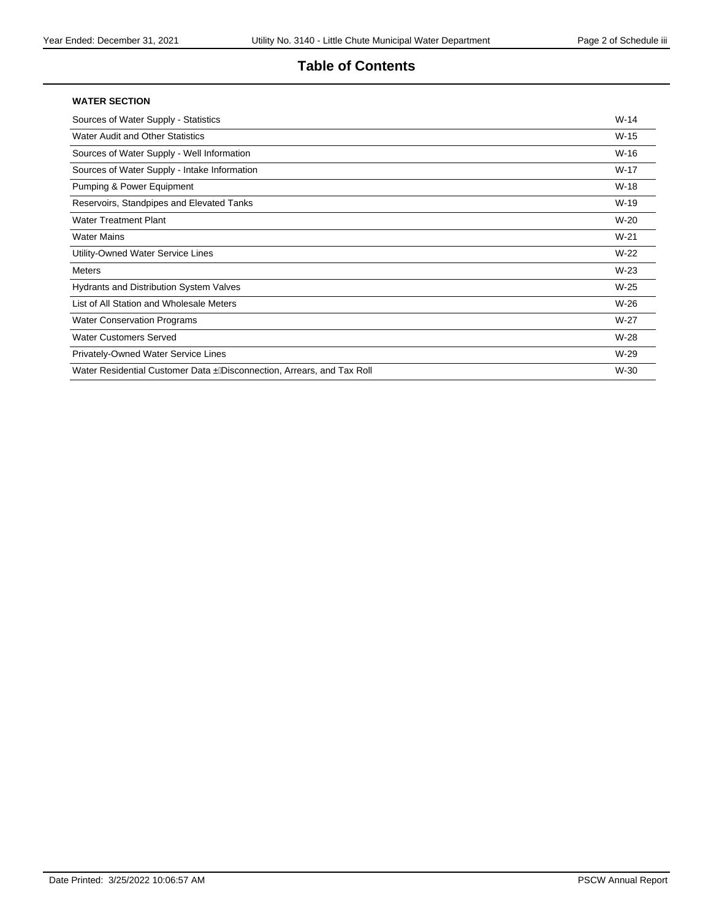### **Table of Contents**

#### **WATER SECTION**

| Sources of Water Supply - Statistics                                    | $W-14$ |
|-------------------------------------------------------------------------|--------|
| Water Audit and Other Statistics                                        | $W-15$ |
| Sources of Water Supply - Well Information                              | $W-16$ |
| Sources of Water Supply - Intake Information                            | $W-17$ |
| Pumping & Power Equipment                                               | $W-18$ |
| Reservoirs, Standpipes and Elevated Tanks                               | W-19   |
| <b>Water Treatment Plant</b>                                            | $W-20$ |
| <b>Water Mains</b>                                                      | $W-21$ |
| Utility-Owned Water Service Lines                                       | $W-22$ |
| <b>Meters</b>                                                           | $W-23$ |
| <b>Hydrants and Distribution System Valves</b>                          | $W-25$ |
| List of All Station and Wholesale Meters                                | $W-26$ |
| <b>Water Conservation Programs</b>                                      | $W-27$ |
| <b>Water Customers Served</b>                                           | W-28   |
| Privately-Owned Water Service Lines                                     | $W-29$ |
| Water Residential Customer Data . A isconnection, Arrears, and Tax Roll | W-30   |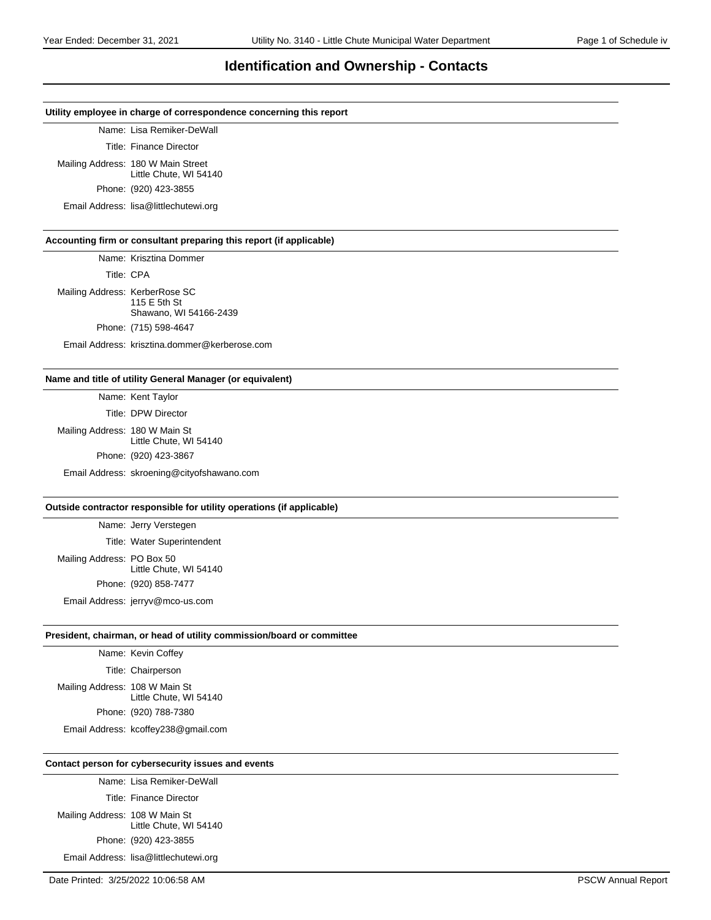#### **Identification and Ownership - Contacts**

#### **Utility employee in charge of correspondence concerning this report**

Name: Lisa Remiker-DeWall

Title: Finance Director

Mailing Address: 180 W Main Street Little Chute, WI 54140

Phone: (920) 423-3855

Email Address: lisa@littlechutewi.org

#### **Accounting firm or consultant preparing this report (if applicable)**

Name: Krisztina Dommer

Title: CPA

Mailing Address: KerberRose SC 115 E 5th St Shawano, WI 54166-2439 Phone: (715) 598-4647

Email Address: krisztina.dommer@kerberose.com

#### **Name and title of utility General Manager (or equivalent)**

Name: Kent Taylor

Title: DPW Director Mailing Address: 180 W Main St Little Chute, WI 54140 Phone: (920) 423-3867 Email Address: skroening@cityofshawano.com

#### **Outside contractor responsible for utility operations (if applicable)**

Name: Jerry Verstegen Title: Water Superintendent Mailing Address: PO Box 50 Little Chute, WI 54140 Phone: (920) 858-7477

Email Address: jerryv@mco-us.com

#### **President, chairman, or head of utility commission/board or committee**

Name: Kevin Coffey Title: Chairperson Mailing Address: 108 W Main St Little Chute, WI 54140 Phone: (920) 788-7380

Email Address: kcoffey238@gmail.com

#### **Contact person for cybersecurity issues and events**

Name: Lisa Remiker-DeWall Title: Finance Director Mailing Address: 108 W Main St Little Chute, WI 54140 Phone: (920) 423-3855

Email Address: lisa@littlechutewi.org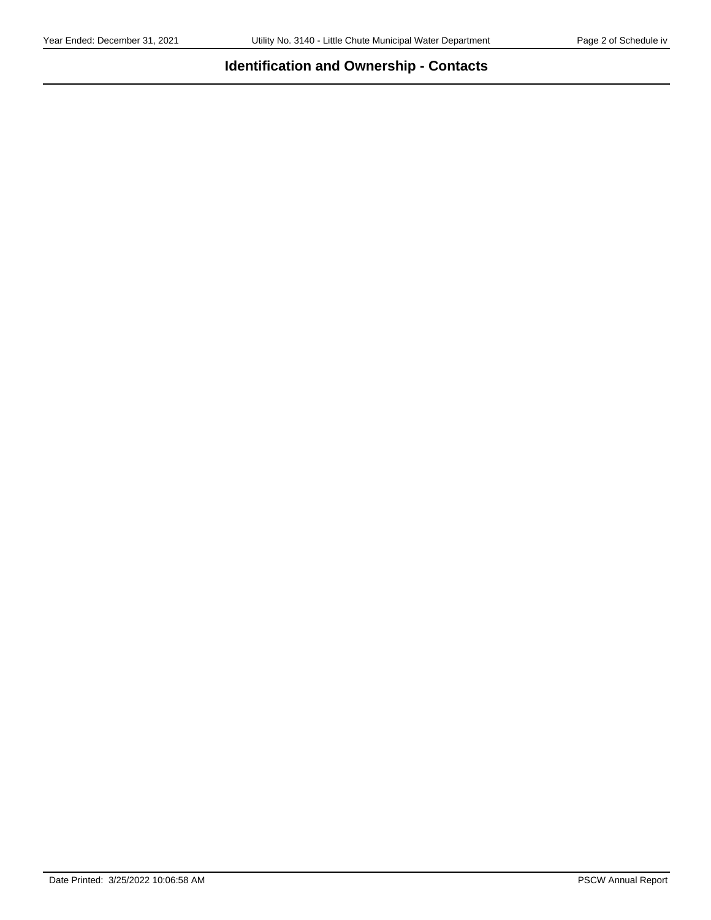# **Identification and Ownership - Contacts**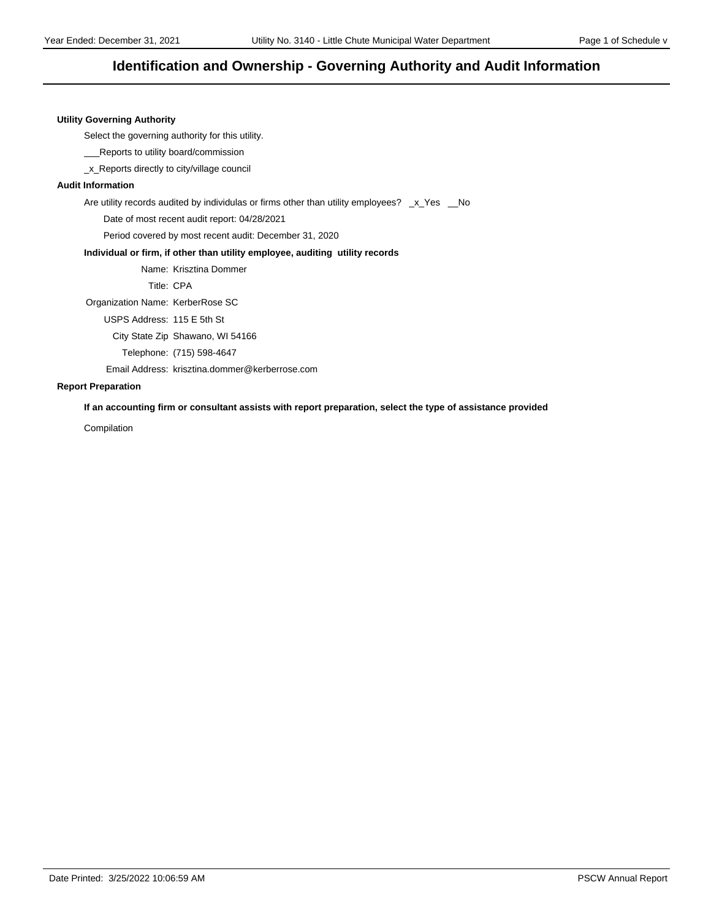### **Identification and Ownership - Governing Authority and Audit Information**

#### **Utility Governing Authority**

Select the governing authority for this utility.

\_\_\_Reports to utility board/commission

\_x\_Reports directly to city/village council

#### **Audit Information**

Are utility records audited by individulas or firms other than utility employees? \_x\_Yes \_No

Date of most recent audit report: 04/28/2021

Period covered by most recent audit: December 31, 2020

#### **Individual or firm, if other than utility employee, auditing utility records**

Name: Krisztina Dommer

Title: CPA

Organization Name: KerberRose SC

USPS Address: 115 E 5th St

City State Zip Shawano, WI 54166

Telephone: (715) 598-4647

Email Address: krisztina.dommer@kerberrose.com

#### **Report Preparation**

**If an accounting firm or consultant assists with report preparation, select the type of assistance provided**

Compilation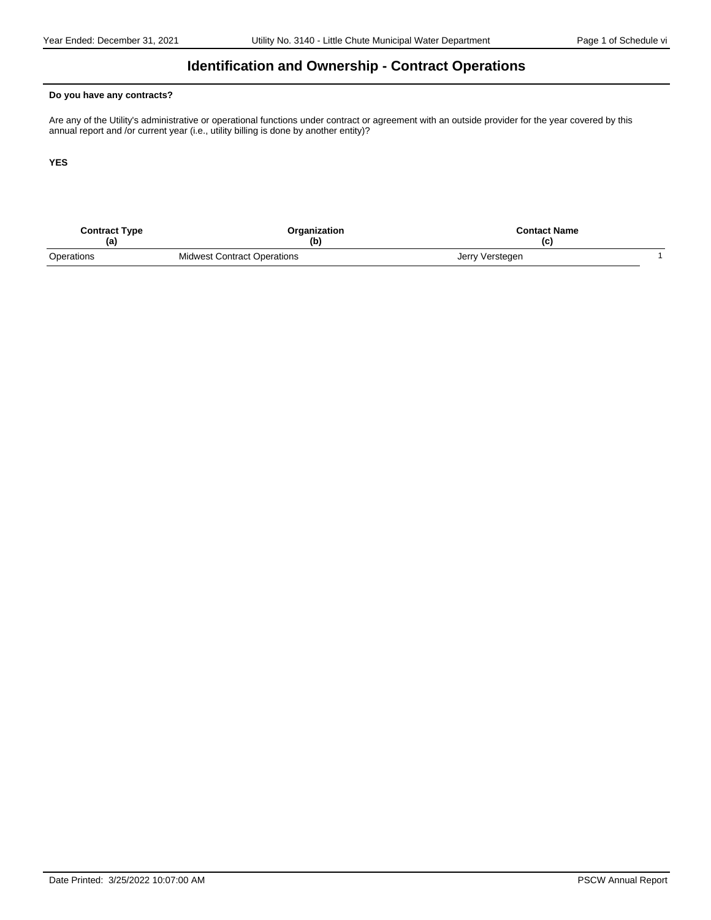### **Identification and Ownership - Contract Operations**

#### **Do you have any contracts?**

Are any of the Utility's administrative or operational functions under contract or agreement with an outside provider for the year covered by this annual report and /or current year (i.e., utility billing is done by another entity)?

**YES**

| <b>Contract Type</b> | Organization<br>(b)                | <b>Contact Name</b><br>(C |  |
|----------------------|------------------------------------|---------------------------|--|
| Operations           | <b>Midwest Contract Operations</b> | Jerry Verstegen           |  |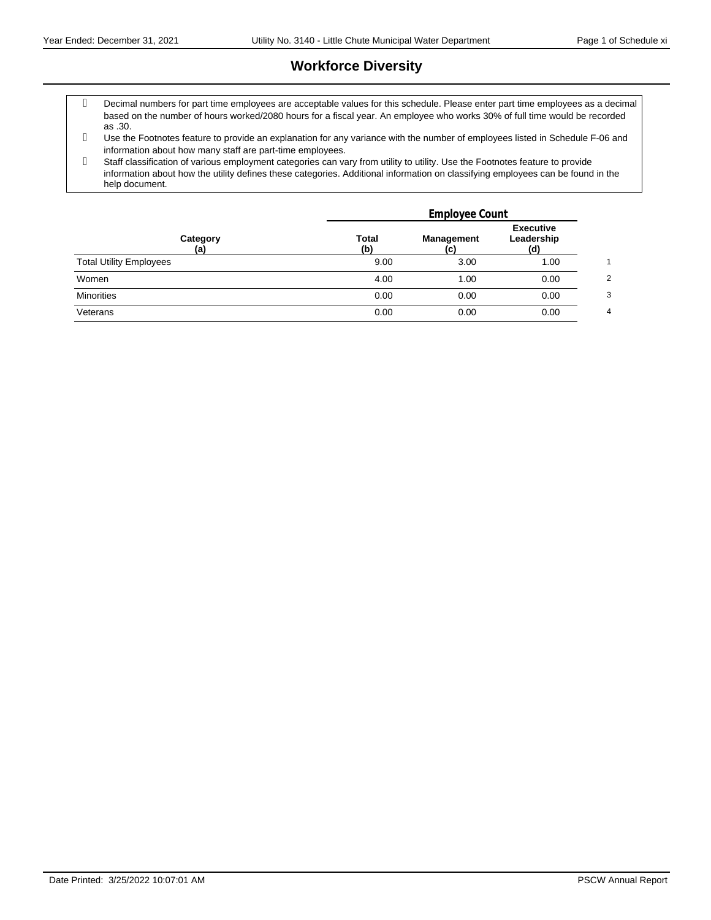# **Workforce Diversity**

- Decimal numbers for part time employees are acceptable values for this schedule. Please enter part time employees as a decimal based on the number of hours worked/2080 hours for a fiscal year. An employee who works 30% of full time would be recorded as .30.
- Use the Footnotes feature to provide an explanation for any variance with the number of employees listed in Schedule F-06 and information about how many staff are part-time employees.
- Staff classification of various employment categories can vary from utility to utility. Use the Footnotes feature to provide information about how the utility defines these categories. Additional information on classifying employees can be found in the help document.

|                                | Employee Count      |                          |                                       |   |
|--------------------------------|---------------------|--------------------------|---------------------------------------|---|
| Category<br>(a)                | <b>Total</b><br>(b) | <b>Management</b><br>(C) | <b>Executive</b><br>Leadership<br>(d) |   |
| <b>Total Utility Employees</b> | 9.00                | 3.00                     | 1.00                                  |   |
| Women                          | 4.00                | 1.00                     | 0.00                                  | ◠ |
| <b>Minorities</b>              | 0.00                | 0.00                     | 0.00                                  | 3 |
| Veterans                       | 0.00                | 0.00                     | 0.00                                  | 4 |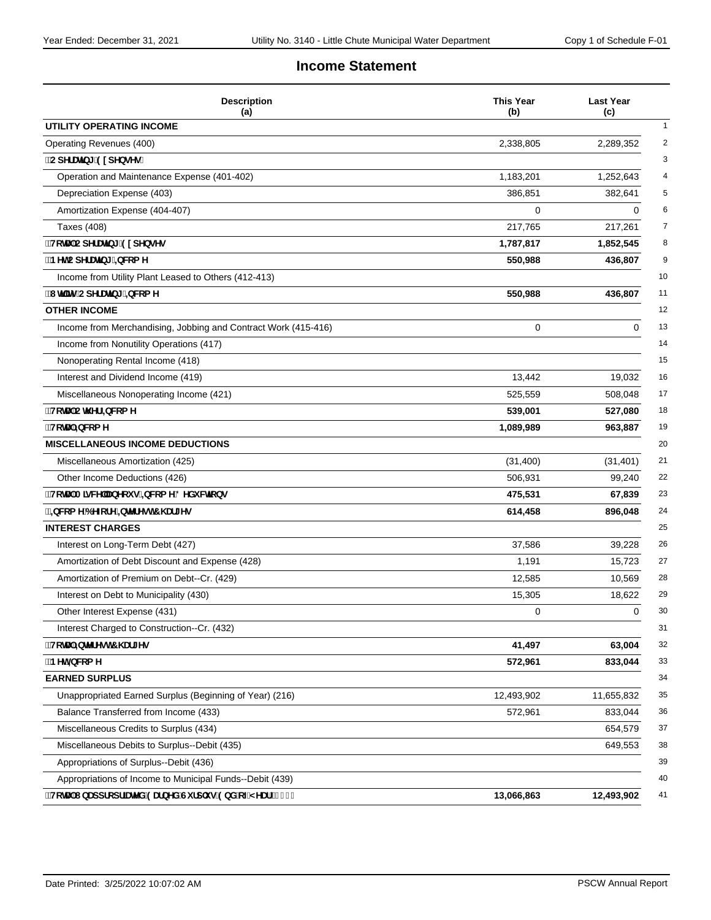### **Income Statement**

| <b>Description</b><br>(a)                                      | <b>This Year</b><br>(b) | <b>Last Year</b><br>(c) |
|----------------------------------------------------------------|-------------------------|-------------------------|
| UTILITY OPERATING INCOME                                       |                         |                         |
| Operating Revenues (400)                                       | 2,338,805               | 2,289,352               |
| ∵CdYfUr]b[ ˙91 dYbgYg.                                         |                         |                         |
| Operation and Maintenance Expense (401-402)                    | 1,183,201               | 1,252,643               |
| Depreciation Expense (403)                                     | 386,851                 | 382,641                 |
| Amortization Expense (404-407)                                 | 0                       | 0                       |
| Taxes (408)                                                    | 217,765                 | 217,261                 |
| "HcHJ'CdYfUHb[ 91 dYbgYg                                       | 1,787,817               | 1,852,545               |
| BYhCdYfUHb[ =bW:a Y                                            | 550,988                 | 436,807                 |
| Income from Utility Plant Leased to Others (412-413)           |                         |                         |
| ''I h]]miCdYfUh]b[ '±bW:a Y                                    | 550,988                 | 436,807                 |
| <b>OTHER INCOME</b>                                            |                         |                         |
| Income from Merchandising, Jobbing and Contract Work (415-416) | 0                       | 0                       |
| Income from Nonutility Operations (417)                        |                         |                         |
| Nonoperating Rental Income (418)                               |                         |                         |
| Interest and Dividend Income (419)                             | 13,442                  | 19,032                  |
| Miscellaneous Nonoperating Income (421)                        | 525,559                 | 508,048                 |
| <b>HcHJ CH Yf ±bWca Y</b>                                      | 539,001                 | 527,080                 |
| <b>HchU</b> `±bWcaY                                            | 1,089,989               | 963,887                 |
| <b>MISCELLANEOUS INCOME DEDUCTIONS</b>                         |                         |                         |
| Miscellaneous Amortization (425)                               | (31, 400)               | (31, 401)               |
| Other Income Deductions (426)                                  | 506,931                 | 99,240                  |
| ∵HchUʻA]gWY`UbYcigʻ=bWcaY8YXiWh]cbg                            | 475,531                 | 67,839                  |
| `±bWcaY6YZcfY`±bhYfYgh7\Uf[Yg                                  | 614,458                 | 896,048                 |
| <b>INTEREST CHARGES</b>                                        |                         |                         |
| Interest on Long-Term Debt (427)                               | 37,586                  | 39,228                  |
| Amortization of Debt Discount and Expense (428)                | 1,191                   | 15,723                  |
| Amortization of Premium on Debt--Cr. (429)                     | 12,585                  | 10,569                  |
| Interest on Debt to Municipality (430)                         | 15,305                  | 18,622                  |
| Other Interest Expense (431)                                   | 0                       | 0                       |
| Interest Charged to Construction--Cr. (432)                    |                         |                         |
| "HcHJ"=bhYfYgh7\Uf[Yg                                          | 41,497                  | 63,004                  |
| `BYh±bW:a Y                                                    | 572,961                 | 833,044                 |
| <b>EARNED SURPLUS</b>                                          |                         |                         |
| Unappropriated Earned Surplus (Beginning of Year) (216)        | 12,493,902              | 11,655,832              |
| Balance Transferred from Income (433)                          | 572,961                 | 833,044                 |
| Miscellaneous Credits to Surplus (434)                         |                         | 654,579                 |
| Miscellaneous Debits to Surplus--Debit (435)                   |                         | 649,553                 |
| Appropriations of Surplus--Debit (436)                         |                         |                         |
| Appropriations of Income to Municipal Funds--Debit (439)       |                         |                         |
| "HchU'lbUddfcdf]UhYX'9UfbYX'Gifd`ig'9bX'cZMYUf'f&%'Ł           | 13,066,863              | 12,493,902              |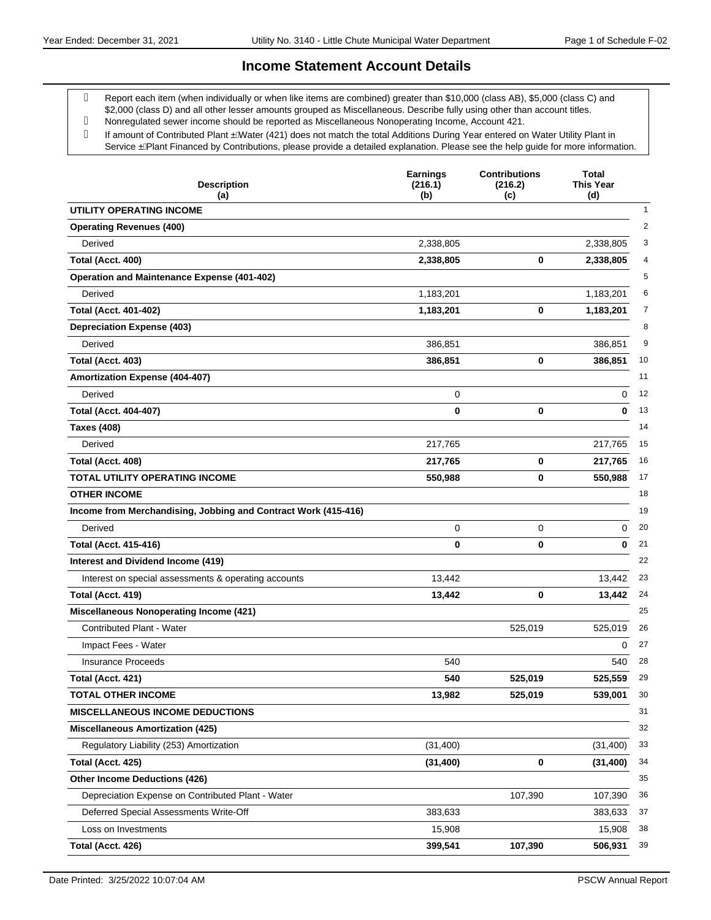#### **Income Statement Account Details**

 Report each item (when individually or when like items are combined) greater than \$10,000 (class AB), \$5,000 (class C) and \$2,000 (class D) and all other lesser amounts grouped as Miscellaneous. Describe fully using other than account titles.

- Nonregulated sewer income should be reported as Miscellaneous Nonoperating Income, Account 421.
- g If amount of Contributed Plant . AVater (421) does not match the total Additions During Year entered on Water Utility Plant in Service . A Plant Financed by Contributions, please provide a detailed explanation. Please see the help guide for more information.

| <b>Description</b><br>(a)                                      | <b>Earnings</b><br>(216.1)<br>(b) | <b>Contributions</b><br>(216.2)<br>(c) | Total<br><b>This Year</b><br>(d) |
|----------------------------------------------------------------|-----------------------------------|----------------------------------------|----------------------------------|
| UTILITY OPERATING INCOME                                       |                                   |                                        | $\mathbf{1}$                     |
| <b>Operating Revenues (400)</b>                                |                                   |                                        | $\overline{2}$                   |
| Derived                                                        | 2,338,805                         |                                        | 3<br>2,338,805                   |
| Total (Acct. 400)                                              | 2,338,805                         | 0                                      | 2,338,805<br>4                   |
| <b>Operation and Maintenance Expense (401-402)</b>             |                                   |                                        | 5                                |
| Derived                                                        | 1,183,201                         |                                        | 1,183,201<br>6                   |
| <b>Total (Acct. 401-402)</b>                                   | 1,183,201                         | 0                                      | 1,183,201<br>7                   |
| <b>Depreciation Expense (403)</b>                              |                                   |                                        | 8                                |
| Derived                                                        | 386,851                           |                                        | 9<br>386,851                     |
| Total (Acct. 403)                                              | 386,851                           | 0                                      | 10<br>386,851                    |
| Amortization Expense (404-407)                                 |                                   |                                        | 11                               |
| Derived                                                        | 0                                 |                                        | 12<br>0                          |
| <b>Total (Acct. 404-407)</b>                                   | 0                                 | 0                                      | 13<br>0                          |
| <b>Taxes (408)</b>                                             |                                   |                                        | 14                               |
| Derived                                                        | 217,765                           |                                        | 15<br>217,765                    |
| Total (Acct. 408)                                              | 217,765                           | 0                                      | 16<br>217,765                    |
| <b>TOTAL UTILITY OPERATING INCOME</b>                          | 550,988                           | 0                                      | 550,988<br>17                    |
| <b>OTHER INCOME</b>                                            |                                   |                                        | 18                               |
| Income from Merchandising, Jobbing and Contract Work (415-416) |                                   |                                        | 19                               |
| Derived                                                        | 0                                 | 0                                      | 20<br>0                          |
| <b>Total (Acct. 415-416)</b>                                   | 0                                 | 0                                      | 0<br>21                          |
| Interest and Dividend Income (419)                             |                                   |                                        | 22                               |
| Interest on special assessments & operating accounts           | 13,442                            |                                        | 23<br>13,442                     |
| Total (Acct. 419)                                              | 13,442                            | 0                                      | 13,442<br>24                     |
| <b>Miscellaneous Nonoperating Income (421)</b>                 |                                   |                                        | 25                               |
| <b>Contributed Plant - Water</b>                               |                                   | 525,019                                | 525,019<br>26                    |
| Impact Fees - Water                                            |                                   |                                        | 27<br>0                          |
| <b>Insurance Proceeds</b>                                      | 540                               |                                        | 28<br>540                        |
| Total (Acct. 421)                                              | 540                               | 525,019                                | 525,559<br>29                    |
| <b>TOTAL OTHER INCOME</b>                                      | 13,982                            | 525,019                                | 30<br>539,001                    |
| <b>MISCELLANEOUS INCOME DEDUCTIONS</b>                         |                                   |                                        | 31                               |
| <b>Miscellaneous Amortization (425)</b>                        |                                   |                                        | 32                               |
| Regulatory Liability (253) Amortization                        | (31, 400)                         |                                        | 33<br>(31, 400)                  |
| Total (Acct. 425)                                              | (31, 400)                         | 0                                      | 34<br>(31, 400)                  |
| <b>Other Income Deductions (426)</b>                           |                                   |                                        | 35                               |
| Depreciation Expense on Contributed Plant - Water              |                                   | 107,390                                | 36<br>107,390                    |
| Deferred Special Assessments Write-Off                         | 383,633                           |                                        | 37<br>383,633                    |
| Loss on Investments                                            | 15,908                            |                                        | 38<br>15,908                     |
| Total (Acct. 426)                                              | 399,541                           | 107,390                                | 39<br>506,931                    |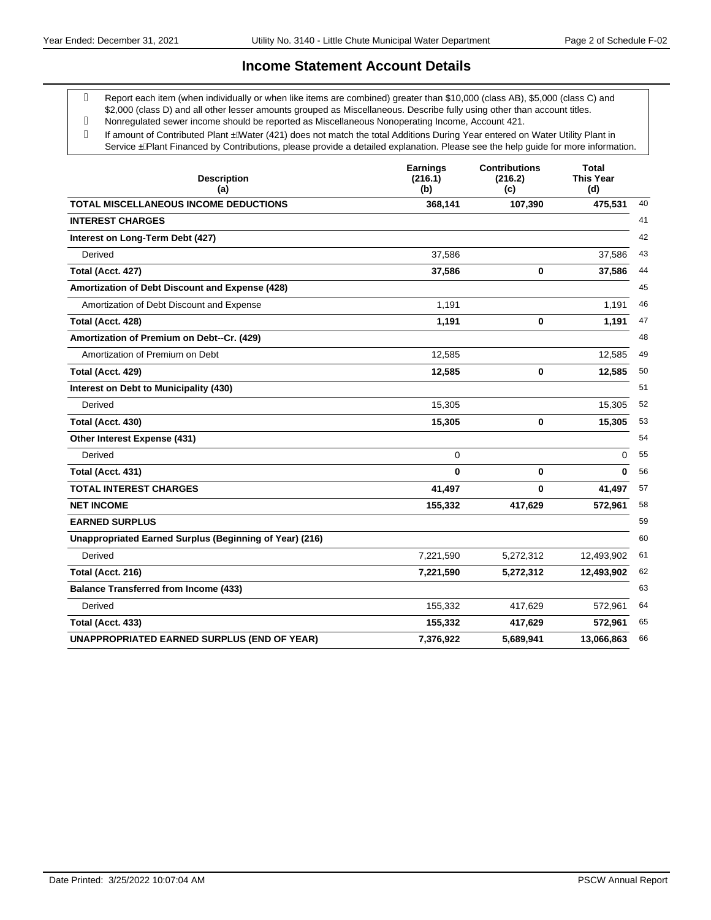#### **Income Statement Account Details**

 Report each item (when individually or when like items are combined) greater than \$10,000 (class AB), \$5,000 (class C) and \$2,000 (class D) and all other lesser amounts grouped as Miscellaneous. Describe fully using other than account titles.

- Nonregulated sewer income should be reported as Miscellaneous Nonoperating Income, Account 421.
- g If amount of Contributed Plant . AVater (421) does not match the total Additions During Year entered on Water Utility Plant in Service . A Plant Financed by Contributions, please provide a detailed explanation. Please see the help guide for more information.

| <b>Description</b><br>(a)                               | <b>Earnings</b><br>(216.1)<br>(b) | <b>Contributions</b><br>(216.2)<br>(c) | Total<br><b>This Year</b><br>(d) |
|---------------------------------------------------------|-----------------------------------|----------------------------------------|----------------------------------|
| <b>TOTAL MISCELLANEOUS INCOME DEDUCTIONS</b>            | 368,141                           | 107,390                                | 475,531                          |
| <b>INTEREST CHARGES</b>                                 |                                   |                                        |                                  |
| Interest on Long-Term Debt (427)                        |                                   |                                        |                                  |
| Derived                                                 | 37,586                            |                                        | 37,586                           |
| Total (Acct. 427)                                       | 37,586                            | 0                                      | 37,586                           |
| Amortization of Debt Discount and Expense (428)         |                                   |                                        |                                  |
| Amortization of Debt Discount and Expense               | 1,191                             |                                        | 1,191                            |
| Total (Acct. 428)                                       | 1,191                             | 0                                      | 1,191                            |
| Amortization of Premium on Debt--Cr. (429)              |                                   |                                        |                                  |
| Amortization of Premium on Debt                         | 12,585                            |                                        | 12,585                           |
| Total (Acct. 429)                                       | 12,585                            | $\bf{0}$                               | 12,585                           |
| Interest on Debt to Municipality (430)                  |                                   |                                        |                                  |
| Derived                                                 | 15,305                            |                                        | 15,305                           |
| Total (Acct. 430)                                       | 15,305                            | 0                                      | 15,305                           |
| Other Interest Expense (431)                            |                                   |                                        |                                  |
| Derived                                                 | 0                                 |                                        | 0                                |
| Total (Acct. 431)                                       | 0                                 | 0                                      | 0                                |
| <b>TOTAL INTEREST CHARGES</b>                           | 41,497                            | $\bf{0}$                               | 41,497                           |
| <b>NET INCOME</b>                                       | 155,332                           | 417,629                                | 572,961                          |
| <b>EARNED SURPLUS</b>                                   |                                   |                                        |                                  |
| Unappropriated Earned Surplus (Beginning of Year) (216) |                                   |                                        |                                  |
| Derived                                                 | 7,221,590                         | 5,272,312                              | 12,493,902                       |
| Total (Acct. 216)                                       | 7,221,590                         | 5,272,312                              | 12,493,902                       |
| <b>Balance Transferred from Income (433)</b>            |                                   |                                        |                                  |
| Derived                                                 | 155,332                           | 417,629                                | 572,961                          |
| Total (Acct. 433)                                       | 155,332                           | 417,629                                | 572,961                          |
| <b>UNAPPROPRIATED EARNED SURPLUS (END OF YEAR)</b>      | 7,376,922                         | 5,689,941                              | 13,066,863                       |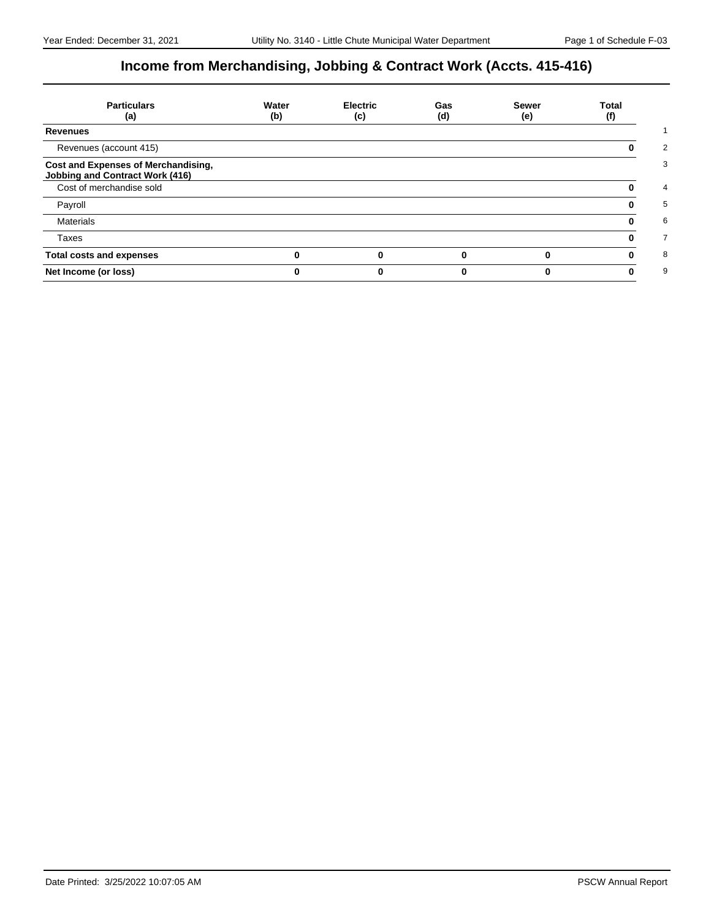# **Income from Merchandising, Jobbing & Contract Work (Accts. 415-416)**

| <b>Particulars</b><br>(a)                                                     | Water<br>(b) | <b>Electric</b><br>(c) | Gas<br>(d) | <b>Sewer</b><br>(e) | Total<br>(f) |
|-------------------------------------------------------------------------------|--------------|------------------------|------------|---------------------|--------------|
| <b>Revenues</b>                                                               |              |                        |            |                     |              |
| Revenues (account 415)                                                        |              |                        |            |                     |              |
| Cost and Expenses of Merchandising,<br><b>Jobbing and Contract Work (416)</b> |              |                        |            |                     |              |
| Cost of merchandise sold                                                      |              |                        |            |                     |              |
| Payroll                                                                       |              |                        |            |                     |              |
| <b>Materials</b>                                                              |              |                        |            |                     |              |
| Taxes                                                                         |              |                        |            |                     |              |
| <b>Total costs and expenses</b>                                               |              |                        |            |                     |              |
| Net Income (or loss)                                                          |              |                        |            |                     |              |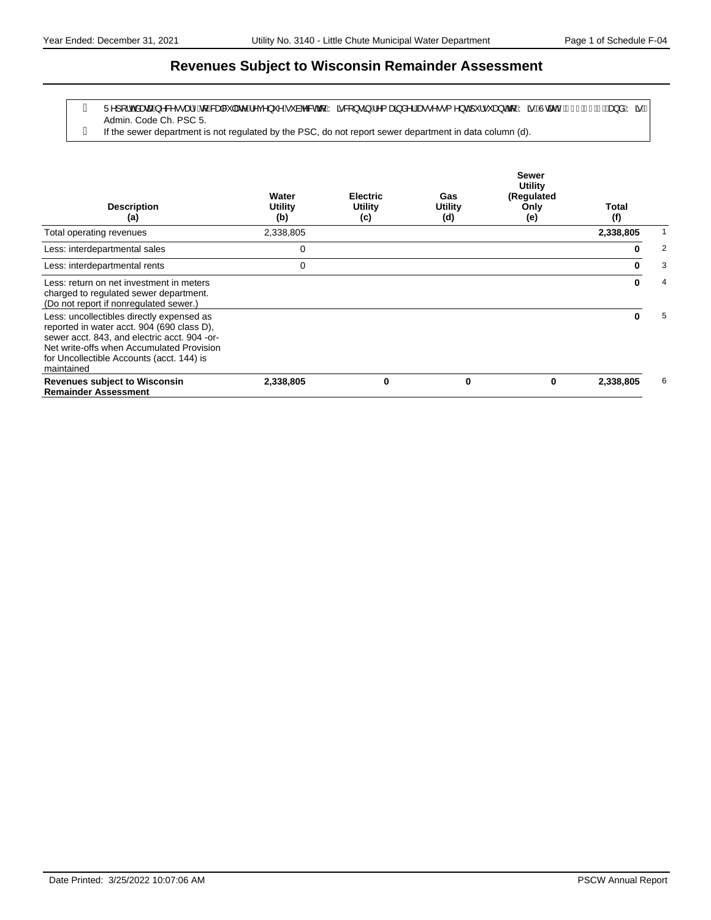### **Revenues Subject to Wisconsin Remainder Assessment**

- g Ü^][¦o‱äææn∫^&^••æ}^&q{*k*&æa&`|æe^Á^ç^}`^Á`àb^&o&q{Árã&|}•ã}Á^{æã}å^¦&æ∙^••{^}o∱`¦•`æ}o&q{ÁrãBÙœænhÁFJÎÈlÍÇQD&e}åÁrãB Admin. Code Ch. PSC 5.
- If the sewer department is not regulated by the PSC, do not report sewer department in data column (d).

| <b>Description</b><br>(a)                                                                                                                                                                                                                       | Water<br>Utility<br>(b) | <b>Electric</b><br>Utility<br>(c) | Gas<br>Utility<br>(d) | <b>Sewer</b><br><b>Utility</b><br>(Regulated<br>Only<br>(e) | <b>Total</b><br>(f) |   |
|-------------------------------------------------------------------------------------------------------------------------------------------------------------------------------------------------------------------------------------------------|-------------------------|-----------------------------------|-----------------------|-------------------------------------------------------------|---------------------|---|
| Total operating revenues                                                                                                                                                                                                                        | 2,338,805               |                                   |                       |                                                             | 2,338,805           |   |
| Less: interdepartmental sales                                                                                                                                                                                                                   | 0                       |                                   |                       |                                                             | 0                   | 2 |
| Less: interdepartmental rents                                                                                                                                                                                                                   | 0                       |                                   |                       |                                                             | 0                   | 3 |
| Less: return on net investment in meters<br>charged to regulated sewer department.<br>(Do not report if nonregulated sewer.)                                                                                                                    |                         |                                   |                       |                                                             | 0                   | 4 |
| Less: uncollectibles directly expensed as<br>reported in water acct. 904 (690 class D),<br>sewer acct. 843, and electric acct. 904 -or-<br>Net write-offs when Accumulated Provision<br>for Uncollectible Accounts (acct. 144) is<br>maintained |                         |                                   |                       |                                                             | 0                   | 5 |
| <b>Revenues subject to Wisconsin</b><br><b>Remainder Assessment</b>                                                                                                                                                                             | 2,338,805               | 0                                 | 0                     | 0                                                           | 2,338,805           | 6 |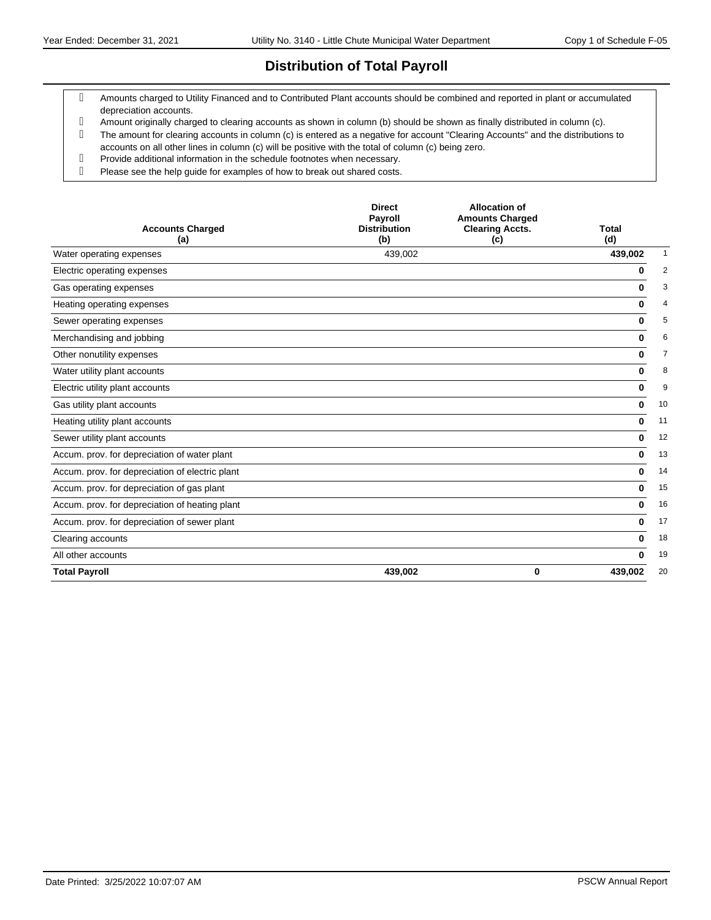## **Distribution of Total Payroll**

- Amounts charged to Utility Financed and to Contributed Plant accounts should be combined and reported in plant or accumulated depreciation accounts.
- Amount originally charged to clearing accounts as shown in column (b) should be shown as finally distributed in column (c).
- The amount for clearing accounts in column (c) is entered as a negative for account "Clearing Accounts" and the distributions to accounts on all other lines in column (c) will be positive with the total of column (c) being zero.
- Provide additional information in the schedule footnotes when necessary.
- Please see the help guide for examples of how to break out shared costs.

| <b>Accounts Charged</b><br>(a)                  | <b>Direct</b><br>Payroll<br><b>Distribution</b><br>(b) | <b>Allocation of</b><br><b>Amounts Charged</b><br><b>Clearing Accts.</b><br>(c) | Total<br>(d)  |
|-------------------------------------------------|--------------------------------------------------------|---------------------------------------------------------------------------------|---------------|
| Water operating expenses                        | 439,002                                                |                                                                                 | 439,002<br>1  |
| Electric operating expenses                     |                                                        |                                                                                 | 2<br>0        |
| Gas operating expenses                          |                                                        |                                                                                 | 3<br>0        |
| Heating operating expenses                      |                                                        |                                                                                 | 0<br>4        |
| Sewer operating expenses                        |                                                        |                                                                                 | 5<br>0        |
| Merchandising and jobbing                       |                                                        |                                                                                 | 6<br>0        |
| Other nonutility expenses                       |                                                        |                                                                                 | 7<br>0        |
| Water utility plant accounts                    |                                                        |                                                                                 | 8<br>0        |
| Electric utility plant accounts                 |                                                        |                                                                                 | 9<br>0        |
| Gas utility plant accounts                      |                                                        |                                                                                 | 10<br>0       |
| Heating utility plant accounts                  |                                                        |                                                                                 | 11<br>0       |
| Sewer utility plant accounts                    |                                                        |                                                                                 | 12<br>0       |
| Accum. prov. for depreciation of water plant    |                                                        |                                                                                 | 13<br>0       |
| Accum. prov. for depreciation of electric plant |                                                        |                                                                                 | 14<br>0       |
| Accum. prov. for depreciation of gas plant      |                                                        |                                                                                 | 15<br>0       |
| Accum. prov. for depreciation of heating plant  |                                                        |                                                                                 | 16<br>0       |
| Accum. prov. for depreciation of sewer plant    |                                                        |                                                                                 | 17<br>0       |
| Clearing accounts                               |                                                        |                                                                                 | 18<br>0       |
| All other accounts                              |                                                        |                                                                                 | 19<br>O       |
| <b>Total Payroll</b>                            | 439,002                                                | 0                                                                               | 20<br>439,002 |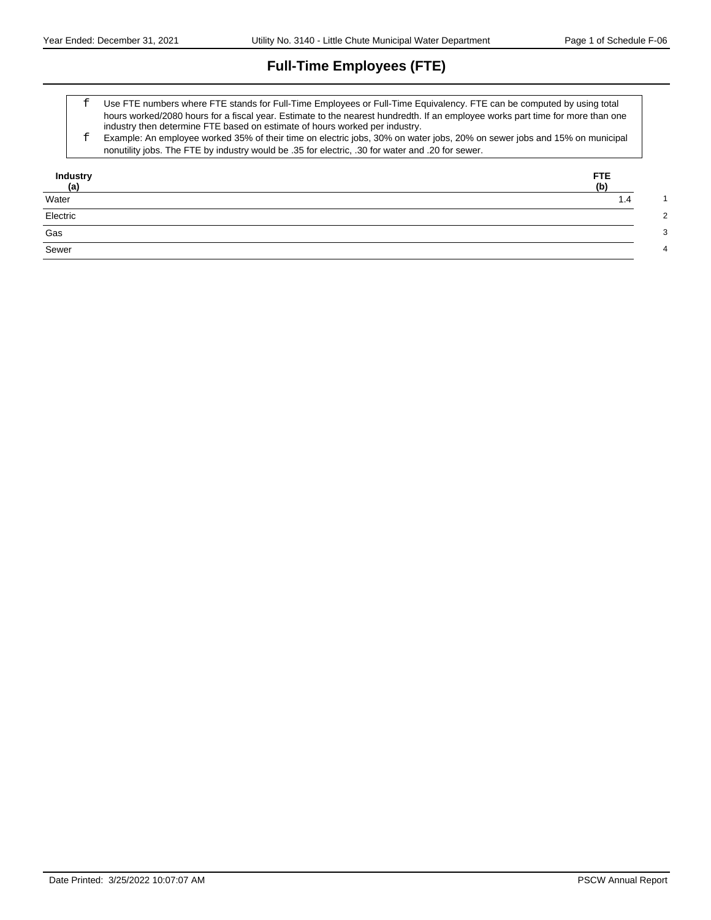# **Full-Time Employees (FTE)**

- Use FTE numbers where FTE stands for Full-Time Employees or Full-Time Equivalency. FTE can be computed by using total hours worked/2080 hours for a fiscal year. Estimate to the nearest hundredth. If an employee works part time for more than one industry then determine FTE based on estimate of hours worked per industry.
- Example: An employee worked 35% of their time on electric jobs, 30% on water jobs, 20% on sewer jobs and 15% on municipal nonutility jobs. The FTE by industry would be .35 for electric, .30 for water and .20 for sewer.

| Industry<br>(a)           | FTE.<br>(b) |
|---------------------------|-------------|
| Water                     | 1.4         |
| Electric                  |             |
| $\overline{\mathsf{Gas}}$ |             |
| Sewer                     |             |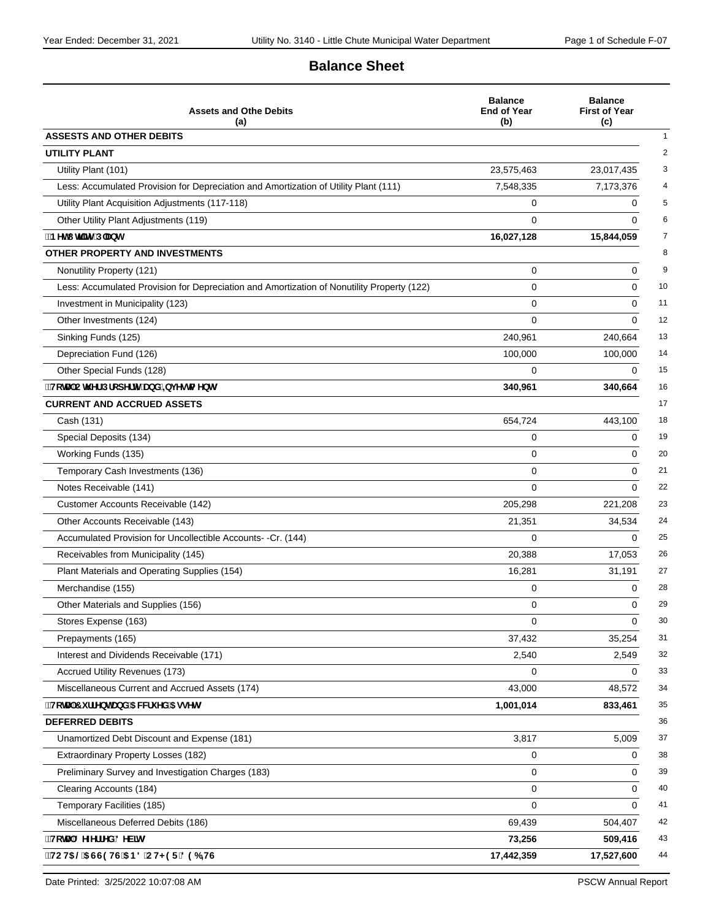## **Balance Sheet**

| <b>Assets and Othe Debits</b><br>(a)                                                       | <b>Balance</b><br><b>End of Year</b><br>(b) | <b>Balance</b><br><b>First of Year</b><br>(c) |
|--------------------------------------------------------------------------------------------|---------------------------------------------|-----------------------------------------------|
| <b>ASSESTS AND OTHER DEBITS</b>                                                            |                                             |                                               |
| UTILITY PLANT                                                                              |                                             |                                               |
| Utility Plant (101)                                                                        | 23,575,463                                  | 23,017,435                                    |
| Less: Accumulated Provision for Depreciation and Amortization of Utility Plant (111)       | 7,548,335                                   | 7,173,376                                     |
| Utility Plant Acquisition Adjustments (117-118)                                            | 0                                           | 0                                             |
| Other Utility Plant Adjustments (119)                                                      | $\Omega$                                    | $\Omega$                                      |
| "BYhi hj`]hmiD`Ubh                                                                         | 16,027,128                                  | 15,844,059                                    |
| <b>OTHER PROPERTY AND INVESTMENTS</b>                                                      |                                             |                                               |
| Nonutility Property (121)                                                                  | 0                                           | 0                                             |
| Less: Accumulated Provision for Depreciation and Amortization of Nonutility Property (122) | 0                                           | 0                                             |
| Investment in Municipality (123)                                                           | 0                                           | 0                                             |
| Other Investments (124)                                                                    | 0                                           | 0                                             |
| Sinking Funds (125)                                                                        | 240,961                                     | 240,664                                       |
| Depreciation Fund (126)                                                                    | 100,000                                     | 100,000                                       |
| Other Special Funds (128)                                                                  | 0                                           | $\Omega$                                      |
| "HcHJ"Ch\Yf"DfcdYfhmUbX'=bjYghaYbhg                                                        | 340,961                                     | 340,664                                       |
| <b>CURRENT AND ACCRUED ASSETS</b>                                                          |                                             |                                               |
| Cash (131)                                                                                 | 654,724                                     | 443,100                                       |
| Special Deposits (134)                                                                     | 0                                           | 0                                             |
| Working Funds (135)                                                                        | 0                                           | 0                                             |
| Temporary Cash Investments (136)                                                           | 0                                           | 0                                             |
| Notes Receivable (141)                                                                     | 0                                           | 0                                             |
| Customer Accounts Receivable (142)                                                         | 205,298                                     | 221,208                                       |
| Other Accounts Receivable (143)                                                            | 21,351                                      | 34,534                                        |
| Accumulated Provision for Uncollectible Accounts- -Cr. (144)                               | 0                                           | $\Omega$                                      |
| Receivables from Municipality (145)                                                        | 20,388                                      | 17,053                                        |
| Plant Materials and Operating Supplies (154)                                               | 16,281                                      | 31,191                                        |
| Merchandise (155)                                                                          | 0                                           | 0                                             |
| Other Materials and Supplies (156)                                                         | 0                                           | $\Omega$                                      |
| Stores Expense (163)                                                                       | 0                                           | 0                                             |
| Prepayments (165)                                                                          | 37,432                                      | 35,254                                        |
| Interest and Dividends Receivable (171)                                                    | 2,540                                       | 2,549                                         |
| Accrued Utility Revenues (173)                                                             | 0                                           | 0                                             |
| Miscellaneous Current and Accrued Assets (174)                                             | 43,000                                      | 48,572                                        |
| "HcHJ'7 i ffYbhUbX'5 WW1 YX'5 ggYhg                                                        | 1,001,014                                   | 833,461                                       |
| <b>DEFERRED DEBITS</b>                                                                     |                                             |                                               |
| Unamortized Debt Discount and Expense (181)                                                | 3,817                                       | 5,009                                         |
| Extraordinary Property Losses (182)                                                        | 0                                           | 0                                             |
| Preliminary Survey and Investigation Charges (183)                                         | 0                                           | 0                                             |
| Clearing Accounts (184)                                                                    | 0                                           | 0                                             |
| Temporary Facilities (185)                                                                 | 0                                           | $\Omega$                                      |
| Miscellaneous Deferred Debits (186)                                                        | 69,439                                      | 504,407                                       |
| "HcHJ'8 YZYffYX'8 YV]hg                                                                    | 73,256                                      | 509,416                                       |
| 'HCH5 @5 GG9 HG'5 B8 'CH<9F'896 +HG                                                        | 17,442,359                                  | 17,527,600                                    |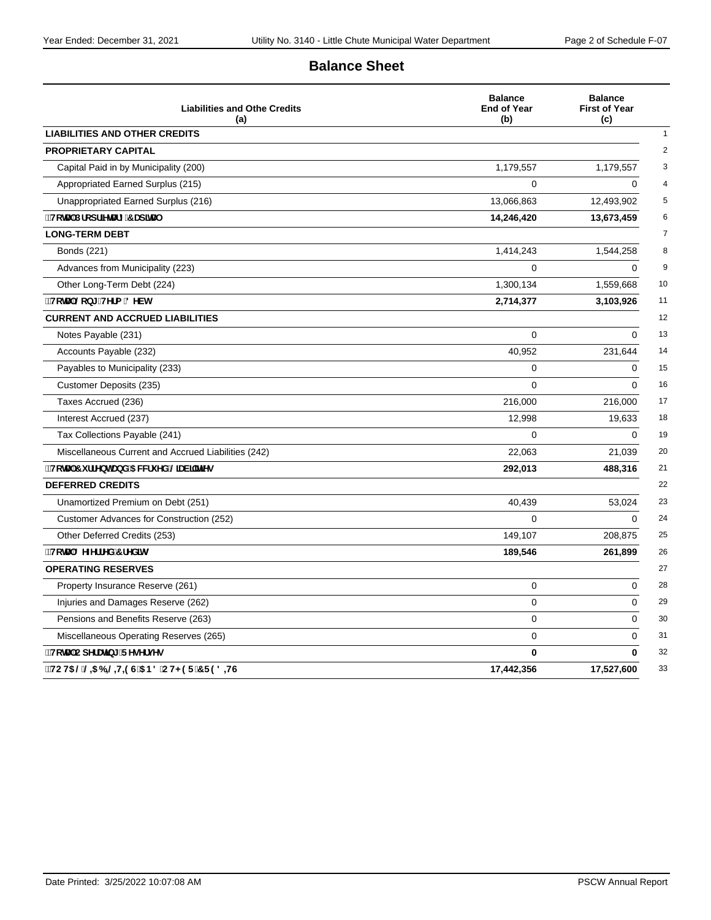## **Balance Sheet**

| <b>Liabilities and Othe Credits</b><br>(a)          | <b>Balance</b><br><b>End of Year</b><br>(b) | <b>Balance</b><br><b>First of Year</b><br>(c) |
|-----------------------------------------------------|---------------------------------------------|-----------------------------------------------|
| <b>LIABILITIES AND OTHER CREDITS</b>                |                                             |                                               |
| <b>PROPRIETARY CAPITAL</b>                          |                                             |                                               |
| Capital Paid in by Municipality (200)               | 1,179,557                                   | 1,179,557                                     |
| Appropriated Earned Surplus (215)                   | 0                                           | 0                                             |
| Unappropriated Earned Surplus (216)                 | 13,066,863                                  | 12,493,902                                    |
| HcHJ Dfcdf]YHJfm7 Ud]HJ                             | 14,246,420                                  | 13,673,459                                    |
| <b>LONG-TERM DEBT</b>                               |                                             |                                               |
| Bonds (221)                                         | 1,414,243                                   | 1,544,258                                     |
| Advances from Municipality (223)                    | 0                                           | $\Omega$                                      |
| Other Long-Term Debt (224)                          | 1,300,134                                   | 1,559,668                                     |
| ¨HcHJ`@cb[!HYfa `8YVh                               | 2,714,377                                   | 3,103,926                                     |
| <b>CURRENT AND ACCRUED LIABILITIES</b>              |                                             |                                               |
| Notes Payable (231)                                 | $\Omega$                                    | $\Omega$                                      |
| Accounts Payable (232)                              | 40,952                                      | 231,644                                       |
| Payables to Municipality (233)                      | 0                                           | 0                                             |
| Customer Deposits (235)                             | $\Omega$                                    | $\Omega$                                      |
| Taxes Accrued (236)                                 | 216,000                                     | 216,000                                       |
| Interest Accrued (237)                              | 12,998                                      | 19,633                                        |
| Tax Collections Payable (241)                       | 0                                           | $\Omega$                                      |
| Miscellaneous Current and Accrued Liabilities (242) | 22,063                                      | 21,039                                        |
| "HcHJ'7 i ffYbhUbX'5 WW'i YX @UV `]h Yg             | 292,013                                     | 488,316                                       |
| <b>DEFERRED CREDITS</b>                             |                                             |                                               |
| Unamortized Premium on Debt (251)                   | 40,439                                      | 53,024                                        |
| Customer Advances for Construction (252)            | $\Omega$                                    | $\Omega$                                      |
| Other Deferred Credits (253)                        | 149,107                                     | 208,875                                       |
| "HcHJ'8 YZYffYX'7 fYX]hg                            | 189,546                                     | 261,899                                       |
| <b>OPERATING RESERVES</b>                           |                                             |                                               |
| Property Insurance Reserve (261)                    | 0                                           | 0                                             |
| Injuries and Damages Reserve (262)                  | 0                                           | 0                                             |
| Pensions and Benefits Reserve (263)                 | 0                                           | $\Omega$                                      |
| Miscellaneous Operating Reserves (265)              | 0                                           | 0                                             |
| ∵HcHJ CdYfUH]b[ FYgYfjYg                            | 0                                           | $\mathbf 0$                                   |
| <b>``НСН5 @@=56=@H=9G5B8`СН&lt;9F7F98=HG</b>        | 17,442,356                                  | 17,527,600                                    |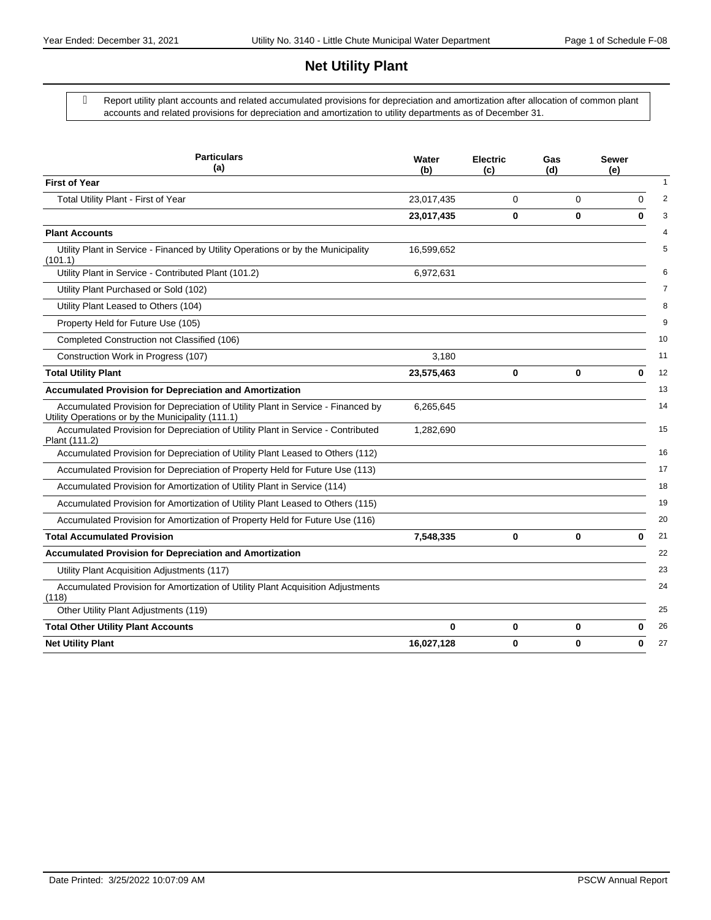## **Net Utility Plant**

 Report utility plant accounts and related accumulated provisions for depreciation and amortization after allocation of common plant accounts and related provisions for depreciation and amortization to utility departments as of December 31.

| <b>Particulars</b><br>(a)                                                                                                             | Water<br>(b) | <b>Electric</b><br>(c) | Gas<br>(d) | <b>Sewer</b><br>(e) |
|---------------------------------------------------------------------------------------------------------------------------------------|--------------|------------------------|------------|---------------------|
| <b>First of Year</b>                                                                                                                  |              |                        |            |                     |
| Total Utility Plant - First of Year                                                                                                   | 23,017,435   | 0                      | 0          | 0                   |
|                                                                                                                                       | 23,017,435   | 0                      | 0          | $\bf{0}$            |
| <b>Plant Accounts</b>                                                                                                                 |              |                        |            |                     |
| Utility Plant in Service - Financed by Utility Operations or by the Municipality<br>(101.1)                                           | 16,599,652   |                        |            |                     |
| Utility Plant in Service - Contributed Plant (101.2)                                                                                  | 6,972,631    |                        |            |                     |
| Utility Plant Purchased or Sold (102)                                                                                                 |              |                        |            |                     |
| Utility Plant Leased to Others (104)                                                                                                  |              |                        |            |                     |
| Property Held for Future Use (105)                                                                                                    |              |                        |            |                     |
| Completed Construction not Classified (106)                                                                                           |              |                        |            |                     |
| Construction Work in Progress (107)                                                                                                   | 3,180        |                        |            |                     |
| <b>Total Utility Plant</b>                                                                                                            | 23,575,463   | 0                      | 0          | 0                   |
| <b>Accumulated Provision for Depreciation and Amortization</b>                                                                        |              |                        |            |                     |
| Accumulated Provision for Depreciation of Utility Plant in Service - Financed by<br>Utility Operations or by the Municipality (111.1) | 6,265,645    |                        |            |                     |
| Accumulated Provision for Depreciation of Utility Plant in Service - Contributed<br>Plant (111.2)                                     | 1,282,690    |                        |            |                     |
| Accumulated Provision for Depreciation of Utility Plant Leased to Others (112)                                                        |              |                        |            |                     |
| Accumulated Provision for Depreciation of Property Held for Future Use (113)                                                          |              |                        |            |                     |
| Accumulated Provision for Amortization of Utility Plant in Service (114)                                                              |              |                        |            |                     |
| Accumulated Provision for Amortization of Utility Plant Leased to Others (115)                                                        |              |                        |            |                     |
| Accumulated Provision for Amortization of Property Held for Future Use (116)                                                          |              |                        |            |                     |
| <b>Total Accumulated Provision</b>                                                                                                    | 7,548,335    | 0                      | 0          | $\bf{0}$            |
| <b>Accumulated Provision for Depreciation and Amortization</b>                                                                        |              |                        |            |                     |
| Utility Plant Acquisition Adjustments (117)                                                                                           |              |                        |            |                     |
| Accumulated Provision for Amortization of Utility Plant Acquisition Adjustments<br>(118)                                              |              |                        |            |                     |
| Other Utility Plant Adjustments (119)                                                                                                 |              |                        |            |                     |
| <b>Total Other Utility Plant Accounts</b>                                                                                             | 0            | 0                      | 0          | 0                   |
| <b>Net Utility Plant</b>                                                                                                              | 16,027,128   | 0                      | 0          | 0                   |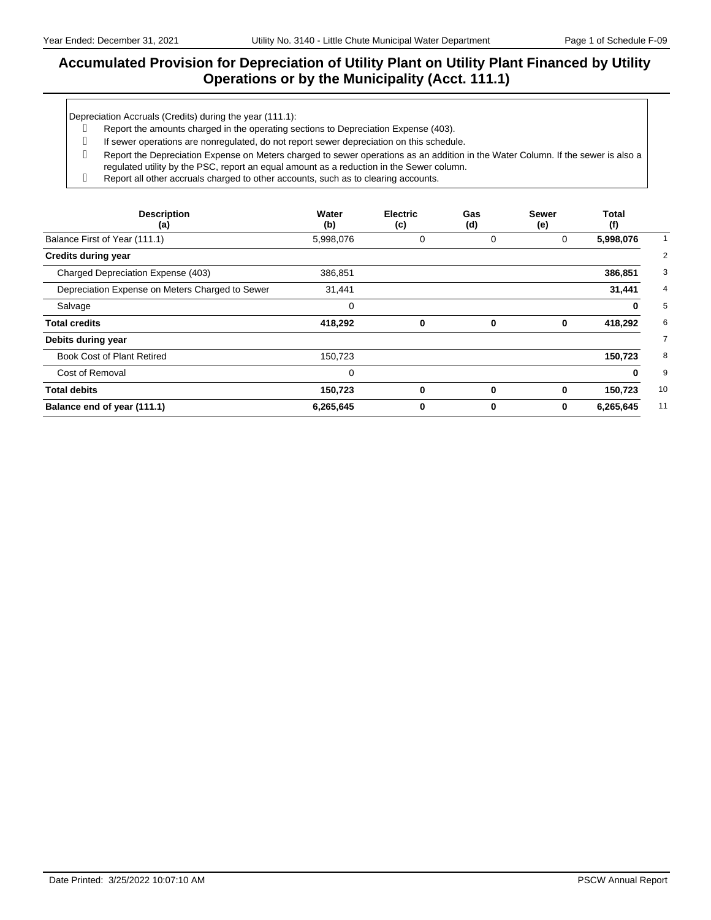### **Accumulated Provision for Depreciation of Utility Plant on Utility Plant Financed by Utility Operations or by the Municipality (Acct. 111.1)**

Depreciation Accruals (Credits) during the year (111.1):

- Report the amounts charged in the operating sections to Depreciation Expense (403).
- g If sewer operations are nonregulated, do not report sewer depreciation on this schedule.
- Report the Depreciation Expense on Meters charged to sewer operations as an addition in the Water Column. If the sewer is also a regulated utility by the PSC, report an equal amount as a reduction in the Sewer column.
- Report all other accruals charged to other accounts, such as to clearing accounts.

| <b>Description</b><br>(a)                       | Water<br>(b) | <b>Electric</b><br>(c) | Gas<br>(d)  | <b>Sewer</b><br>(e) | Total<br>(f) |
|-------------------------------------------------|--------------|------------------------|-------------|---------------------|--------------|
| Balance First of Year (111.1)                   | 5,998,076    | 0                      | 0           | 0                   | 5,998,076    |
| <b>Credits during year</b>                      |              |                        |             |                     |              |
| Charged Depreciation Expense (403)              | 386,851      |                        |             |                     | 386,851      |
| Depreciation Expense on Meters Charged to Sewer | 31,441       |                        |             |                     | 31,441       |
| Salvage                                         | 0            |                        |             |                     | 0            |
| <b>Total credits</b>                            | 418,292      | 0                      | $\bf{0}$    | 0                   | 418,292      |
| Debits during year                              |              |                        |             |                     |              |
| <b>Book Cost of Plant Retired</b>               | 150,723      |                        |             |                     | 150,723      |
| Cost of Removal                                 | 0            |                        |             |                     | 0            |
| <b>Total debits</b>                             | 150,723      | $\bf{0}$               | $\mathbf 0$ | 0                   | 150,723      |
| Balance end of year (111.1)                     | 6,265,645    | 0                      | 0           | 0                   | 6,265,645    |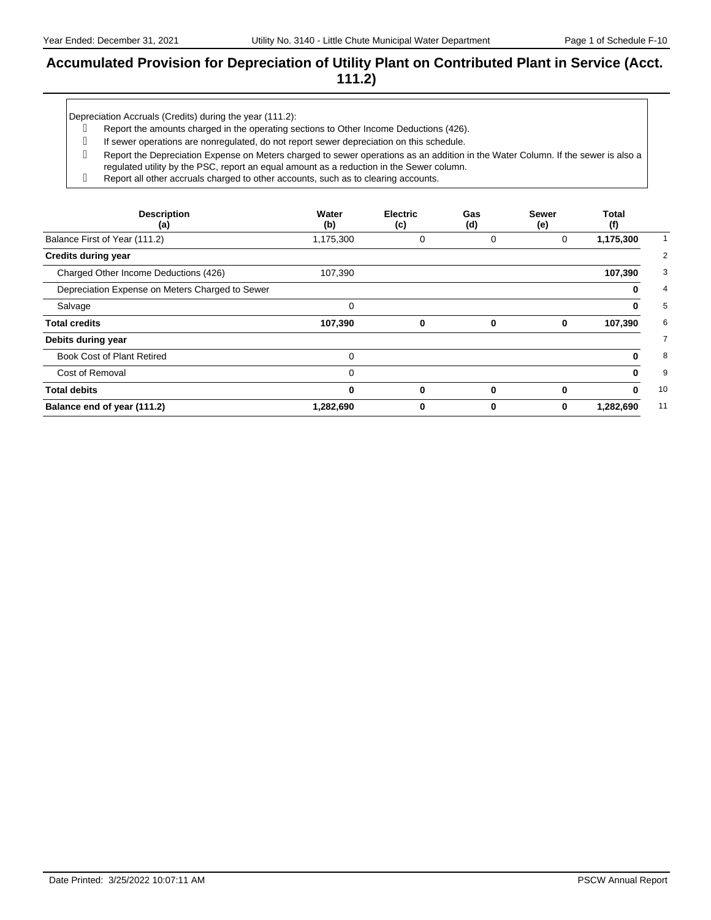### **Accumulated Provision for Depreciation of Utility Plant on Contributed Plant in Service (Acct. 111.2)**

Depreciation Accruals (Credits) during the year (111.2):

- Report the amounts charged in the operating sections to Other Income Deductions (426).
- g If sewer operations are nonregulated, do not report sewer depreciation on this schedule.
- Report the Depreciation Expense on Meters charged to sewer operations as an addition in the Water Column. If the sewer is also a regulated utility by the PSC, report an equal amount as a reduction in the Sewer column.
- Report all other accruals charged to other accounts, such as to clearing accounts.

| <b>Description</b><br>(a)                       | Water<br>(b) | <b>Electric</b><br>(c) | Gas<br>(d)  | <b>Sewer</b><br>(e) | Total<br>(f) |
|-------------------------------------------------|--------------|------------------------|-------------|---------------------|--------------|
| Balance First of Year (111.2)                   | 1,175,300    | 0                      | 0           | 0                   | 1,175,300    |
| <b>Credits during year</b>                      |              |                        |             |                     |              |
| Charged Other Income Deductions (426)           | 107,390      |                        |             |                     | 107,390      |
| Depreciation Expense on Meters Charged to Sewer |              |                        |             |                     | 0            |
| Salvage                                         | $\mathbf 0$  |                        |             |                     | 0            |
| <b>Total credits</b>                            | 107,390      | 0                      | 0           | 0                   | 107,390      |
| Debits during year                              |              |                        |             |                     |              |
| <b>Book Cost of Plant Retired</b>               | 0            |                        |             |                     | o            |
| Cost of Removal                                 | $\Omega$     |                        |             |                     | 0            |
| <b>Total debits</b>                             | 0            | 0                      | $\mathbf 0$ | $\bf{0}$            | 0            |
| Balance end of year (111.2)                     | 1,282,690    | 0                      | 0           | 0                   | 1,282,690    |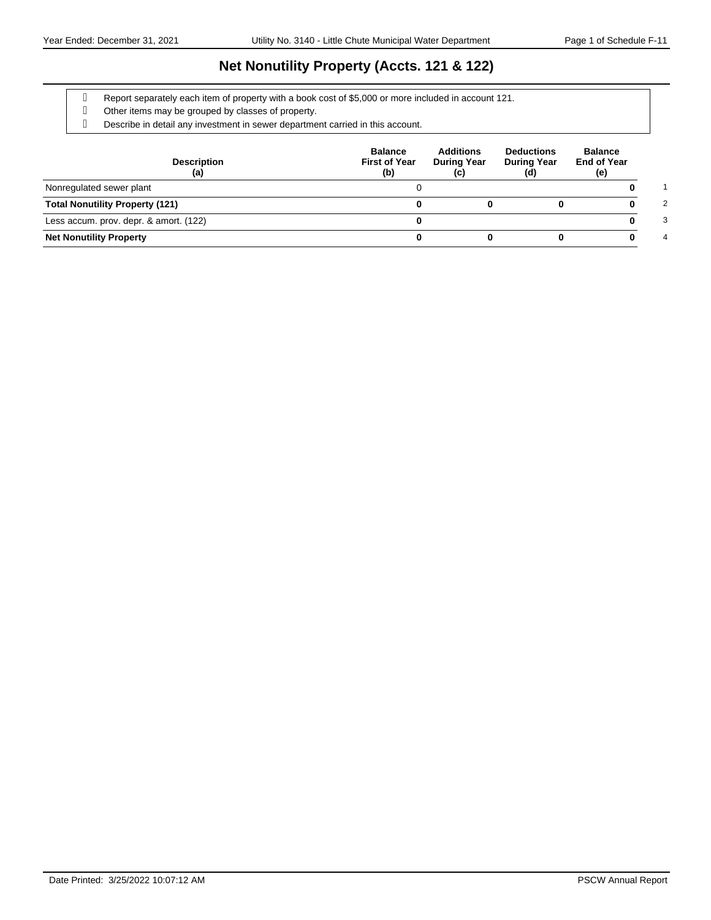## **Net Nonutility Property (Accts. 121 & 122)**

Report separately each item of property with a book cost of \$5,000 or more included in account 121.

- Other items may be grouped by classes of property.
- Describe in detail any investment in sewer department carried in this account.

| <b>Description</b><br>(a)              | <b>Balance</b><br><b>First of Year</b><br>(b) | <b>Additions</b><br><b>During Year</b><br>(c) | <b>Deductions</b><br><b>During Year</b><br>(d) | <b>Balance</b><br><b>End of Year</b><br>(e) |
|----------------------------------------|-----------------------------------------------|-----------------------------------------------|------------------------------------------------|---------------------------------------------|
| Nonregulated sewer plant               |                                               |                                               |                                                |                                             |
| <b>Total Nonutility Property (121)</b> |                                               |                                               |                                                | 2                                           |
| Less accum. prov. depr. & amort. (122) |                                               |                                               |                                                | 3                                           |
| <b>Net Nonutility Property</b>         |                                               |                                               |                                                | 4                                           |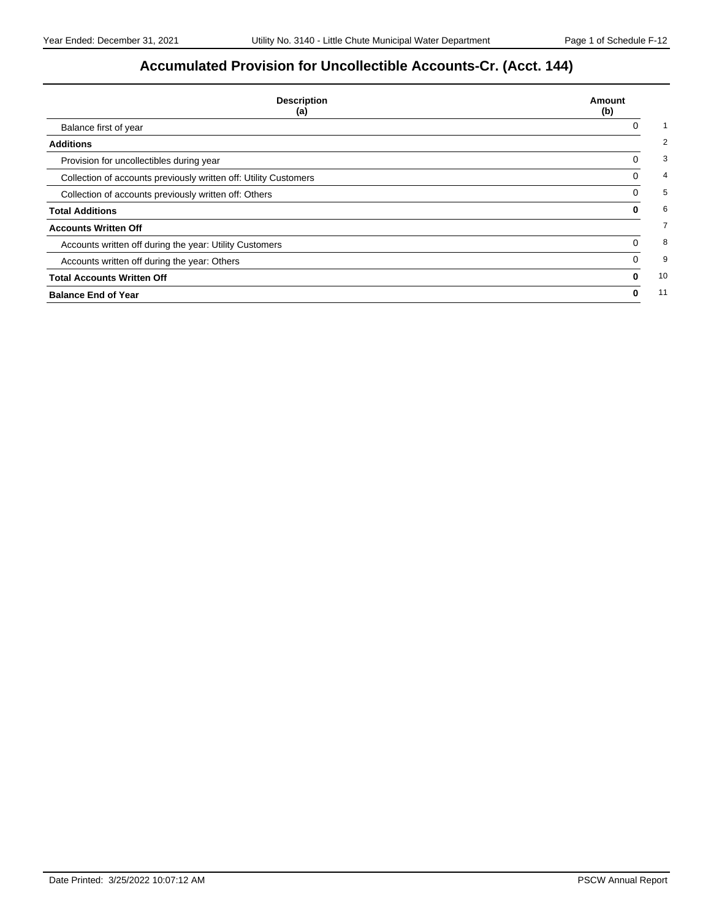# **Accumulated Provision for Uncollectible Accounts-Cr. (Acct. 144)**

| <b>Description</b><br>(a)                                        | Amount<br>(b) |
|------------------------------------------------------------------|---------------|
| Balance first of year                                            |               |
| <b>Additions</b>                                                 |               |
| Provision for uncollectibles during year                         | 0             |
| Collection of accounts previously written off: Utility Customers | 0             |
| Collection of accounts previously written off: Others            | 0             |
| <b>Total Additions</b>                                           | 0             |
| <b>Accounts Written Off</b>                                      |               |
| Accounts written off during the year: Utility Customers          | 0             |
| Accounts written off during the year: Others                     | 0             |
| <b>Total Accounts Written Off</b>                                | 0             |
| <b>Balance End of Year</b>                                       | 0             |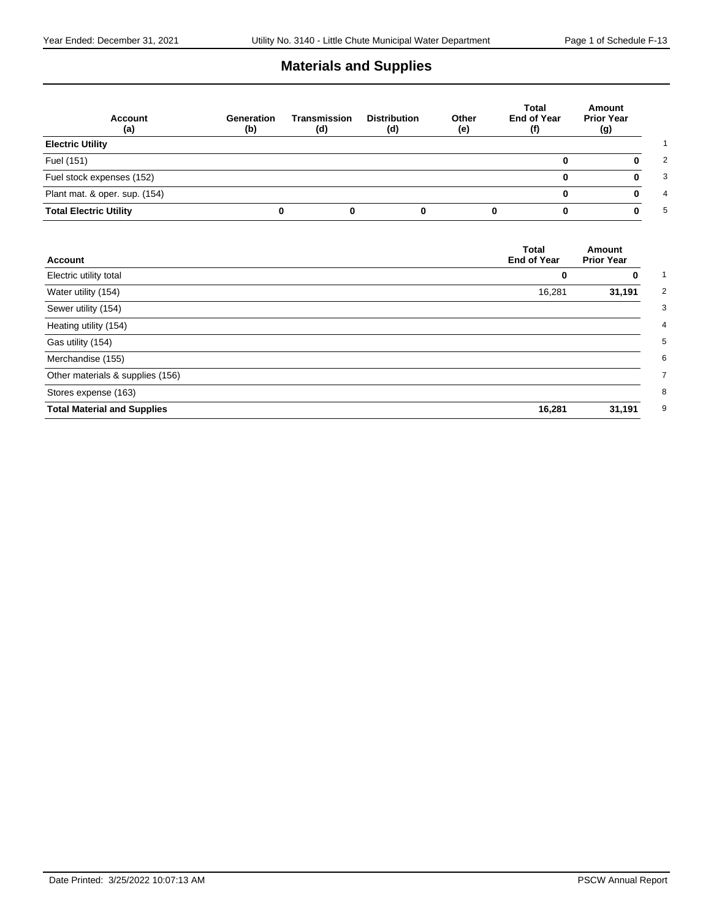## **Materials and Supplies**

| <b>Account</b><br>(a)         | Generation<br>(b) | Transmission<br>(d) | <b>Distribution</b><br>(d) | Other<br>(e) | Total<br><b>End of Year</b><br>(f) | Amount<br><b>Prior Year</b><br>(g) |
|-------------------------------|-------------------|---------------------|----------------------------|--------------|------------------------------------|------------------------------------|
| <b>Electric Utility</b>       |                   |                     |                            |              |                                    |                                    |
| Fuel (151)                    |                   |                     |                            |              |                                    |                                    |
| Fuel stock expenses (152)     |                   |                     |                            |              |                                    |                                    |
| Plant mat. & oper. sup. (154) |                   |                     |                            |              | 0                                  |                                    |
| <b>Total Electric Utility</b> |                   |                     |                            |              |                                    |                                    |

| <b>Account</b>                     | <b>Total</b><br><b>End of Year</b> | Amount<br><b>Prior Year</b> |
|------------------------------------|------------------------------------|-----------------------------|
| Electric utility total             | 0                                  | 0                           |
| Water utility (154)                | 16,281                             | 31,191                      |
| Sewer utility (154)                |                                    |                             |
| Heating utility (154)              |                                    |                             |
| Gas utility (154)                  |                                    |                             |
| Merchandise (155)                  |                                    |                             |
| Other materials & supplies (156)   |                                    |                             |
| Stores expense (163)               |                                    |                             |
| <b>Total Material and Supplies</b> | 16,281                             | 31,191                      |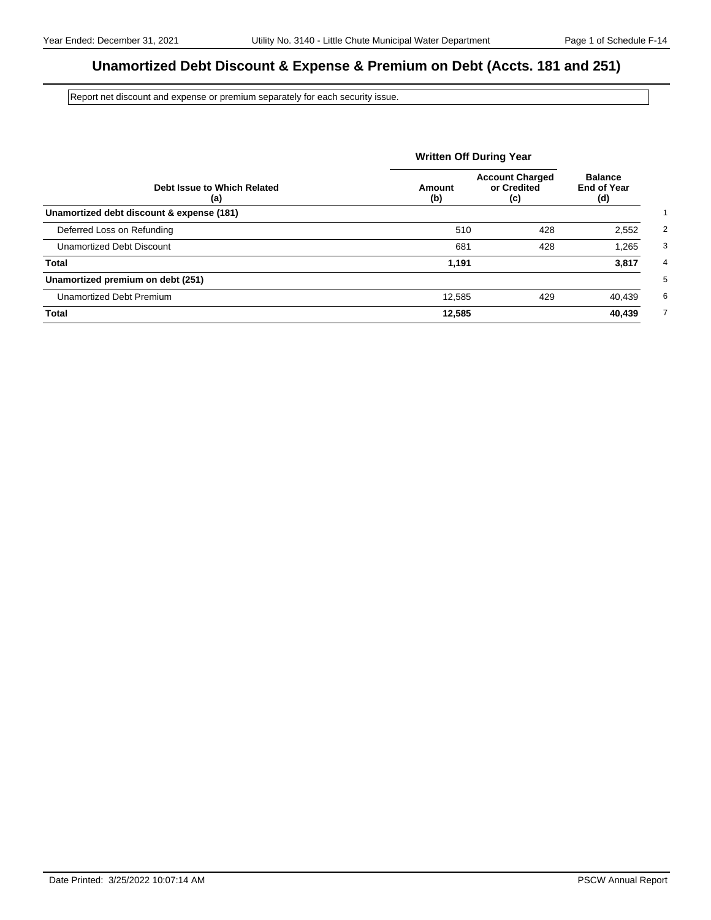## **Unamortized Debt Discount & Expense & Premium on Debt (Accts. 181 and 251)**

Report net discount and expense or premium separately for each security issue.

|                                           |               | <b>Written Off During Year</b>               |                                             |  |
|-------------------------------------------|---------------|----------------------------------------------|---------------------------------------------|--|
| Debt Issue to Which Related<br>(a)        | Amount<br>(b) | <b>Account Charged</b><br>or Credited<br>(c) | <b>Balance</b><br><b>End of Year</b><br>(d) |  |
| Unamortized debt discount & expense (181) |               |                                              |                                             |  |
| Deferred Loss on Refunding                | 510           | 428                                          | 2,552                                       |  |
| Unamortized Debt Discount                 | 681           | 428                                          | 1,265                                       |  |
| Total                                     | 1,191         |                                              | 3,817                                       |  |
| Unamortized premium on debt (251)         |               |                                              |                                             |  |
| Unamortized Debt Premium                  | 12,585        | 429                                          | 40,439                                      |  |
| <b>Total</b>                              | 12,585        |                                              | 40,439                                      |  |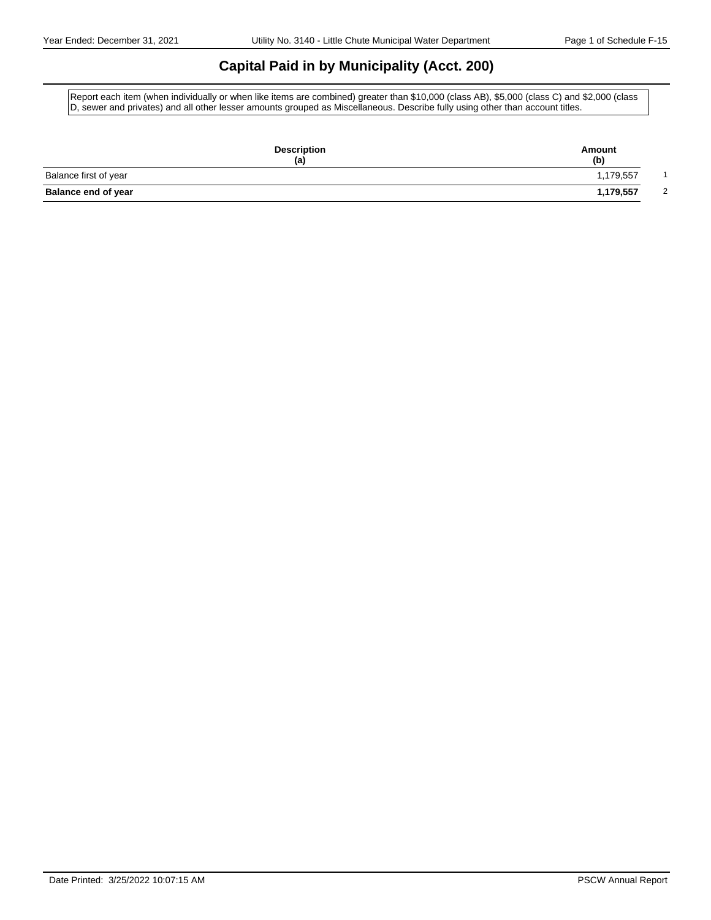## **Capital Paid in by Municipality (Acct. 200)**

Report each item (when individually or when like items are combined) greater than \$10,000 (class AB), \$5,000 (class C) and \$2,000 (class D, sewer and privates) and all other lesser amounts grouped as Miscellaneous. Describe fully using other than account titles.

|                            | <b>Description</b><br>(a) | Amount<br>(b)               |
|----------------------------|---------------------------|-----------------------------|
| Balance first of year      |                           | 1,179,557                   |
| <b>Balance end of year</b> |                           | 1,179,557<br>$\overline{2}$ |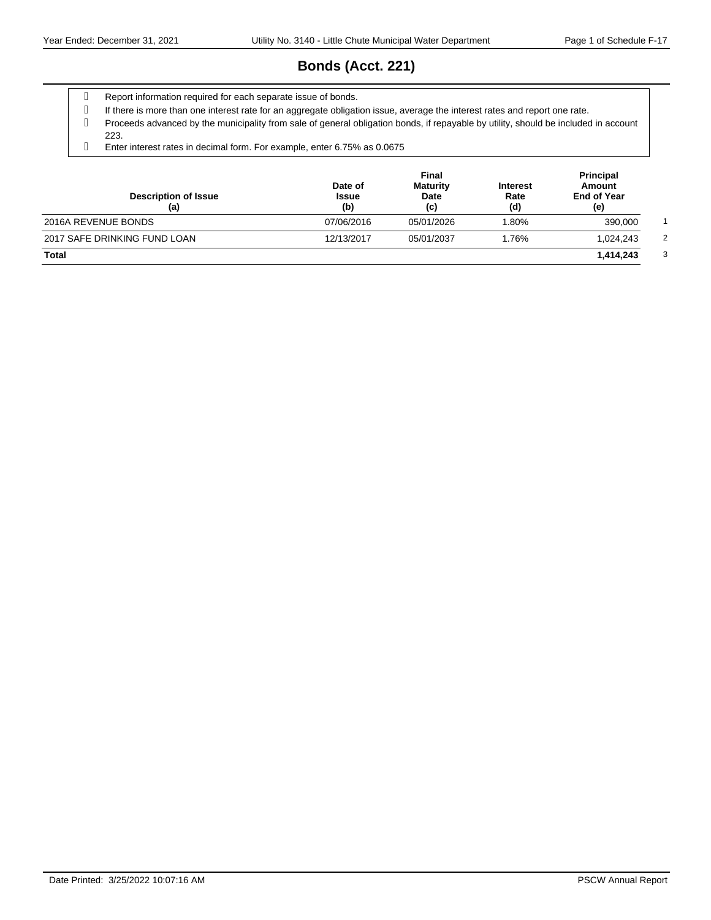# **Bonds (Acct. 221)**

- g Report information required for each separate issue of bonds.
- If there is more than one interest rate for an aggregate obligation issue, average the interest rates and report one rate.
- Proceeds advanced by the municipality from sale of general obligation bonds, if repayable by utility, should be included in account 223.
- Enter interest rates in decimal form. For example, enter 6.75% as 0.0675

| <b>Description of Issue</b><br>(a) | Date of<br><b>Issue</b><br>(b) | Final<br><b>Maturity</b><br>Date<br>(c) | <b>Interest</b><br>Rate<br>(d) | <b>Principal</b><br>Amount<br><b>End of Year</b><br>(e) |
|------------------------------------|--------------------------------|-----------------------------------------|--------------------------------|---------------------------------------------------------|
| 2016A REVENUE BONDS                | 07/06/2016                     | 05/01/2026                              | 1.80%                          | 390,000                                                 |
| 2017 SAFE DRINKING FUND LOAN       | 12/13/2017                     | 05/01/2037                              | 1.76%                          | 1.024.243                                               |
| Total                              |                                |                                         |                                | 1,414,243                                               |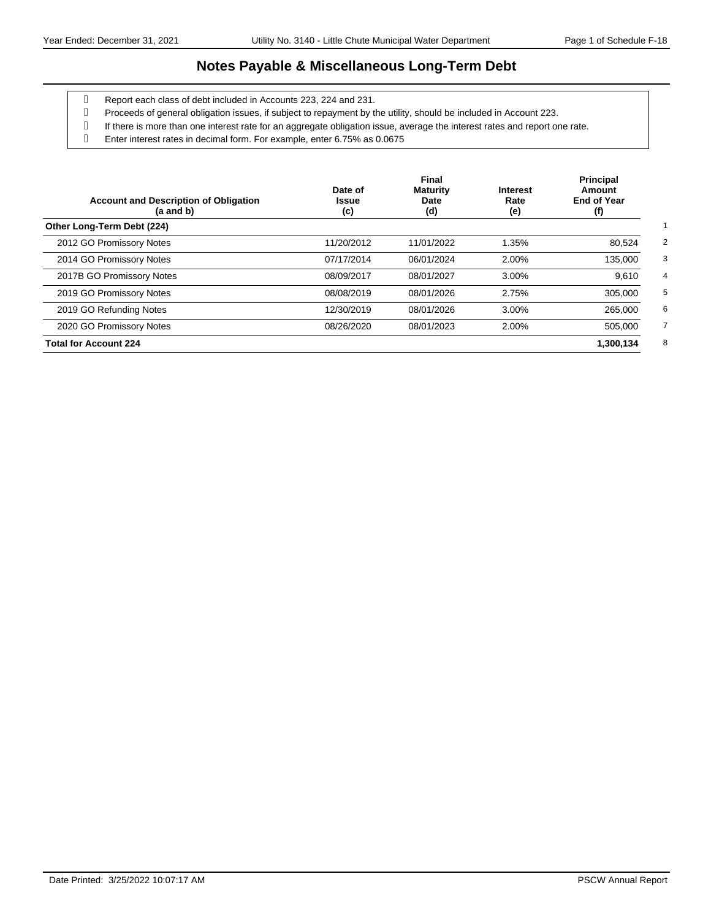### **Notes Payable & Miscellaneous Long-Term Debt**

- Report each class of debt included in Accounts 223, 224 and 231.
- Proceeds of general obligation issues, if subject to repayment by the utility, should be included in Account 223.
- If there is more than one interest rate for an aggregate obligation issue, average the interest rates and report one rate.
- Enter interest rates in decimal form. For example, enter 6.75% as 0.0675

| <b>Account and Description of Obligation</b><br>$(a$ and $b)$ | Date of<br><b>Issue</b><br>(c) | Final<br><b>Maturity</b><br>Date<br>(d) | <b>Interest</b><br>Rate<br>(e) | <b>Principal</b><br>Amount<br><b>End of Year</b><br>(f) |
|---------------------------------------------------------------|--------------------------------|-----------------------------------------|--------------------------------|---------------------------------------------------------|
| Other Long-Term Debt (224)                                    |                                |                                         |                                |                                                         |
| 2012 GO Promissory Notes                                      | 11/20/2012                     | 11/01/2022                              | 1.35%                          | 80,524                                                  |
| 2014 GO Promissory Notes                                      | 07/17/2014                     | 06/01/2024                              | 2.00%                          | 135,000                                                 |
| 2017B GO Promissory Notes                                     | 08/09/2017                     | 08/01/2027                              | 3.00%                          | 9,610                                                   |
| 2019 GO Promissory Notes                                      | 08/08/2019                     | 08/01/2026                              | 2.75%                          | 305,000                                                 |
| 2019 GO Refunding Notes                                       | 12/30/2019                     | 08/01/2026                              | 3.00%                          | 265,000                                                 |
| 2020 GO Promissory Notes                                      | 08/26/2020                     | 08/01/2023                              | 2.00%                          | 505,000                                                 |
| <b>Total for Account 224</b>                                  |                                |                                         |                                | 1.300.134                                               |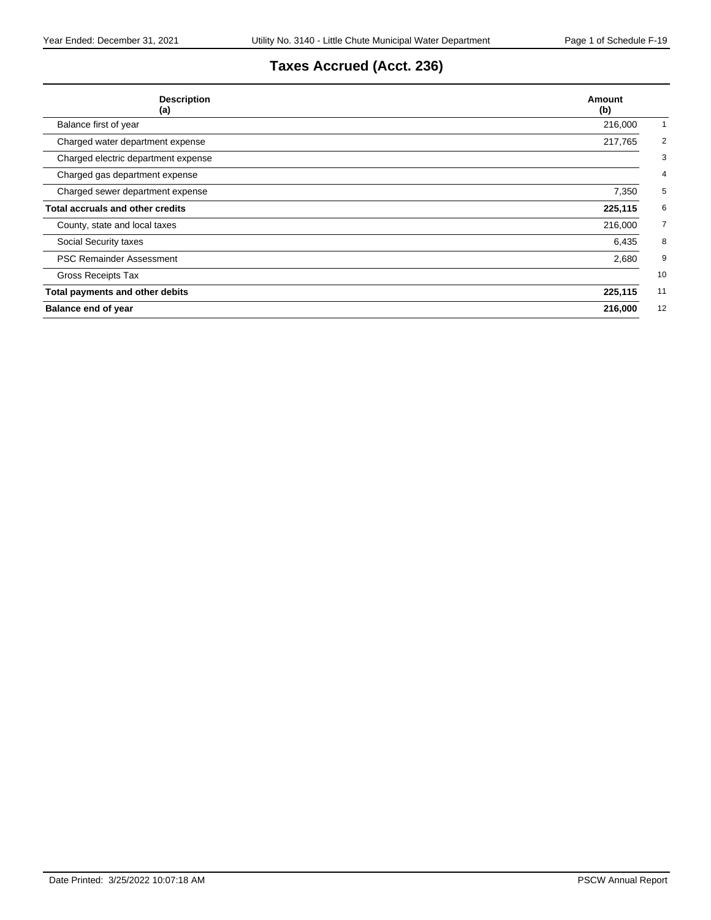# **Taxes Accrued (Acct. 236)**

| <b>Description</b><br>(a)           | Amount<br>(b)             |
|-------------------------------------|---------------------------|
| Balance first of year               | 216,000                   |
| Charged water department expense    | $\overline{2}$<br>217,765 |
| Charged electric department expense | 3                         |
| Charged gas department expense      | 4                         |
| Charged sewer department expense    | 5<br>7,350                |
| Total accruals and other credits    | 225,115<br>6              |
| County, state and local taxes       | $\overline{7}$<br>216,000 |
| Social Security taxes               | 8<br>6,435                |
| <b>PSC Remainder Assessment</b>     | 2,680<br>9                |
| Gross Receipts Tax                  | 10                        |
| Total payments and other debits     | 225,115<br>11             |
| <b>Balance end of year</b>          | 12<br>216,000             |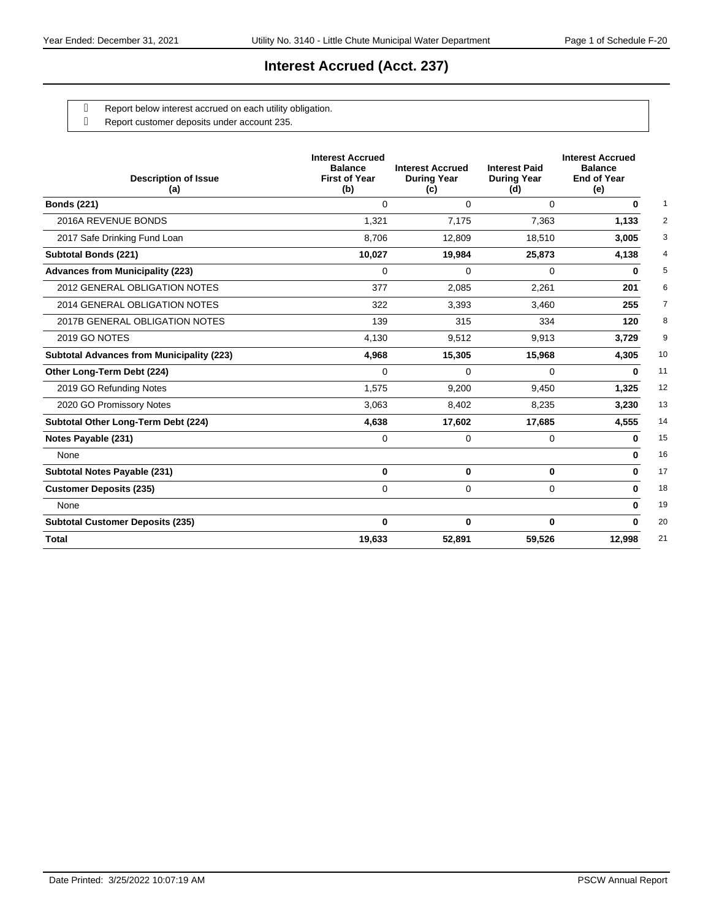## **Interest Accrued (Acct. 237)**

- g Report below interest accrued on each utility obligation.
- Report customer deposits under account 235.

| <b>Description of Issue</b><br>(a)               | <b>Interest Accrued</b><br><b>Balance</b><br><b>First of Year</b><br>(b) | <b>Interest Accrued</b><br><b>During Year</b><br>(c) | <b>Interest Paid</b><br><b>During Year</b><br>(d) | <b>Interest Accrued</b><br><b>Balance</b><br><b>End of Year</b><br>(e) |
|--------------------------------------------------|--------------------------------------------------------------------------|------------------------------------------------------|---------------------------------------------------|------------------------------------------------------------------------|
| <b>Bonds (221)</b>                               | $\Omega$                                                                 | $\Omega$                                             | $\Omega$                                          | 0                                                                      |
| 2016A REVENUE BONDS                              | 1,321                                                                    | 7,175                                                | 7,363                                             | 1,133                                                                  |
| 2017 Safe Drinking Fund Loan                     | 8,706                                                                    | 12,809                                               | 18,510                                            | 3,005                                                                  |
| <b>Subtotal Bonds (221)</b>                      | 10,027                                                                   | 19,984                                               | 25,873                                            | 4,138                                                                  |
| <b>Advances from Municipality (223)</b>          | $\Omega$                                                                 | $\Omega$                                             | $\Omega$                                          | 0                                                                      |
| 2012 GENERAL OBLIGATION NOTES                    | 377                                                                      | 2,085                                                | 2,261                                             | 201                                                                    |
| 2014 GENERAL OBLIGATION NOTES                    | 322                                                                      | 3,393                                                | 3.460                                             | 255                                                                    |
| 2017B GENERAL OBLIGATION NOTES                   | 139                                                                      | 315                                                  | 334                                               | 120                                                                    |
| 2019 GO NOTES                                    | 4,130                                                                    | 9,512                                                | 9,913                                             | 3,729                                                                  |
| <b>Subtotal Advances from Municipality (223)</b> | 4.968                                                                    | 15,305                                               | 15,968                                            | 4,305                                                                  |
| Other Long-Term Debt (224)                       | $\Omega$                                                                 | 0                                                    | 0                                                 | 0                                                                      |
| 2019 GO Refunding Notes                          | 1,575                                                                    | 9,200                                                | 9,450                                             | 1,325                                                                  |
| 2020 GO Promissory Notes                         | 3.063                                                                    | 8.402                                                | 8.235                                             | 3.230                                                                  |
| Subtotal Other Long-Term Debt (224)              | 4,638                                                                    | 17,602                                               | 17,685                                            | 4,555                                                                  |
| Notes Payable (231)                              | $\Omega$                                                                 | $\Omega$                                             | $\Omega$                                          | 0                                                                      |
| None                                             |                                                                          |                                                      |                                                   | $\bf{0}$                                                               |
| Subtotal Notes Payable (231)                     | $\bf{0}$                                                                 | $\bf{0}$                                             | $\mathbf{0}$                                      | 0                                                                      |
| <b>Customer Deposits (235)</b>                   | $\Omega$                                                                 | $\Omega$                                             | $\Omega$                                          | 0                                                                      |
| None                                             |                                                                          |                                                      |                                                   | 0                                                                      |
| <b>Subtotal Customer Deposits (235)</b>          | $\bf{0}$                                                                 | $\bf{0}$                                             | 0                                                 | U                                                                      |
| <b>Total</b>                                     | 19,633                                                                   | 52,891                                               | 59,526                                            | 12,998                                                                 |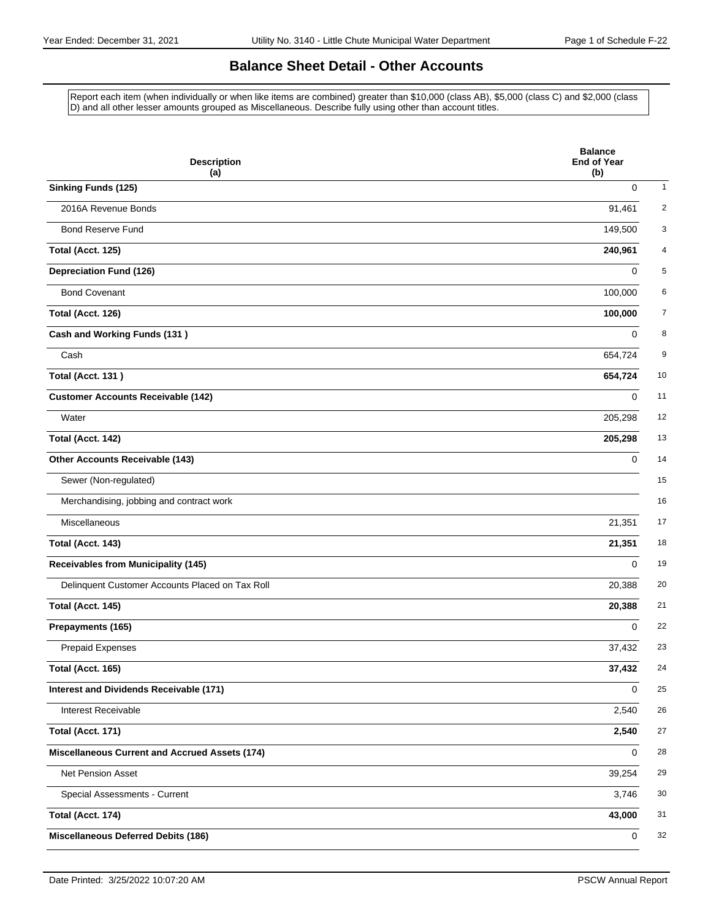### **Balance Sheet Detail - Other Accounts**

Report each item (when individually or when like items are combined) greater than \$10,000 (class AB), \$5,000 (class C) and \$2,000 (class D) and all other lesser amounts grouped as Miscellaneous. Describe fully using other than account titles.

| <b>Description</b><br>(a)                             | <b>Balance</b><br><b>End of Year</b><br>(b) |
|-------------------------------------------------------|---------------------------------------------|
| <b>Sinking Funds (125)</b>                            | $\mathbf 0$<br>1                            |
| 2016A Revenue Bonds                                   | 2<br>91,461                                 |
| <b>Bond Reserve Fund</b>                              | 3<br>149,500                                |
| Total (Acct. 125)                                     | 4<br>240,961                                |
| <b>Depreciation Fund (126)</b>                        | 5<br>$\Omega$                               |
| <b>Bond Covenant</b>                                  | 6<br>100,000                                |
| Total (Acct. 126)                                     | 7<br>100,000                                |
| <b>Cash and Working Funds (131)</b>                   | 8<br>0                                      |
| Cash                                                  | 9<br>654,724                                |
| Total (Acct. 131)                                     | 10<br>654,724                               |
| <b>Customer Accounts Receivable (142)</b>             | 11<br>$\Omega$                              |
| Water                                                 | 12<br>205,298                               |
| Total (Acct. 142)                                     | 13<br>205,298                               |
| Other Accounts Receivable (143)                       | 14<br>$\Omega$                              |
| Sewer (Non-regulated)                                 | 15                                          |
| Merchandising, jobbing and contract work              | 16                                          |
| Miscellaneous                                         | 21,351<br>17                                |
| Total (Acct. 143)                                     | 21,351<br>18                                |
| <b>Receivables from Municipality (145)</b>            | 19<br>$\Omega$                              |
| Delinquent Customer Accounts Placed on Tax Roll       | 20<br>20,388                                |
| Total (Acct. 145)                                     | 21<br>20,388                                |
| Prepayments (165)                                     | 22<br>$\Omega$                              |
| Prepaid Expenses                                      | 37,432<br>23                                |
| Total (Acct. 165)                                     | 37,432<br>24                                |
| Interest and Dividends Receivable (171)               | 25<br>0                                     |
| Interest Receivable                                   | 2,540<br>26                                 |
| Total (Acct. 171)                                     | 27<br>2,540                                 |
| <b>Miscellaneous Current and Accrued Assets (174)</b> | 28<br>0                                     |
| Net Pension Asset                                     | 29<br>39,254                                |
| Special Assessments - Current                         | 30<br>3,746                                 |
| Total (Acct. 174)                                     | 31<br>43,000                                |
| <b>Miscellaneous Deferred Debits (186)</b>            | 32<br>$\mathbf 0$                           |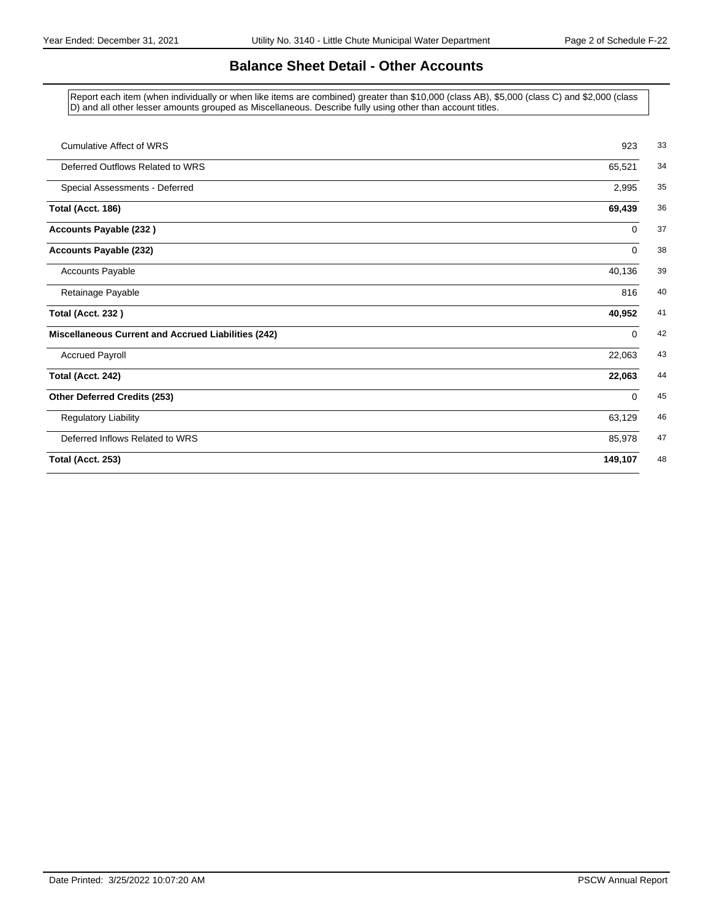## **Balance Sheet Detail - Other Accounts**

Report each item (when individually or when like items are combined) greater than \$10,000 (class AB), \$5,000 (class C) and \$2,000 (class D) and all other lesser amounts grouped as Miscellaneous. Describe fully using other than account titles.

| <b>Cumulative Affect of WRS</b>                     | 923         |
|-----------------------------------------------------|-------------|
| Deferred Outflows Related to WRS                    | 65,521      |
| Special Assessments - Deferred                      | 2,995       |
| Total (Acct. 186)                                   | 69,439      |
| Accounts Payable (232)                              | 0           |
| <b>Accounts Payable (232)</b>                       | $\mathbf 0$ |
| <b>Accounts Payable</b>                             | 40,136      |
| Retainage Payable                                   | 816         |
| <b>Total (Acct. 232)</b>                            | 40,952      |
| Miscellaneous Current and Accrued Liabilities (242) | $\mathbf 0$ |
| <b>Accrued Payroll</b>                              | 22,063      |
| Total (Acct. 242)                                   | 22,063      |
| Other Deferred Credits (253)                        | $\mathbf 0$ |
| <b>Regulatory Liability</b>                         | 63,129      |
| Deferred Inflows Related to WRS                     | 85,978      |
| Total (Acct. 253)                                   | 149,107     |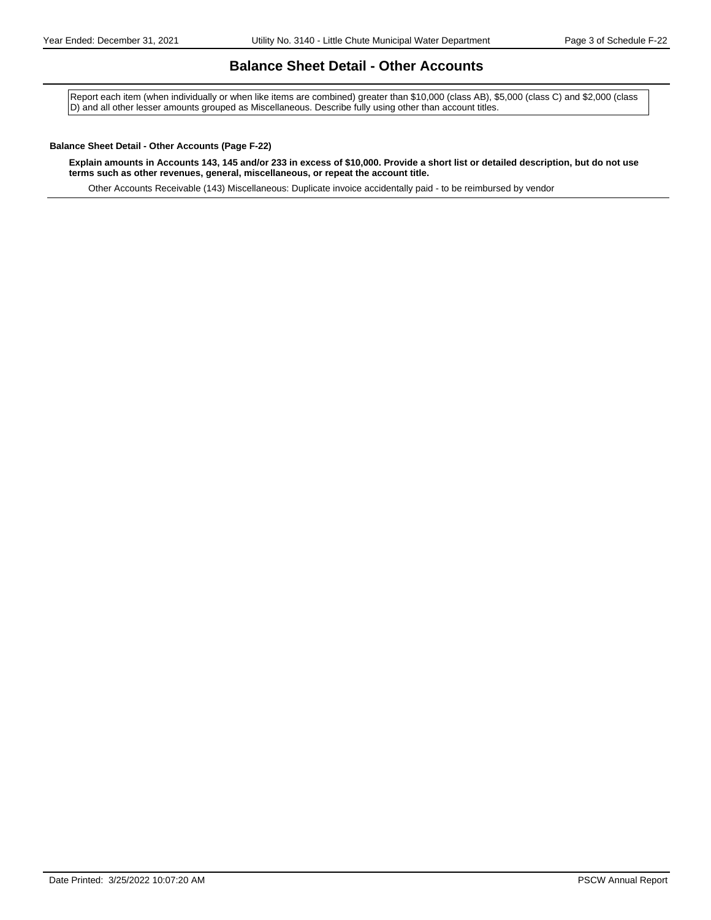#### **Balance Sheet Detail - Other Accounts**

Report each item (when individually or when like items are combined) greater than \$10,000 (class AB), \$5,000 (class C) and \$2,000 (class D) and all other lesser amounts grouped as Miscellaneous. Describe fully using other than account titles.

#### **Balance Sheet Detail - Other Accounts (Page F-22)**

**Explain amounts in Accounts 143, 145 and/or 233 in excess of \$10,000. Provide a short list or detailed description, but do not use terms such as other revenues, general, miscellaneous, or repeat the account title.**

Other Accounts Receivable (143) Miscellaneous: Duplicate invoice accidentally paid - to be reimbursed by vendor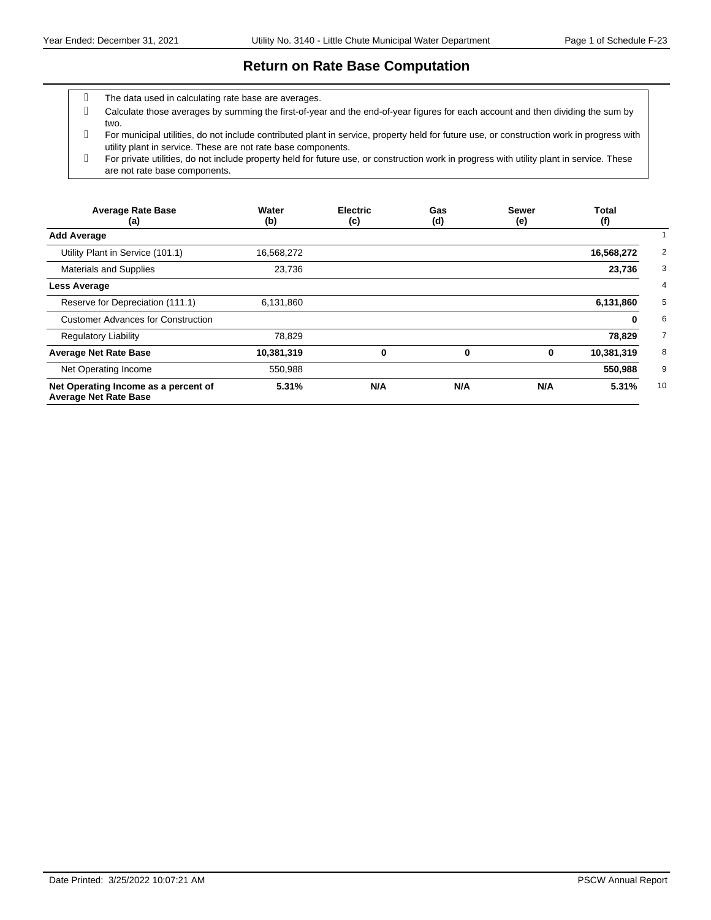#### **Return on Rate Base Computation**

- The data used in calculating rate base are averages.
- Calculate those averages by summing the first-of-year and the end-of-year figures for each account and then dividing the sum by two.
- For municipal utilities, do not include contributed plant in service, property held for future use, or construction work in progress with utility plant in service. These are not rate base components.
- For private utilities, do not include property held for future use, or construction work in progress with utility plant in service. These are not rate base components.

| <b>Average Rate Base</b><br>(a)                                      | Water<br>(b) | <b>Electric</b><br>(c) | Gas<br>(d) | <b>Sewer</b><br>(e) | <b>Total</b><br>(f) |
|----------------------------------------------------------------------|--------------|------------------------|------------|---------------------|---------------------|
| <b>Add Average</b>                                                   |              |                        |            |                     |                     |
| Utility Plant in Service (101.1)                                     | 16,568,272   |                        |            |                     | 16,568,272          |
| <b>Materials and Supplies</b>                                        | 23,736       |                        |            |                     | 23,736              |
| <b>Less Average</b>                                                  |              |                        |            |                     |                     |
| Reserve for Depreciation (111.1)                                     | 6,131,860    |                        |            |                     | 6,131,860           |
| <b>Customer Advances for Construction</b>                            |              |                        |            |                     | 0                   |
| <b>Regulatory Liability</b>                                          | 78,829       |                        |            |                     | 78,829              |
| <b>Average Net Rate Base</b>                                         | 10,381,319   | 0                      | 0          | 0                   | 10,381,319          |
| Net Operating Income                                                 | 550,988      |                        |            |                     | 550,988             |
| Net Operating Income as a percent of<br><b>Average Net Rate Base</b> | 5.31%        | N/A                    | N/A        | N/A                 | 5.31%               |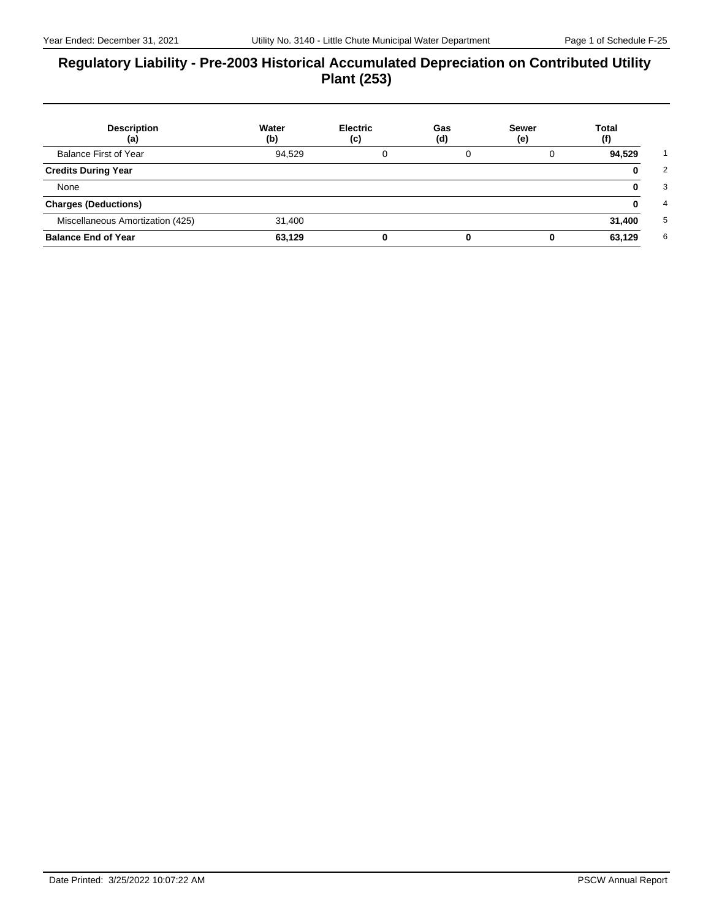### **Regulatory Liability - Pre-2003 Historical Accumulated Depreciation on Contributed Utility Plant (253)**

| <b>Description</b><br>(a)        | Water<br>(b) | <b>Electric</b><br>(c) | Gas<br>(d) | <b>Sewer</b><br>(e) | <b>Total</b><br>(f) |
|----------------------------------|--------------|------------------------|------------|---------------------|---------------------|
| Balance First of Year            | 94,529       |                        |            |                     | 94,529              |
| <b>Credits During Year</b>       |              |                        |            |                     | O                   |
| None                             |              |                        |            |                     | o                   |
| <b>Charges (Deductions)</b>      |              |                        |            |                     |                     |
| Miscellaneous Amortization (425) | 31,400       |                        |            |                     | 31,400              |
| <b>Balance End of Year</b>       | 63,129       |                        |            |                     | 63,129              |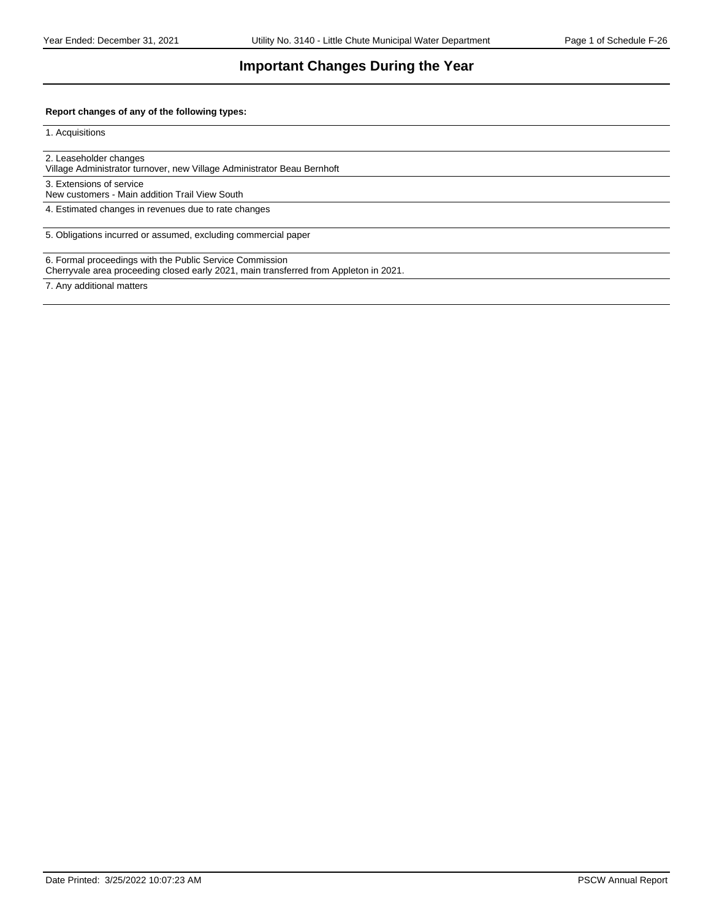## **Important Changes During the Year**

#### **Report changes of any of the following types:**

1. Acquisitions

2. Leaseholder changes

Village Administrator turnover, new Village Administrator Beau Bernhoft

3. Extensions of service

New customers - Main addition Trail View South

4. Estimated changes in revenues due to rate changes

5. Obligations incurred or assumed, excluding commercial paper

6. Formal proceedings with the Public Service Commission

Cherryvale area proceeding closed early 2021, main transferred from Appleton in 2021.

7. Any additional matters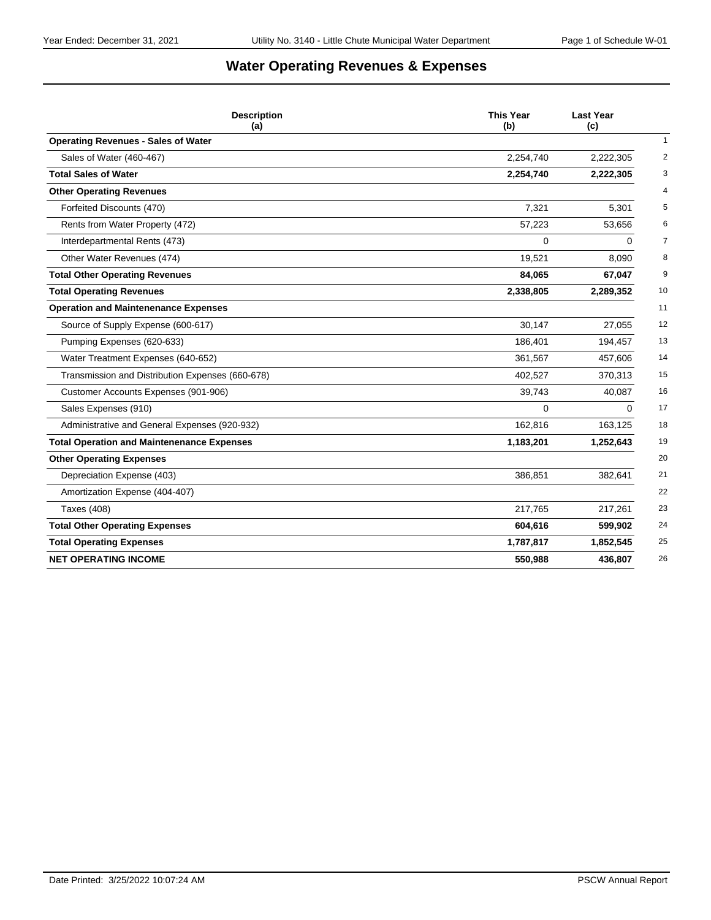# **Water Operating Revenues & Expenses**

| <b>Description</b><br>(a)                         | <b>This Year</b><br>(b) | <b>Last Year</b><br>(c)     |
|---------------------------------------------------|-------------------------|-----------------------------|
| <b>Operating Revenues - Sales of Water</b>        |                         | $\mathbf{1}$                |
| Sales of Water (460-467)                          | 2,254,740               | $\overline{2}$<br>2,222,305 |
| <b>Total Sales of Water</b>                       | 2,254,740               | 3<br>2,222,305              |
| <b>Other Operating Revenues</b>                   |                         | $\overline{4}$              |
| Forfeited Discounts (470)                         | 7,321                   | 5<br>5,301                  |
| Rents from Water Property (472)                   | 57,223                  | 53,656<br>6                 |
| Interdepartmental Rents (473)                     | 0                       | $\overline{7}$<br>0         |
| Other Water Revenues (474)                        | 19,521                  | 8<br>8,090                  |
| <b>Total Other Operating Revenues</b>             | 84,065                  | 67,047<br>9                 |
| <b>Total Operating Revenues</b>                   | 2,338,805               | 10<br>2,289,352             |
| <b>Operation and Maintenenance Expenses</b>       |                         | 11                          |
| Source of Supply Expense (600-617)                | 30.147                  | 12<br>27,055                |
| Pumping Expenses (620-633)                        | 186,401                 | 13<br>194,457               |
| Water Treatment Expenses (640-652)                | 361,567                 | 14<br>457,606               |
| Transmission and Distribution Expenses (660-678)  | 402,527                 | 15<br>370,313               |
| Customer Accounts Expenses (901-906)              | 39,743                  | 16<br>40,087                |
| Sales Expenses (910)                              | 0                       | 17<br>0                     |
| Administrative and General Expenses (920-932)     | 162,816                 | 163,125<br>18               |
| <b>Total Operation and Maintenenance Expenses</b> | 1,183,201               | 1,252,643<br>19             |
| <b>Other Operating Expenses</b>                   |                         | 20                          |
| Depreciation Expense (403)                        | 386,851                 | 382,641<br>21               |
| Amortization Expense (404-407)                    |                         | 22                          |
| <b>Taxes (408)</b>                                | 217,765                 | 23<br>217,261               |
| <b>Total Other Operating Expenses</b>             | 604,616                 | 24<br>599,902               |
| <b>Total Operating Expenses</b>                   | 1,787,817               | 25<br>1,852,545             |
| <b>NET OPERATING INCOME</b>                       | 550,988                 | 436,807<br>26               |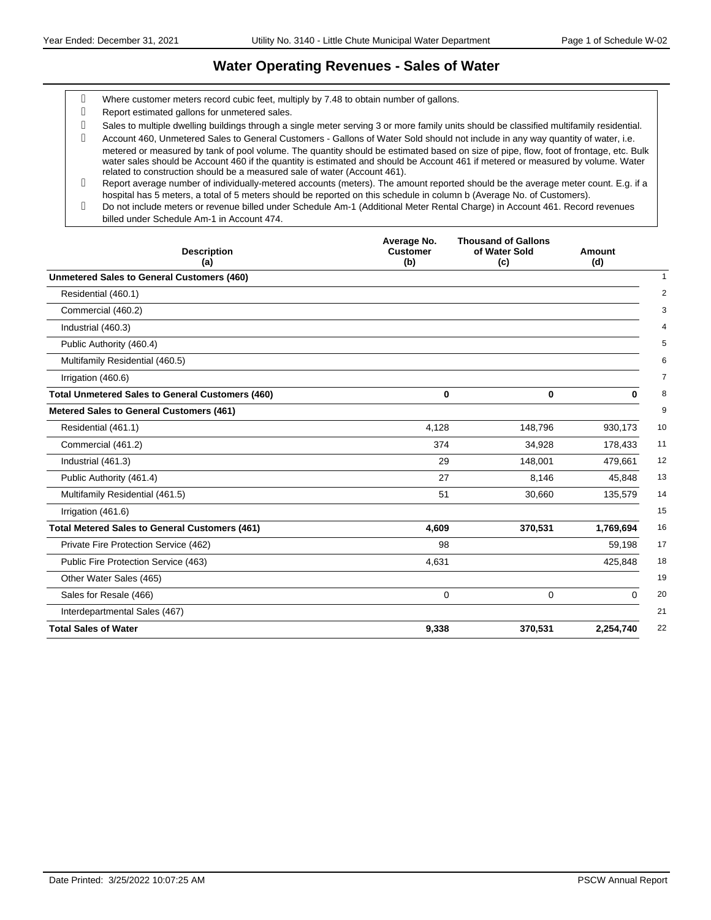## **Water Operating Revenues - Sales of Water**

- Where customer meters record cubic feet, multiply by 7.48 to obtain number of gallons.
- Report estimated gallons for unmetered sales.
- Sales to multiple dwelling buildings through a single meter serving 3 or more family units should be classified multifamily residential.

 Account 460, Unmetered Sales to General Customers - Gallons of Water Sold should not include in any way quantity of water, i.e. metered or measured by tank of pool volume. The quantity should be estimated based on size of pipe, flow, foot of frontage, etc. Bulk water sales should be Account 460 if the quantity is estimated and should be Account 461 if metered or measured by volume. Water related to construction should be a measured sale of water (Account 461).

Do not include meters or revenue billed under Schedule Am-1 (Additional Meter Rental Charge) in Account 461. Record revenues billed under Schedule Am-1 in Account 474.

| <b>Description</b><br>(a)                               | Average No.<br><b>Customer</b><br>(b) | <b>Thousand of Gallons</b><br>of Water Sold<br>(c) | Amount<br>(d) |
|---------------------------------------------------------|---------------------------------------|----------------------------------------------------|---------------|
| <b>Unmetered Sales to General Customers (460)</b>       |                                       |                                                    |               |
| Residential (460.1)                                     |                                       |                                                    |               |
| Commercial (460.2)                                      |                                       |                                                    |               |
| Industrial (460.3)                                      |                                       |                                                    |               |
| Public Authority (460.4)                                |                                       |                                                    |               |
| Multifamily Residential (460.5)                         |                                       |                                                    |               |
| Irrigation (460.6)                                      |                                       |                                                    |               |
| <b>Total Unmetered Sales to General Customers (460)</b> | $\bf{0}$                              | $\mathbf 0$                                        | 0             |
| <b>Metered Sales to General Customers (461)</b>         |                                       |                                                    |               |
| Residential (461.1)                                     | 4,128                                 | 148,796                                            | 930,173       |
| Commercial (461.2)                                      | 374                                   | 34,928                                             | 178,433       |
| Industrial (461.3)                                      | 29                                    | 148,001                                            | 479,661       |
| Public Authority (461.4)                                | 27                                    | 8,146                                              | 45,848        |
| Multifamily Residential (461.5)                         | 51                                    | 30,660                                             | 135,579       |
| Irrigation (461.6)                                      |                                       |                                                    |               |
| <b>Total Metered Sales to General Customers (461)</b>   | 4,609                                 | 370,531                                            | 1,769,694     |
| Private Fire Protection Service (462)                   | 98                                    |                                                    | 59,198        |
| Public Fire Protection Service (463)                    | 4,631                                 |                                                    | 425,848       |
| Other Water Sales (465)                                 |                                       |                                                    |               |
| Sales for Resale (466)                                  | 0                                     | 0                                                  | 0             |
| Interdepartmental Sales (467)                           |                                       |                                                    |               |
| <b>Total Sales of Water</b>                             | 9,338                                 | 370,531                                            | 2,254,740     |

Report average number of individually-metered accounts (meters). The amount reported should be the average meter count. E.g. if a hospital has 5 meters, a total of 5 meters should be reported on this schedule in column b (Average No. of Customers).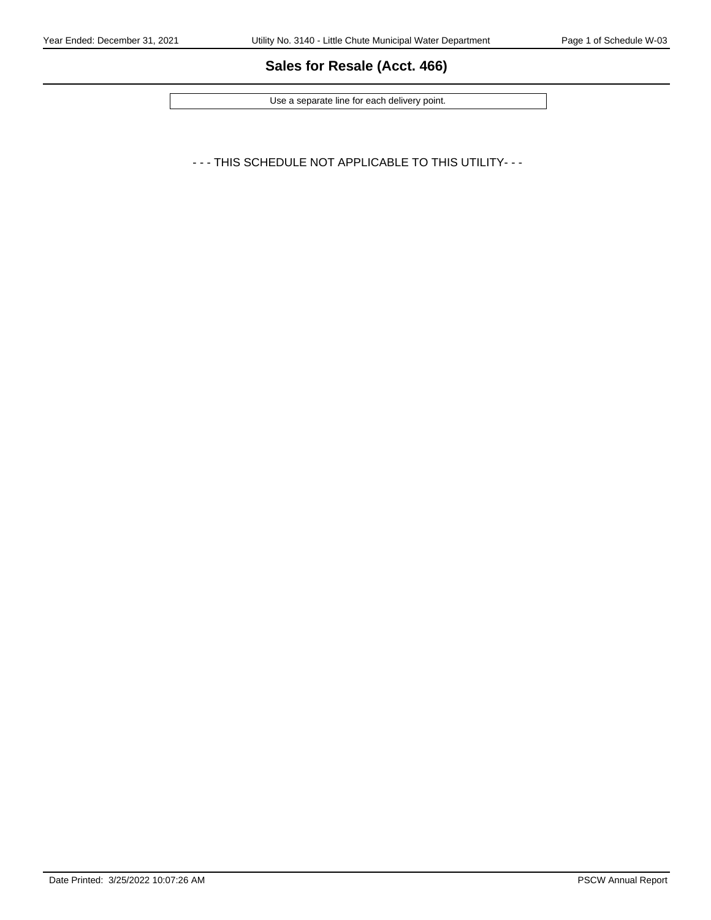# **Sales for Resale (Acct. 466)**

Use a separate line for each delivery point.

- - - THIS SCHEDULE NOT APPLICABLE TO THIS UTILITY- - -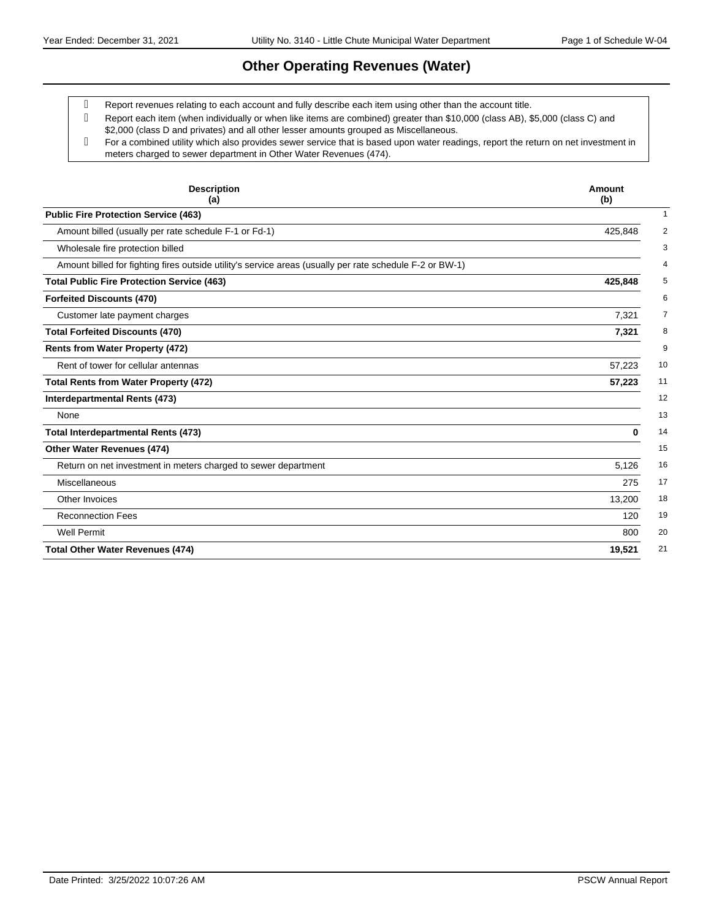## **Other Operating Revenues (Water)**

Report revenues relating to each account and fully describe each item using other than the account title.

- Report each item (when individually or when like items are combined) greater than \$10,000 (class AB), \$5,000 (class C) and \$2,000 (class D and privates) and all other lesser amounts grouped as Miscellaneous.
- For a combined utility which also provides sewer service that is based upon water readings, report the return on net investment in meters charged to sewer department in Other Water Revenues (474).

| <b>Description</b><br>(a)                                                                                | Amount<br>(b) |
|----------------------------------------------------------------------------------------------------------|---------------|
| <b>Public Fire Protection Service (463)</b>                                                              |               |
| Amount billed (usually per rate schedule F-1 or Fd-1)                                                    | 425,848       |
| Wholesale fire protection billed                                                                         |               |
| Amount billed for fighting fires outside utility's service areas (usually per rate schedule F-2 or BW-1) |               |
| <b>Total Public Fire Protection Service (463)</b>                                                        | 425,848       |
| <b>Forfeited Discounts (470)</b>                                                                         |               |
| Customer late payment charges                                                                            | 7,321         |
| <b>Total Forfeited Discounts (470)</b>                                                                   | 7,321         |
| <b>Rents from Water Property (472)</b>                                                                   |               |
| Rent of tower for cellular antennas                                                                      | 57,223        |
| <b>Total Rents from Water Property (472)</b>                                                             | 57,223        |
| Interdepartmental Rents (473)                                                                            |               |
| None                                                                                                     |               |
| <b>Total Interdepartmental Rents (473)</b>                                                               | 0             |
| Other Water Revenues (474)                                                                               |               |
| Return on net investment in meters charged to sewer department                                           | 5,126         |
| Miscellaneous                                                                                            | 275           |
| Other Invoices                                                                                           | 13,200        |
| <b>Reconnection Fees</b>                                                                                 | 120           |
| <b>Well Permit</b>                                                                                       | 800           |
| <b>Total Other Water Revenues (474)</b>                                                                  | 19,521        |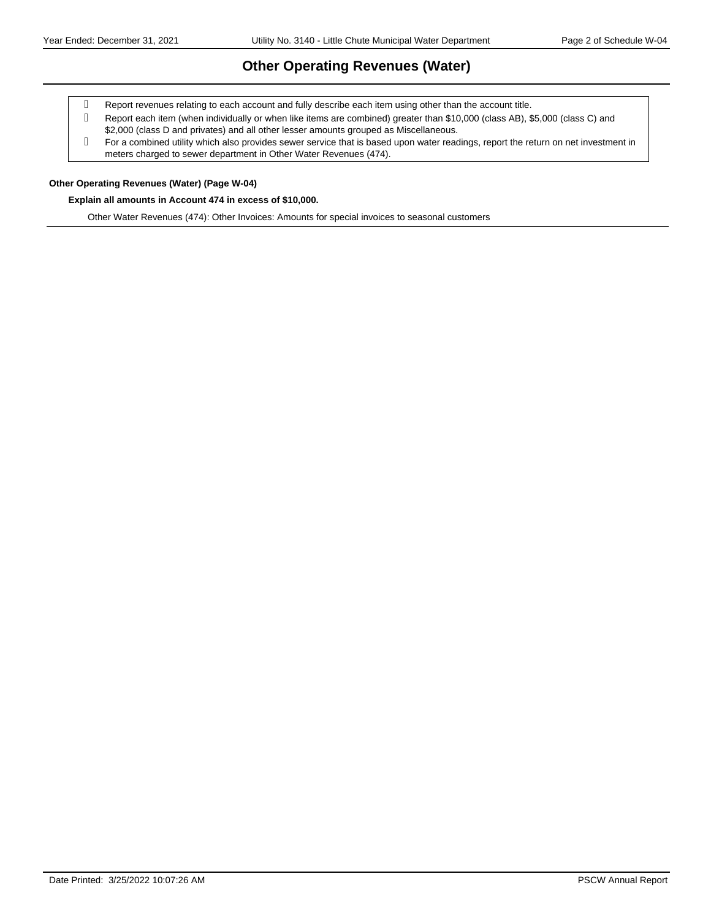# **Other Operating Revenues (Water)**

- Report revenues relating to each account and fully describe each item using other than the account title.
- Report each item (when individually or when like items are combined) greater than \$10,000 (class AB), \$5,000 (class C) and \$2,000 (class D and privates) and all other lesser amounts grouped as Miscellaneous.
- For a combined utility which also provides sewer service that is based upon water readings, report the return on net investment in meters charged to sewer department in Other Water Revenues (474).

#### **Other Operating Revenues (Water) (Page W-04)**

#### **Explain all amounts in Account 474 in excess of \$10,000.**

Other Water Revenues (474): Other Invoices: Amounts for special invoices to seasonal customers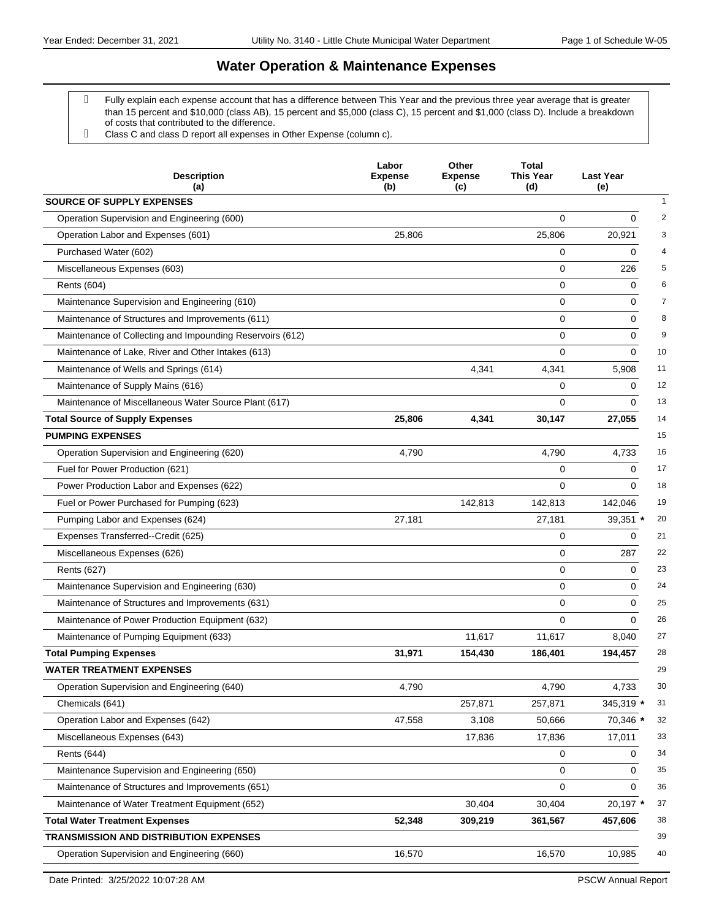- Fully explain each expense account that has a difference between This Year and the previous three year average that is greater than 15 percent and \$10,000 (class AB), 15 percent and \$5,000 (class C), 15 percent and \$1,000 (class D). Include a breakdown of costs that contributed to the difference.
- Class C and class D report all expenses in Other Expense (column c).

| <b>Description</b><br>(a)                                 | Labor<br><b>Expense</b><br>(b) | Other<br><b>Expense</b><br>(c) | <b>Total</b><br>This Year<br>(d) | <b>Last Year</b><br>(e)       |
|-----------------------------------------------------------|--------------------------------|--------------------------------|----------------------------------|-------------------------------|
| <b>SOURCE OF SUPPLY EXPENSES</b>                          |                                |                                |                                  | $\mathbf{1}$                  |
| Operation Supervision and Engineering (600)               |                                |                                | $\Omega$                         | $\mathbf 0$<br>$\overline{2}$ |
| Operation Labor and Expenses (601)                        | 25,806                         |                                | 25,806                           | 3<br>20,921                   |
| Purchased Water (602)                                     |                                |                                | 0                                | 4<br>0                        |
| Miscellaneous Expenses (603)                              |                                |                                | 0                                | 5<br>226                      |
| Rents (604)                                               |                                |                                | 0                                | 6<br>0                        |
| Maintenance Supervision and Engineering (610)             |                                |                                | 0                                | $\overline{7}$<br>0           |
| Maintenance of Structures and Improvements (611)          |                                |                                | 0                                | 8<br>$\Omega$                 |
| Maintenance of Collecting and Impounding Reservoirs (612) |                                |                                | 0                                | 9<br>0                        |
| Maintenance of Lake, River and Other Intakes (613)        |                                |                                | 0                                | 10<br>0                       |
| Maintenance of Wells and Springs (614)                    |                                | 4,341                          | 4,341                            | 11<br>5,908                   |
| Maintenance of Supply Mains (616)                         |                                |                                | 0                                | 12<br>$\Omega$                |
| Maintenance of Miscellaneous Water Source Plant (617)     |                                |                                | 0                                | 13<br>$\Omega$                |
| <b>Total Source of Supply Expenses</b>                    | 25,806                         | 4,341                          | 30,147                           | 14<br>27,055                  |
| <b>PUMPING EXPENSES</b>                                   |                                |                                |                                  | 15                            |
| Operation Supervision and Engineering (620)               | 4,790                          |                                | 4,790                            | 16<br>4,733                   |
| Fuel for Power Production (621)                           |                                |                                | 0                                | 17<br>$\Omega$                |
| Power Production Labor and Expenses (622)                 |                                |                                | 0                                | 18<br>$\Omega$                |
| Fuel or Power Purchased for Pumping (623)                 |                                | 142,813                        | 142,813                          | 19<br>142,046                 |
| Pumping Labor and Expenses (624)                          | 27,181                         |                                | 27,181                           | 39,351 *<br>20                |
| Expenses Transferred--Credit (625)                        |                                |                                | 0                                | $\mathbf 0$<br>21             |
| Miscellaneous Expenses (626)                              |                                |                                | 0                                | 22<br>287                     |
| <b>Rents (627)</b>                                        |                                |                                | 0                                | 23<br>0                       |
| Maintenance Supervision and Engineering (630)             |                                |                                | 0                                | 24<br>0                       |
| Maintenance of Structures and Improvements (631)          |                                |                                | $\mathbf 0$                      | 0<br>25                       |
| Maintenance of Power Production Equipment (632)           |                                |                                | 0                                | 26<br>0                       |
| Maintenance of Pumping Equipment (633)                    |                                | 11,617                         | 11,617                           | 27<br>8,040                   |
| <b>Total Pumping Expenses</b>                             | 31,971                         | 154,430                        | 186,401                          | 28<br>194,457                 |
| <b>WATER TREATMENT EXPENSES</b>                           |                                |                                |                                  | 29                            |
| Operation Supervision and Engineering (640)               | 4,790                          |                                | 4,790                            | 4,733<br>30                   |
| Chemicals (641)                                           |                                | 257,871                        | 257,871                          | 345,319 *<br>31               |
| Operation Labor and Expenses (642)                        | 47,558                         | 3,108                          | 50,666                           | 70,346 *<br>32                |
| Miscellaneous Expenses (643)                              |                                | 17,836                         | 17,836                           | 33<br>17,011                  |
| <b>Rents (644)</b>                                        |                                |                                | 0                                | 34<br>0                       |
| Maintenance Supervision and Engineering (650)             |                                |                                | 0                                | 0<br>35                       |
| Maintenance of Structures and Improvements (651)          |                                |                                | 0                                | 36<br>$\mathbf 0$             |
| Maintenance of Water Treatment Equipment (652)            |                                | 30,404                         | 30,404                           | 37<br>20,197 *                |
| <b>Total Water Treatment Expenses</b>                     | 52,348                         | 309,219                        | 361,567                          | 38<br>457,606                 |
| TRANSMISSION AND DISTRIBUTION EXPENSES                    |                                |                                |                                  | 39                            |
| Operation Supervision and Engineering (660)               | 16,570                         |                                | 16,570                           | 40<br>10,985                  |
|                                                           |                                |                                |                                  |                               |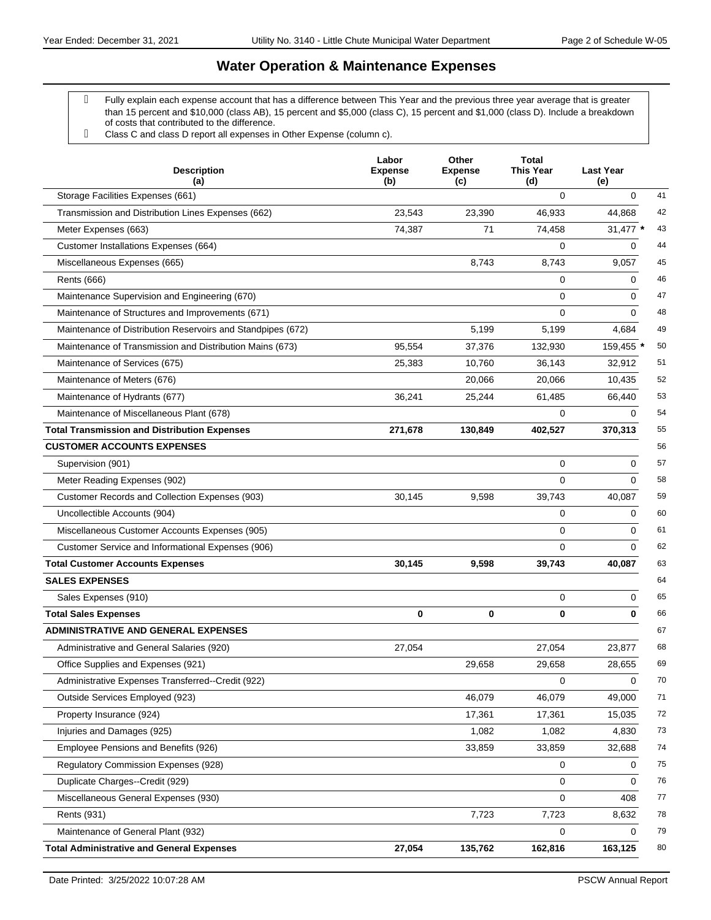- Fully explain each expense account that has a difference between This Year and the previous three year average that is greater than 15 percent and \$10,000 (class AB), 15 percent and \$5,000 (class C), 15 percent and \$1,000 (class D). Include a breakdown of costs that contributed to the difference.
- Class C and class D report all expenses in Other Expense (column c).

| <b>Description</b><br>(a)                                   | Labor<br><b>Expense</b><br>(b) | Other<br><b>Expense</b><br>(c) | <b>Total</b><br><b>This Year</b><br>(d) | <b>Last Year</b><br>(e) |    |
|-------------------------------------------------------------|--------------------------------|--------------------------------|-----------------------------------------|-------------------------|----|
| Storage Facilities Expenses (661)                           |                                |                                | 0                                       | $\mathbf 0$             | 41 |
| Transmission and Distribution Lines Expenses (662)          | 23,543                         | 23,390                         | 46.933                                  | 44,868                  | 42 |
| Meter Expenses (663)                                        | 74,387                         | 71                             | 74,458                                  | 31,477 *                | 43 |
| Customer Installations Expenses (664)                       |                                |                                | 0                                       | 0                       | 44 |
| Miscellaneous Expenses (665)                                |                                | 8,743                          | 8,743                                   | 9,057                   | 45 |
| <b>Rents (666)</b>                                          |                                |                                | 0                                       | 0                       | 46 |
| Maintenance Supervision and Engineering (670)               |                                |                                | 0                                       | 0                       | 47 |
| Maintenance of Structures and Improvements (671)            |                                |                                | $\Omega$                                | $\Omega$                | 48 |
| Maintenance of Distribution Reservoirs and Standpipes (672) |                                | 5,199                          | 5,199                                   | 4,684                   | 49 |
| Maintenance of Transmission and Distribution Mains (673)    | 95,554                         | 37,376                         | 132,930                                 | 159,455 *               | 50 |
| Maintenance of Services (675)                               | 25,383                         | 10,760                         | 36,143                                  | 32,912                  | 51 |
| Maintenance of Meters (676)                                 |                                | 20,066                         | 20,066                                  | 10,435                  | 52 |
| Maintenance of Hydrants (677)                               | 36,241                         | 25,244                         | 61,485                                  | 66,440                  | 53 |
| Maintenance of Miscellaneous Plant (678)                    |                                |                                | 0                                       | 0                       | 54 |
| <b>Total Transmission and Distribution Expenses</b>         | 271,678                        | 130,849                        | 402,527                                 | 370,313                 | 55 |
| <b>CUSTOMER ACCOUNTS EXPENSES</b>                           |                                |                                |                                         |                         | 56 |
| Supervision (901)                                           |                                |                                | 0                                       | 0                       | 57 |
| Meter Reading Expenses (902)                                |                                |                                | 0                                       | $\Omega$                | 58 |
| Customer Records and Collection Expenses (903)              | 30,145                         | 9,598                          | 39,743                                  | 40,087                  | 59 |
| Uncollectible Accounts (904)                                |                                |                                | 0                                       | 0                       | 60 |
| Miscellaneous Customer Accounts Expenses (905)              |                                |                                | 0                                       | 0                       | 61 |
| Customer Service and Informational Expenses (906)           |                                |                                | 0                                       | $\Omega$                | 62 |
| <b>Total Customer Accounts Expenses</b>                     | 30,145                         | 9,598                          | 39,743                                  | 40,087                  | 63 |
| <b>SALES EXPENSES</b>                                       |                                |                                |                                         |                         | 64 |
| Sales Expenses (910)                                        |                                |                                | 0                                       | 0                       | 65 |
| <b>Total Sales Expenses</b>                                 | 0                              | 0                              | 0                                       | 0                       | 66 |
| <b>ADMINISTRATIVE AND GENERAL EXPENSES</b>                  |                                |                                |                                         |                         | 67 |
| Administrative and General Salaries (920)                   | 27,054                         |                                | 27,054                                  | 23,877                  | 68 |
| Office Supplies and Expenses (921)                          |                                | 29,658                         | 29,658                                  | 28,655                  | 69 |
| Administrative Expenses Transferred--Credit (922)           |                                |                                | 0                                       | 0                       | 70 |
| Outside Services Employed (923)                             |                                | 46,079                         | 46,079                                  | 49,000                  | 71 |
| Property Insurance (924)                                    |                                | 17,361                         | 17,361                                  | 15,035                  | 72 |
| Injuries and Damages (925)                                  |                                | 1,082                          | 1,082                                   | 4,830                   | 73 |
| Employee Pensions and Benefits (926)                        |                                | 33,859                         | 33,859                                  | 32,688                  | 74 |
| Regulatory Commission Expenses (928)                        |                                |                                | 0                                       | 0                       | 75 |
| Duplicate Charges--Credit (929)                             |                                |                                | 0                                       | 0                       | 76 |
| Miscellaneous General Expenses (930)                        |                                |                                | 0                                       | 408                     | 77 |
| Rents (931)                                                 |                                | 7,723                          | 7,723                                   | 8,632                   | 78 |
| Maintenance of General Plant (932)                          |                                |                                | 0                                       | 0                       | 79 |
| <b>Total Administrative and General Expenses</b>            | 27,054                         | 135,762                        | 162,816                                 | 163,125                 | 80 |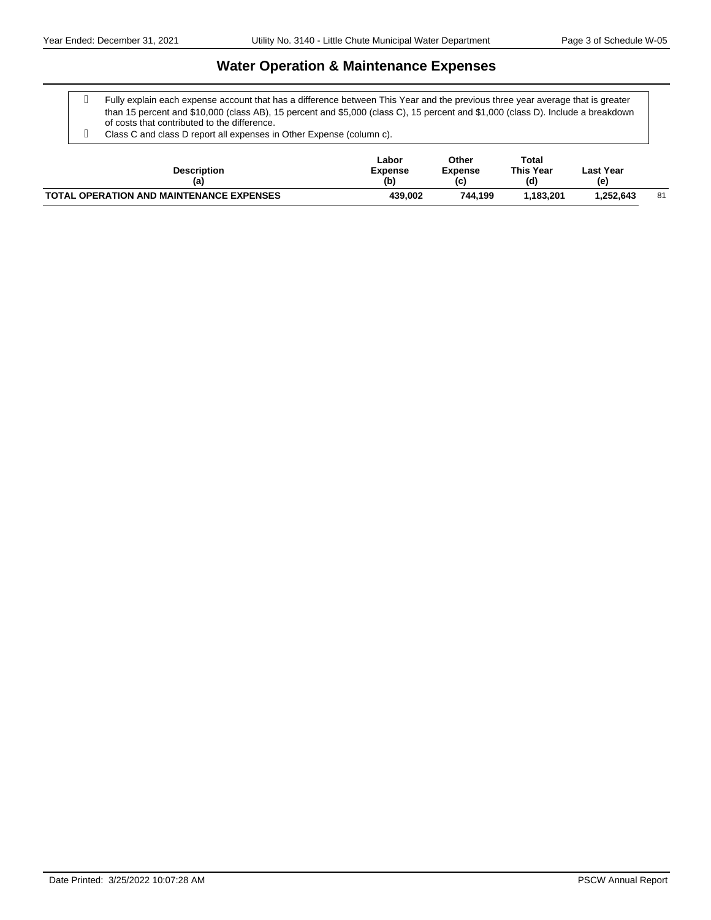Fully explain each expense account that has a difference between This Year and the previous three year average that is greater than 15 percent and \$10,000 (class AB), 15 percent and \$5,000 (class C), 15 percent and \$1,000 (class D). Include a breakdown of costs that contributed to the difference.

Class C and class D report all expenses in Other Expense (column c).

| <b>Description</b><br>(a)                       | ∟abor<br><b>Expense</b><br>(b) | Other<br><b>Expense</b><br>(c) | Total<br><b>This Year</b><br>(d) | Last Year<br>(e) |    |
|-------------------------------------------------|--------------------------------|--------------------------------|----------------------------------|------------------|----|
| <b>TOTAL OPERATION AND MAINTENANCE EXPENSES</b> | 439.002                        | 744.199                        | 1.183.201                        | .252.643         | 81 |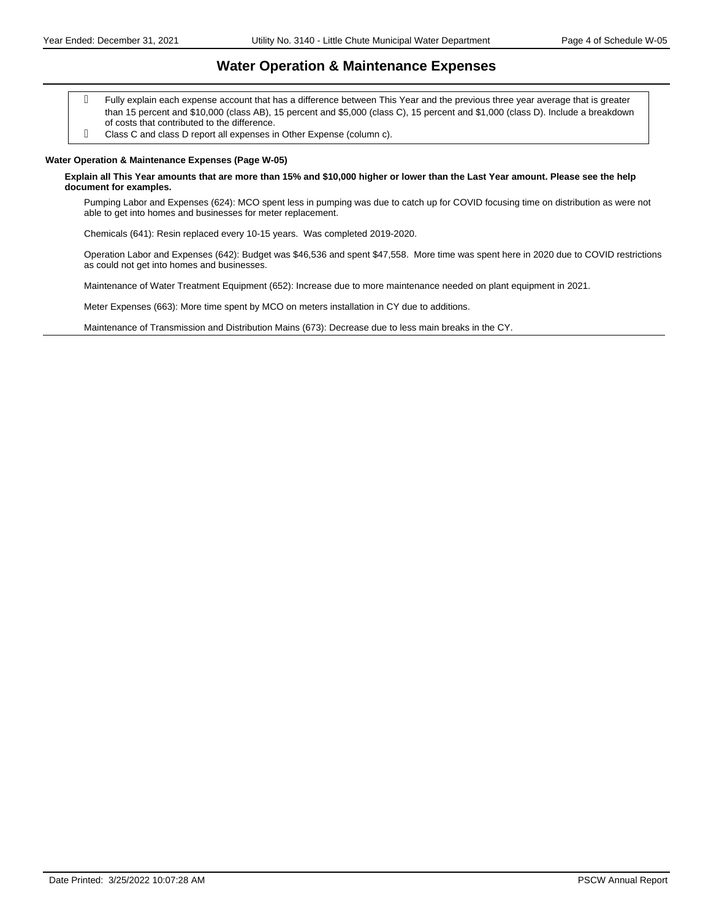- Fully explain each expense account that has a difference between This Year and the previous three year average that is greater than 15 percent and \$10,000 (class AB), 15 percent and \$5,000 (class C), 15 percent and \$1,000 (class D). Include a breakdown of costs that contributed to the difference.
- Class C and class D report all expenses in Other Expense (column c).

#### **Water Operation & Maintenance Expenses (Page W-05)**

#### **Explain all This Year amounts that are more than 15% and \$10,000 higher or lower than the Last Year amount. Please see the help document for examples.**

Pumping Labor and Expenses (624): MCO spent less in pumping was due to catch up for COVID focusing time on distribution as were not able to get into homes and businesses for meter replacement.

Chemicals (641): Resin replaced every 10-15 years. Was completed 2019-2020.

Operation Labor and Expenses (642): Budget was \$46,536 and spent \$47,558. More time was spent here in 2020 due to COVID restrictions as could not get into homes and businesses.

Maintenance of Water Treatment Equipment (652): Increase due to more maintenance needed on plant equipment in 2021.

Meter Expenses (663): More time spent by MCO on meters installation in CY due to additions.

Maintenance of Transmission and Distribution Mains (673): Decrease due to less main breaks in the CY.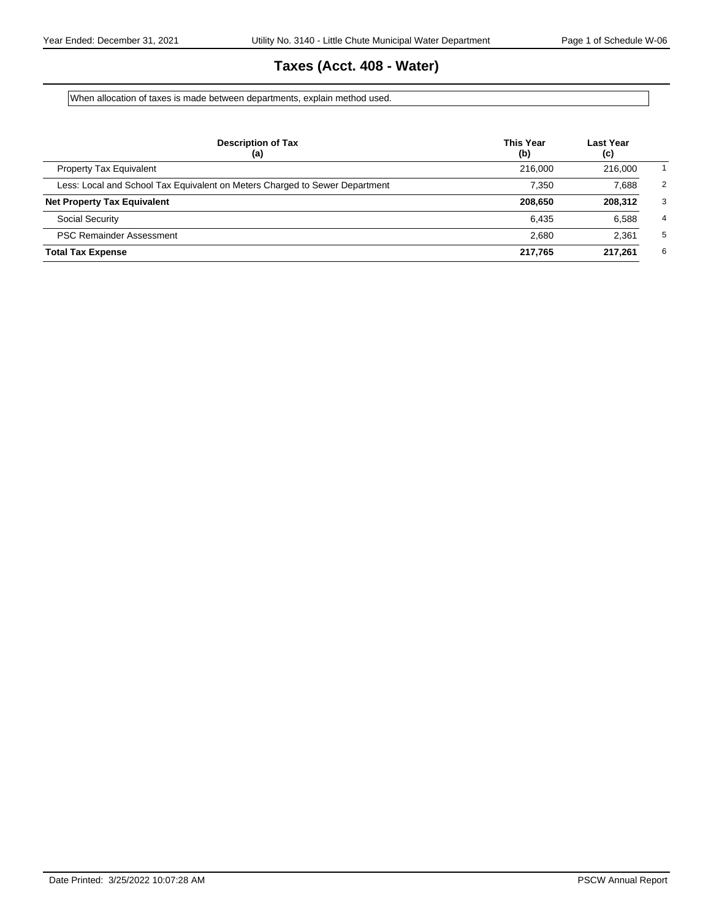# **Taxes (Acct. 408 - Water)**

When allocation of taxes is made between departments, explain method used.

| <b>Description of Tax</b><br>(a)                                            | <b>This Year</b><br>(b) | Last Year<br>(c) |                |
|-----------------------------------------------------------------------------|-------------------------|------------------|----------------|
| <b>Property Tax Equivalent</b>                                              | 216,000                 | 216,000          |                |
| Less: Local and School Tax Equivalent on Meters Charged to Sewer Department | 7.350                   | 7.688            | $\overline{2}$ |
| <b>Net Property Tax Equivalent</b>                                          | 208,650                 | 208.312          | 3              |
| <b>Social Security</b>                                                      | 6.435                   | 6,588            | $\overline{4}$ |
| <b>PSC Remainder Assessment</b>                                             | 2.680                   | 2.361            | 5              |
| <b>Total Tax Expense</b>                                                    | 217.765                 | 217.261          | 6              |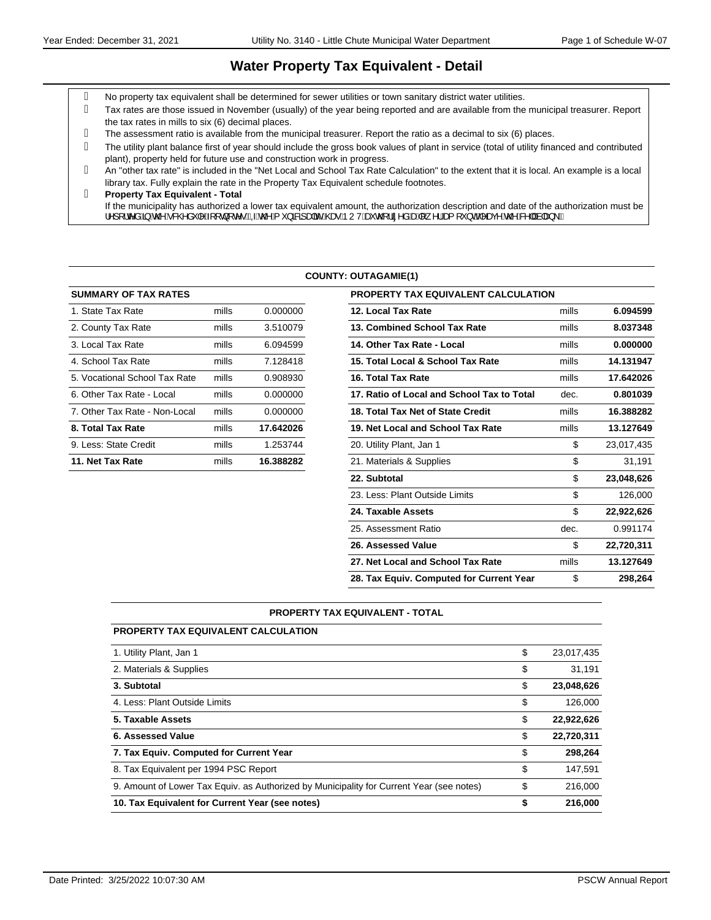#### **Water Property Tax Equivalent - Detail**

- No property tax equivalent shall be determined for sewer utilities or town sanitary district water utilities.
- Tax rates are those issued in November (usually) of the year being reported and are available from the municipal treasurer. Report the tax rates in mills to six (6) decimal places.
- The assessment ratio is available from the municipal treasurer. Report the ratio as a decimal to six (6) places.
- The utility plant balance first of year should include the gross book values of plant in service (total of utility financed and contributed plant), property held for future use and construction work in progress.
- An "other tax rate" is included in the "Net Local and School Tax Rate Calculation" to the extent that it is local. An example is a local library tax. Fully explain the rate in the Property Tax Equivalent schedule footnotes.
- **Property Tax Equivalent Total** If the municipality has authorized a lower tax equivalent amount, the authorization description and date of the authorization must be ¦^][¦c^åQ§Áx@Á&@åˇ|^Á{[ç}[c^∙BÁQÁx@Á{ˇ}āRz]a#āćÁ@eoÁÞUVÁæčo@¦ã^åÁæÁ∥¸^¦Áea{[ˇ}dBĂ^a@Á&^||Ás|aa}\BÁ

#### **COUNTY: OUTAGAMIE(1)**

| <b>SUMMARY OF TAX RATES</b>   |       |           | <b>PROPERTY TAX EQUIVALENT CALCULATION</b> |
|-------------------------------|-------|-----------|--------------------------------------------|
| 1. State Tax Rate             | mills | 0.000000  | 12. Local Tax Rate                         |
| 2. County Tax Rate            | mills | 3.510079  | 13. Combined School Tax Rate               |
| 3. Local Tax Rate             | mills | 6.094599  | 14. Other Tax Rate - Local                 |
| 4. School Tax Rate            | mills | 7.128418  | 15. Total Local & School Tax Rate          |
| 5. Vocational School Tax Rate | mills | 0.908930  | 16. Total Tax Rate                         |
| 6. Other Tax Rate - Local     | mills | 0.000000  | 17. Ratio of Local and School Tax to Total |
| 7. Other Tax Rate - Non-Local | mills | 0.000000  | 18. Total Tax Net of State Credit          |
| 8. Total Tax Rate             | mills | 17.642026 | 19. Net Local and School Tax Rate          |
| 9. Less: State Credit         | mills | 1.253744  | 20. Utility Plant, Jan 1                   |
| 11. Net Tax Rate              | mills | 16.388282 | 21. Materials & Supplies                   |
|                               |       |           | -------                                    |

| <b>SUMMARY OF TAX RATES</b>   |       |           | <b>PROPERTY TAX EQUIVALENT CALCULATION</b> |       |            |
|-------------------------------|-------|-----------|--------------------------------------------|-------|------------|
| 1. State Tax Rate             | mills | 0.000000  | 12. Local Tax Rate                         | mills | 6.094599   |
| 2. County Tax Rate            | mills | 3.510079  | 13. Combined School Tax Rate               | mills | 8.037348   |
| 3. Local Tax Rate             | mills | 6.094599  | 14. Other Tax Rate - Local                 | mills | 0.000000   |
| 4. School Tax Rate            | mills | 7.128418  | 15. Total Local & School Tax Rate          | mills | 14.131947  |
| 5. Vocational School Tax Rate | mills | 0.908930  | 16. Total Tax Rate                         | mills | 17.642026  |
| 6. Other Tax Rate - Local     | mills | 0.000000  | 17. Ratio of Local and School Tax to Total | dec.  | 0.801039   |
| 7. Other Tax Rate - Non-Local | mills | 0.000000  | 18. Total Tax Net of State Credit          | mills | 16.388282  |
| 8. Total Tax Rate             | mills | 17.642026 | 19. Net Local and School Tax Rate          | mills | 13.127649  |
| 9. Less: State Credit         | mills | 1.253744  | 20. Utility Plant, Jan 1                   | \$    | 23,017,435 |
| 11. Net Tax Rate              | mills | 16.388282 | 21. Materials & Supplies                   | \$    | 31,191     |
|                               |       |           | 22. Subtotal                               | \$    | 23,048,626 |
|                               |       |           | 23. Less: Plant Outside Limits             | \$    | 126,000    |
|                               |       |           | 24. Taxable Assets                         | \$    | 22,922,626 |
|                               |       |           | 25. Assessment Ratio                       | dec.  | 0.991174   |
|                               |       |           | 26. Assessed Value                         | \$    | 22,720,311 |
|                               |       |           | 27. Net Local and School Tax Rate          | mills | 13.127649  |
|                               |       |           | 28. Tax Equiv. Computed for Current Year   | \$    | 298.264    |

#### **PROPERTY TAX EQUIVALENT - TOTAL**

| <b>PROPERTY TAX EQUIVALENT CALCULATION</b> |  |
|--------------------------------------------|--|
|--------------------------------------------|--|

| 10. Tax Equivalent for Current Year (see notes)                                          | \$<br>216.000    |
|------------------------------------------------------------------------------------------|------------------|
| 9. Amount of Lower Tax Equiv. as Authorized by Municipality for Current Year (see notes) | \$<br>216,000    |
| 8. Tax Equivalent per 1994 PSC Report                                                    | \$<br>147.591    |
| 7. Tax Equiv. Computed for Current Year                                                  | \$<br>298.264    |
| 6. Assessed Value                                                                        | \$<br>22,720,311 |
| 5. Taxable Assets                                                                        | \$<br>22,922,626 |
| 4. Less: Plant Outside Limits                                                            | \$<br>126,000    |
| 3. Subtotal                                                                              | \$<br>23,048,626 |
| 2. Materials & Supplies                                                                  | \$<br>31,191     |
| 1. Utility Plant, Jan 1                                                                  | \$<br>23,017,435 |
|                                                                                          |                  |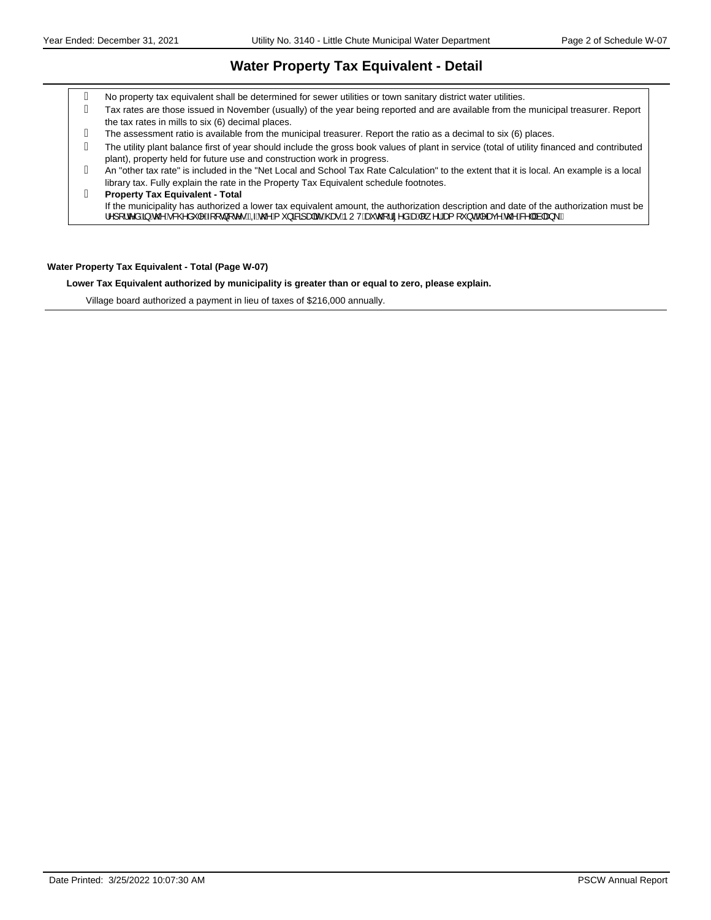#### **Water Property Tax Equivalent - Detail**

- No property tax equivalent shall be determined for sewer utilities or town sanitary district water utilities.
- Tax rates are those issued in November (usually) of the year being reported and are available from the municipal treasurer. Report the tax rates in mills to six (6) decimal places.
- The assessment ratio is available from the municipal treasurer. Report the ratio as a decimal to six (6) places.
- The utility plant balance first of year should include the gross book values of plant in service (total of utility financed and contributed plant), property held for future use and construction work in progress.
- An "other tax rate" is included in the "Net Local and School Tax Rate Calculation" to the extent that it is local. An example is a local library tax. Fully explain the rate in the Property Tax Equivalent schedule footnotes.

#### **Property Tax Equivalent - Total** If the municipality has authorized a lower tax equivalent amount, the authorization description and date of the authorization must be ¦^][¦c^åQ§Áx@Á&@åˇ|^Á{[ç}[c^∙BÁQÁx@Á{ˇ}āRz]a#āćÁ@eoÁÞUVÁæčo@¦ã^åÁæÁ∥¸^¦Áea{[ˇ}dBĂ^a@Á&^||Ás|aa}\BÁ

#### **Water Property Tax Equivalent - Total (Page W-07)**

**Lower Tax Equivalent authorized by municipality is greater than or equal to zero, please explain.**

Village board authorized a payment in lieu of taxes of \$216,000 annually.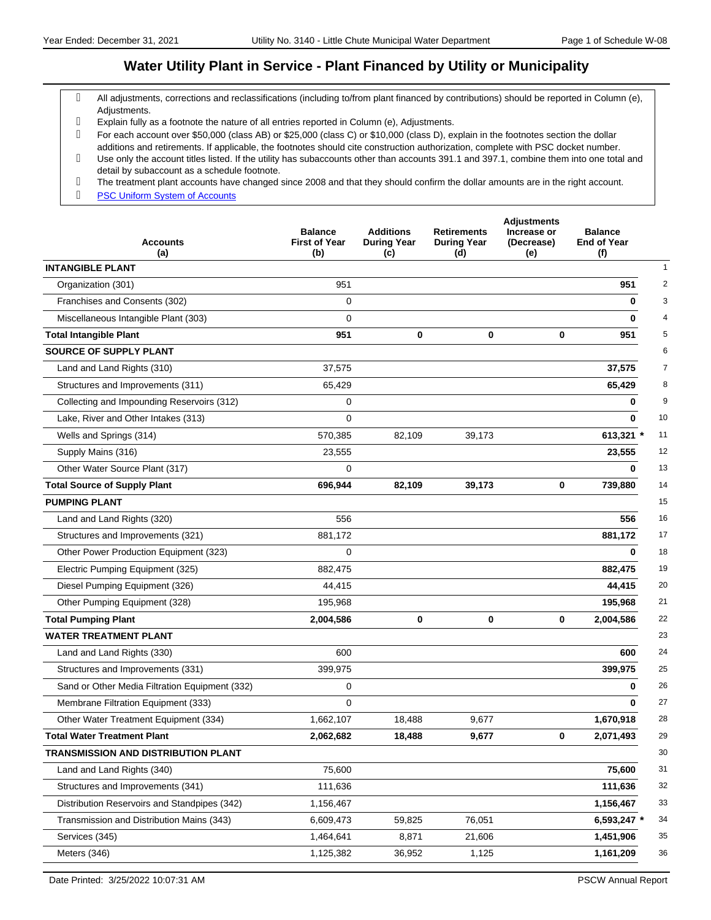## **Water Utility Plant in Service - Plant Financed by Utility or Municipality**

- All adjustments, corrections and reclassifications (including to/from plant financed by contributions) should be reported in Column (e), Adjustments.
- Explain fully as a footnote the nature of all entries reported in Column (e), Adjustments.
- For each account over \$50,000 (class AB) or \$25,000 (class C) or \$10,000 (class D), explain in the footnotes section the dollar additions and retirements. If applicable, the footnotes should cite construction authorization, complete with PSC docket number.
- Use only the account titles listed. If the utility has subaccounts other than accounts 391.1 and 397.1, combine them into one total and detail by subaccount as a schedule footnote.
- The treatment plant accounts have changed since 2008 and that they should confirm the dollar amounts are in the right account.
- g **PSC Uniform System of Accounts**

| <b>Accounts</b><br>(a)                         | <b>Balance</b><br><b>First of Year</b><br>(b) | <b>Additions</b><br><b>During Year</b><br>(c) | <b>Retirements</b><br><b>During Year</b><br>(d) | <b>Adjustments</b><br>Increase or<br>(Decrease)<br>(e) | <b>Balance</b><br><b>End of Year</b><br>(f) |
|------------------------------------------------|-----------------------------------------------|-----------------------------------------------|-------------------------------------------------|--------------------------------------------------------|---------------------------------------------|
| <b>INTANGIBLE PLANT</b>                        |                                               |                                               |                                                 |                                                        |                                             |
| Organization (301)                             | 951                                           |                                               |                                                 |                                                        | 951                                         |
| Franchises and Consents (302)                  | 0                                             |                                               |                                                 |                                                        | 0                                           |
| Miscellaneous Intangible Plant (303)           | $\Omega$                                      |                                               |                                                 |                                                        | $\bf{0}$                                    |
| <b>Total Intangible Plant</b>                  | 951                                           | 0                                             | 0                                               | $\bf{0}$                                               | 951                                         |
| <b>SOURCE OF SUPPLY PLANT</b>                  |                                               |                                               |                                                 |                                                        |                                             |
| Land and Land Rights (310)                     | 37,575                                        |                                               |                                                 |                                                        | 37,575                                      |
| Structures and Improvements (311)              | 65,429                                        |                                               |                                                 |                                                        | 65,429                                      |
| Collecting and Impounding Reservoirs (312)     | 0                                             |                                               |                                                 |                                                        | 0                                           |
| Lake, River and Other Intakes (313)            | $\mathbf 0$                                   |                                               |                                                 |                                                        | $\bf{0}$<br>10                              |
| Wells and Springs (314)                        | 570,385                                       | 82,109                                        | 39,173                                          |                                                        | 613,321 *<br>11                             |
| Supply Mains (316)                             | 23,555                                        |                                               |                                                 |                                                        | 23,555<br>12                                |
| Other Water Source Plant (317)                 | 0                                             |                                               |                                                 |                                                        | 13<br>$\bf{0}$                              |
| <b>Total Source of Supply Plant</b>            | 696,944                                       | 82,109                                        | 39,173                                          | $\mathbf 0$                                            | 14<br>739,880                               |
| <b>PUMPING PLANT</b>                           |                                               |                                               |                                                 |                                                        | 15                                          |
| Land and Land Rights (320)                     | 556                                           |                                               |                                                 |                                                        | 16<br>556                                   |
| Structures and Improvements (321)              | 881,172                                       |                                               |                                                 |                                                        | 881,172<br>17                               |
| Other Power Production Equipment (323)         | 0                                             |                                               |                                                 |                                                        | 18<br>$\bf{0}$                              |
| Electric Pumping Equipment (325)               | 882,475                                       |                                               |                                                 |                                                        | 19<br>882,475                               |
| Diesel Pumping Equipment (326)                 | 44,415                                        |                                               |                                                 |                                                        | 44,415<br>20                                |
| Other Pumping Equipment (328)                  | 195,968                                       |                                               |                                                 |                                                        | 21<br>195,968                               |
| <b>Total Pumping Plant</b>                     | 2,004,586                                     | 0                                             | 0                                               | 0                                                      | 22<br>2,004,586                             |
| <b>WATER TREATMENT PLANT</b>                   |                                               |                                               |                                                 |                                                        | 23                                          |
| Land and Land Rights (330)                     | 600                                           |                                               |                                                 |                                                        | 24<br>600                                   |
| Structures and Improvements (331)              | 399,975                                       |                                               |                                                 |                                                        | 399,975<br>25                               |
| Sand or Other Media Filtration Equipment (332) | 0                                             |                                               |                                                 |                                                        | 26<br>0                                     |
| Membrane Filtration Equipment (333)            | $\mathbf 0$                                   |                                               |                                                 |                                                        | 27<br>$\bf{0}$                              |
| Other Water Treatment Equipment (334)          | 1,662,107                                     | 18,488                                        | 9,677                                           |                                                        | 28<br>1,670,918                             |
| <b>Total Water Treatment Plant</b>             | 2,062,682                                     | 18,488                                        | 9,677                                           | 0                                                      | 2,071,493<br>29                             |
| <b>TRANSMISSION AND DISTRIBUTION PLANT</b>     |                                               |                                               |                                                 |                                                        | 30                                          |
| Land and Land Rights (340)                     | 75,600                                        |                                               |                                                 |                                                        | 31<br>75,600                                |
| Structures and Improvements (341)              | 111,636                                       |                                               |                                                 |                                                        | 111,636<br>32                               |
| Distribution Reservoirs and Standpipes (342)   | 1,156,467                                     |                                               |                                                 |                                                        | 33<br>1,156,467                             |
| Transmission and Distribution Mains (343)      | 6,609,473                                     | 59,825                                        | 76,051                                          |                                                        | 6,593,247 *<br>34                           |
| Services (345)                                 | 1,464,641                                     | 8,871                                         | 21,606                                          |                                                        | $35\,$<br>1,451,906                         |
| Meters (346)                                   | 1,125,382                                     | 36,952                                        | 1,125                                           |                                                        | 36<br>1,161,209                             |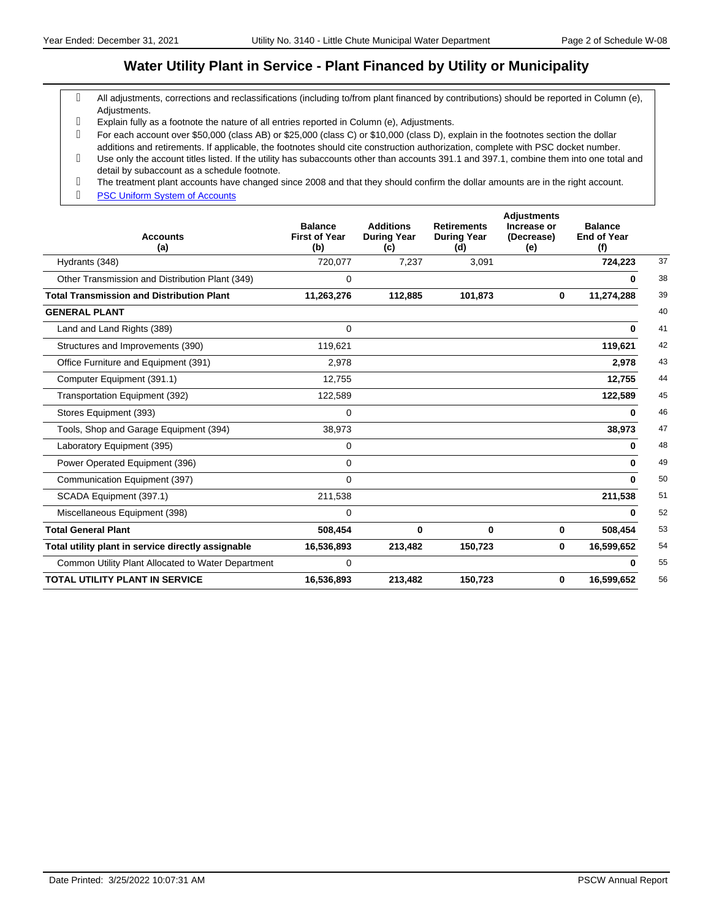#### **Water Utility Plant in Service - Plant Financed by Utility or Municipality**

- All adjustments, corrections and reclassifications (including to/from plant financed by contributions) should be reported in Column (e), Adjustments.
- Explain fully as a footnote the nature of all entries reported in Column (e), Adjustments.
- For each account over \$50,000 (class AB) or \$25,000 (class C) or \$10,000 (class D), explain in the footnotes section the dollar additions and retirements. If applicable, the footnotes should cite construction authorization, complete with PSC docket number.
- Use only the account titles listed. If the utility has subaccounts other than accounts 391.1 and 397.1, combine them into one total and detail by subaccount as a schedule footnote.
- The treatment plant accounts have changed since 2008 and that they should confirm the dollar amounts are in the right account.
- g **PSC Uniform System of Accounts**

| <b>Accounts</b><br>(a)                             | <b>Balance</b><br><b>First of Year</b><br>(b) | <b>Additions</b><br><b>During Year</b><br>(c) | <b>Retirements</b><br><b>During Year</b><br>(d) | <b>Adjustments</b><br>Increase or<br>(Decrease)<br>(e) | <b>Balance</b><br><b>End of Year</b><br>(f) |    |
|----------------------------------------------------|-----------------------------------------------|-----------------------------------------------|-------------------------------------------------|--------------------------------------------------------|---------------------------------------------|----|
| Hydrants (348)                                     | 720,077                                       | 7,237                                         | 3,091                                           |                                                        | 724,223                                     | 37 |
| Other Transmission and Distribution Plant (349)    | 0                                             |                                               |                                                 |                                                        | 0                                           | 38 |
| <b>Total Transmission and Distribution Plant</b>   | 11,263,276                                    | 112,885                                       | 101,873                                         | $\bf{0}$                                               | 11,274,288                                  | 39 |
| <b>GENERAL PLANT</b>                               |                                               |                                               |                                                 |                                                        |                                             | 40 |
| Land and Land Rights (389)                         | $\mathbf 0$                                   |                                               |                                                 |                                                        | 0                                           | 41 |
| Structures and Improvements (390)                  | 119,621                                       |                                               |                                                 |                                                        | 119,621                                     | 42 |
| Office Furniture and Equipment (391)               | 2,978                                         |                                               |                                                 |                                                        | 2,978                                       | 43 |
| Computer Equipment (391.1)                         | 12,755                                        |                                               |                                                 |                                                        | 12,755                                      | 44 |
| Transportation Equipment (392)                     | 122,589                                       |                                               |                                                 |                                                        | 122,589                                     | 45 |
| Stores Equipment (393)                             | $\Omega$                                      |                                               |                                                 |                                                        | 0                                           | 46 |
| Tools, Shop and Garage Equipment (394)             | 38,973                                        |                                               |                                                 |                                                        | 38,973                                      | 47 |
| Laboratory Equipment (395)                         | 0                                             |                                               |                                                 |                                                        | 0                                           | 48 |
| Power Operated Equipment (396)                     | 0                                             |                                               |                                                 |                                                        | 0                                           | 49 |
| Communication Equipment (397)                      | 0                                             |                                               |                                                 |                                                        | $\bf{0}$                                    | 50 |
| SCADA Equipment (397.1)                            | 211,538                                       |                                               |                                                 |                                                        | 211,538                                     | 51 |
| Miscellaneous Equipment (398)                      | $\Omega$                                      |                                               |                                                 |                                                        | 0                                           | 52 |
| <b>Total General Plant</b>                         | 508,454                                       | 0                                             | 0                                               | 0                                                      | 508,454                                     | 53 |
| Total utility plant in service directly assignable | 16,536,893                                    | 213,482                                       | 150,723                                         | 0                                                      | 16,599,652                                  | 54 |
| Common Utility Plant Allocated to Water Department | 0                                             |                                               |                                                 |                                                        | 0                                           | 55 |
| <b>TOTAL UTILITY PLANT IN SERVICE</b>              | 16,536,893                                    | 213,482                                       | 150,723                                         | 0                                                      | 16,599,652                                  | 56 |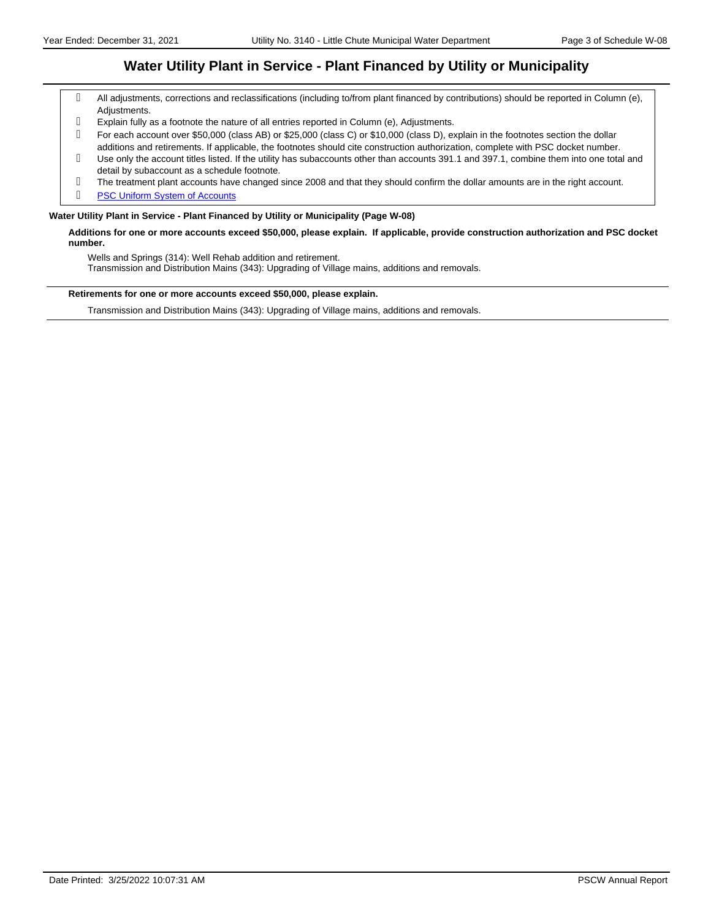#### **Water Utility Plant in Service - Plant Financed by Utility or Municipality**

- All adjustments, corrections and reclassifications (including to/from plant financed by contributions) should be reported in Column (e), Adjustments.
- Explain fully as a footnote the nature of all entries reported in Column (e), Adjustments.
- For each account over \$50,000 (class AB) or \$25,000 (class C) or \$10,000 (class D), explain in the footnotes section the dollar additions and retirements. If applicable, the footnotes should cite construction authorization, complete with PSC docket number.
- Use only the account titles listed. If the utility has subaccounts other than accounts 391.1 and 397.1, combine them into one total and detail by subaccount as a schedule footnote.
- The treatment plant accounts have changed since 2008 and that they should confirm the dollar amounts are in the right account.
- g **PSC Uniform System of Accounts**

#### **Water Utility Plant in Service - Plant Financed by Utility or Municipality (Page W-08)**

**Additions for one or more accounts exceed \$50,000, please explain. If applicable, provide construction authorization and PSC docket number.**

Wells and Springs (314): Well Rehab addition and retirement.

Transmission and Distribution Mains (343): Upgrading of Village mains, additions and removals.

#### **Retirements for one or more accounts exceed \$50,000, please explain.**

Transmission and Distribution Mains (343): Upgrading of Village mains, additions and removals.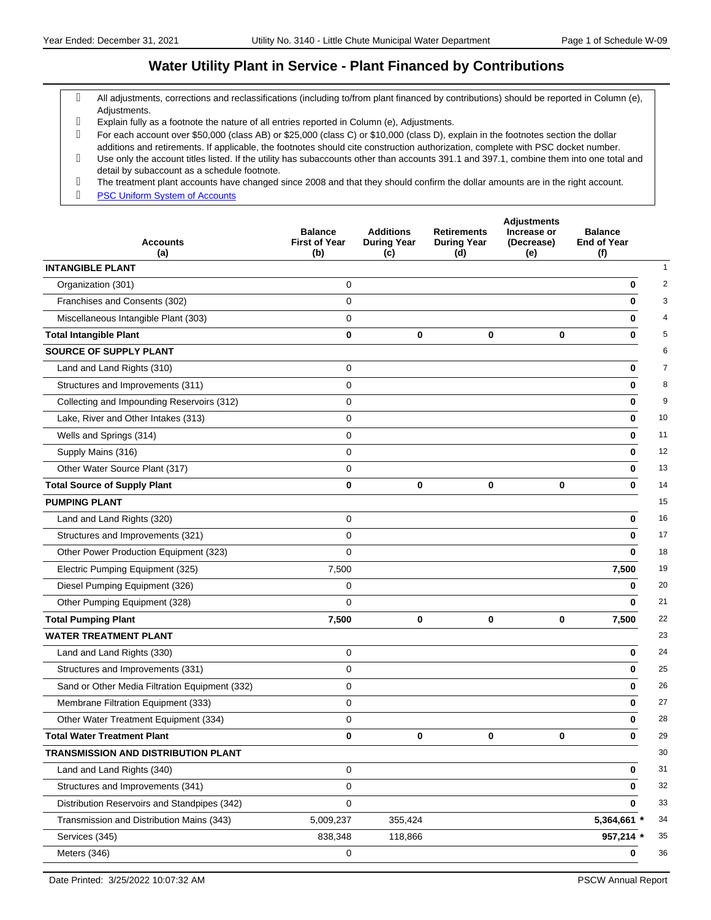## **Water Utility Plant in Service - Plant Financed by Contributions**

- All adjustments, corrections and reclassifications (including to/from plant financed by contributions) should be reported in Column (e), Adjustments.
- Explain fully as a footnote the nature of all entries reported in Column (e), Adjustments.
- For each account over \$50,000 (class AB) or \$25,000 (class C) or \$10,000 (class D), explain in the footnotes section the dollar additions and retirements. If applicable, the footnotes should cite construction authorization, complete with PSC docket number.
- Use only the account titles listed. If the utility has subaccounts other than accounts 391.1 and 397.1, combine them into one total and detail by subaccount as a schedule footnote.
- The treatment plant accounts have changed since 2008 and that they should confirm the dollar amounts are in the right account.
- g **PSC Uniform System of Accounts**

| <b>Accounts</b><br>(a)                         | <b>Balance</b><br><b>First of Year</b><br>(b) | <b>Additions</b><br><b>During Year</b><br>(c) | <b>Retirements</b><br><b>During Year</b><br>(d) | <b>Adjustments</b><br>Increase or<br>(Decrease)<br>(e) | <b>Balance</b><br><b>End of Year</b><br>(f) |                |
|------------------------------------------------|-----------------------------------------------|-----------------------------------------------|-------------------------------------------------|--------------------------------------------------------|---------------------------------------------|----------------|
| <b>INTANGIBLE PLANT</b>                        |                                               |                                               |                                                 |                                                        |                                             | 1              |
| Organization (301)                             | $\mathbf 0$                                   |                                               |                                                 |                                                        | $\bf{0}$                                    | $\overline{2}$ |
| Franchises and Consents (302)                  | 0                                             |                                               |                                                 |                                                        | $\bf{0}$                                    | 3              |
| Miscellaneous Intangible Plant (303)           | $\mathbf 0$                                   |                                               |                                                 |                                                        | 0                                           | 4              |
| <b>Total Intangible Plant</b>                  | $\bf{0}$                                      | 0                                             | 0                                               | 0                                                      | 0                                           | 5              |
| <b>SOURCE OF SUPPLY PLANT</b>                  |                                               |                                               |                                                 |                                                        |                                             | 6              |
| Land and Land Rights (310)                     | 0                                             |                                               |                                                 |                                                        | 0                                           | $\overline{7}$ |
| Structures and Improvements (311)              | 0                                             |                                               |                                                 |                                                        | $\bf{0}$                                    | 8              |
| Collecting and Impounding Reservoirs (312)     | 0                                             |                                               |                                                 |                                                        | 0                                           | 9              |
| Lake, River and Other Intakes (313)            | $\mathbf 0$                                   |                                               |                                                 |                                                        | 0                                           | 10             |
| Wells and Springs (314)                        | $\mathbf 0$                                   |                                               |                                                 |                                                        | 0                                           | 11             |
| Supply Mains (316)                             | 0                                             |                                               |                                                 |                                                        | 0                                           | 12             |
| Other Water Source Plant (317)                 | 0                                             |                                               |                                                 |                                                        | $\bf{0}$                                    | 13             |
| <b>Total Source of Supply Plant</b>            | $\bf{0}$                                      | 0                                             | 0                                               | $\mathbf 0$                                            | 0                                           | 14             |
| <b>PUMPING PLANT</b>                           |                                               |                                               |                                                 |                                                        |                                             | 15             |
| Land and Land Rights (320)                     | 0                                             |                                               |                                                 |                                                        | 0                                           | 16             |
| Structures and Improvements (321)              | $\mathbf 0$                                   |                                               |                                                 |                                                        | $\bf{0}$                                    | 17             |
| Other Power Production Equipment (323)         | $\mathbf 0$                                   |                                               |                                                 |                                                        | $\bf{0}$                                    | 18             |
| Electric Pumping Equipment (325)               | 7,500                                         |                                               |                                                 |                                                        | 7,500                                       | 19             |
| Diesel Pumping Equipment (326)                 | 0                                             |                                               |                                                 |                                                        | 0                                           | 20             |
| Other Pumping Equipment (328)                  | 0                                             |                                               |                                                 |                                                        | $\bf{0}$                                    | 21             |
| <b>Total Pumping Plant</b>                     | 7,500                                         | 0                                             | 0                                               | $\bf{0}$                                               | 7,500                                       | 22             |
| <b>WATER TREATMENT PLANT</b>                   |                                               |                                               |                                                 |                                                        |                                             | 23             |
| Land and Land Rights (330)                     | 0                                             |                                               |                                                 |                                                        | 0                                           | 24             |
| Structures and Improvements (331)              | 0                                             |                                               |                                                 |                                                        | 0                                           | 25             |
| Sand or Other Media Filtration Equipment (332) | 0                                             |                                               |                                                 |                                                        | 0                                           | 26             |
| Membrane Filtration Equipment (333)            | 0                                             |                                               |                                                 |                                                        | 0                                           | 27             |
| Other Water Treatment Equipment (334)          | 0                                             |                                               |                                                 |                                                        | 0                                           | 28             |
| <b>Total Water Treatment Plant</b>             | 0                                             | 0                                             | 0                                               | $\bf{0}$                                               | 0                                           | 29             |
| TRANSMISSION AND DISTRIBUTION PLANT            |                                               |                                               |                                                 |                                                        |                                             | 30             |
| Land and Land Rights (340)                     | 0                                             |                                               |                                                 |                                                        | 0                                           | 31             |
| Structures and Improvements (341)              | $\pmb{0}$                                     |                                               |                                                 |                                                        | 0                                           | 32             |
| Distribution Reservoirs and Standpipes (342)   | $\mathbf 0$                                   |                                               |                                                 |                                                        | 0                                           | 33             |
| Transmission and Distribution Mains (343)      | 5,009,237                                     | 355,424                                       |                                                 |                                                        | 5,364,661 *                                 | 34             |
| Services (345)                                 | 838,348                                       | 118,866                                       |                                                 |                                                        | 957,214 *                                   | 35             |
| Meters (346)                                   | 0                                             |                                               |                                                 |                                                        | $\bf{0}$                                    | 36             |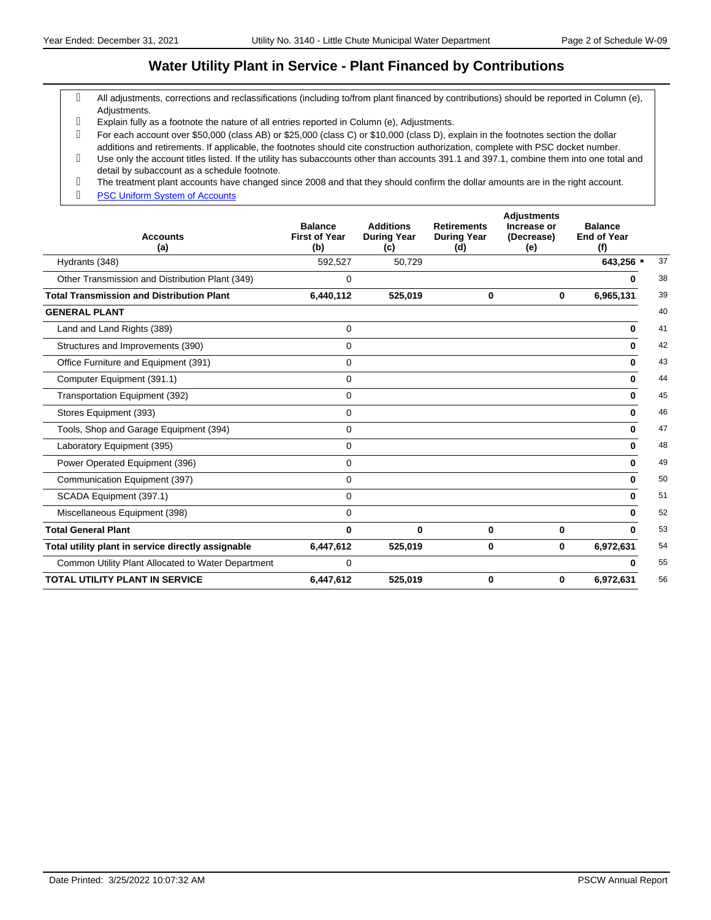#### **Water Utility Plant in Service - Plant Financed by Contributions**

- All adjustments, corrections and reclassifications (including to/from plant financed by contributions) should be reported in Column (e), Adjustments.
- Explain fully as a footnote the nature of all entries reported in Column (e), Adjustments.
- For each account over \$50,000 (class AB) or \$25,000 (class C) or \$10,000 (class D), explain in the footnotes section the dollar additions and retirements. If applicable, the footnotes should cite construction authorization, complete with PSC docket number.
- Use only the account titles listed. If the utility has subaccounts other than accounts 391.1 and 397.1, combine them into one total and detail by subaccount as a schedule footnote.
- The treatment plant accounts have changed since 2008 and that they should confirm the dollar amounts are in the right account.
- g **PSC Uniform System of Accounts**

| <b>Accounts</b><br>(a)                             | <b>Balance</b><br><b>First of Year</b><br>(b) | <b>Additions</b><br><b>During Year</b><br>(c) | <b>Retirements</b><br><b>During Year</b><br>(d) | <b>Adjustments</b><br>Increase or<br>(Decrease)<br>(e) | <b>Balance</b><br><b>End of Year</b><br>(f) |    |
|----------------------------------------------------|-----------------------------------------------|-----------------------------------------------|-------------------------------------------------|--------------------------------------------------------|---------------------------------------------|----|
| Hydrants (348)                                     | 592,527                                       | 50,729                                        |                                                 |                                                        | 643,256 *                                   | 37 |
| Other Transmission and Distribution Plant (349)    | 0                                             |                                               |                                                 |                                                        | 0                                           | 38 |
| <b>Total Transmission and Distribution Plant</b>   | 6,440,112                                     | 525,019                                       | 0                                               | 0                                                      | 6,965,131                                   | 39 |
| <b>GENERAL PLANT</b>                               |                                               |                                               |                                                 |                                                        |                                             | 40 |
| Land and Land Rights (389)                         | $\mathbf 0$                                   |                                               |                                                 |                                                        | $\mathbf 0$                                 | 41 |
| Structures and Improvements (390)                  | $\mathbf 0$                                   |                                               |                                                 |                                                        | 0                                           | 42 |
| Office Furniture and Equipment (391)               | $\mathbf 0$                                   |                                               |                                                 |                                                        | 0                                           | 43 |
| Computer Equipment (391.1)                         | 0                                             |                                               |                                                 |                                                        | $\bf{0}$                                    | 44 |
| Transportation Equipment (392)                     | 0                                             |                                               |                                                 |                                                        | 0                                           | 45 |
| Stores Equipment (393)                             | $\mathbf 0$                                   |                                               |                                                 |                                                        | $\bf{0}$                                    | 46 |
| Tools, Shop and Garage Equipment (394)             | 0                                             |                                               |                                                 |                                                        | $\bf{0}$                                    | 47 |
| Laboratory Equipment (395)                         | 0                                             |                                               |                                                 |                                                        | 0                                           | 48 |
| Power Operated Equipment (396)                     | 0                                             |                                               |                                                 |                                                        | 0                                           | 49 |
| Communication Equipment (397)                      | 0                                             |                                               |                                                 |                                                        | $\bf{0}$                                    | 50 |
| SCADA Equipment (397.1)                            | $\mathbf 0$                                   |                                               |                                                 |                                                        | 0                                           | 51 |
| Miscellaneous Equipment (398)                      | $\mathbf 0$                                   |                                               |                                                 |                                                        | <sup>0</sup>                                | 52 |
| <b>Total General Plant</b>                         | 0                                             | 0                                             | 0                                               | 0                                                      | $\bf{0}$                                    | 53 |
| Total utility plant in service directly assignable | 6,447,612                                     | 525,019                                       | 0                                               | $\mathbf 0$                                            | 6,972,631                                   | 54 |
| Common Utility Plant Allocated to Water Department | 0                                             |                                               |                                                 |                                                        | 0                                           | 55 |
| <b>TOTAL UTILITY PLANT IN SERVICE</b>              | 6,447,612                                     | 525,019                                       | 0                                               | 0                                                      | 6,972,631                                   | 56 |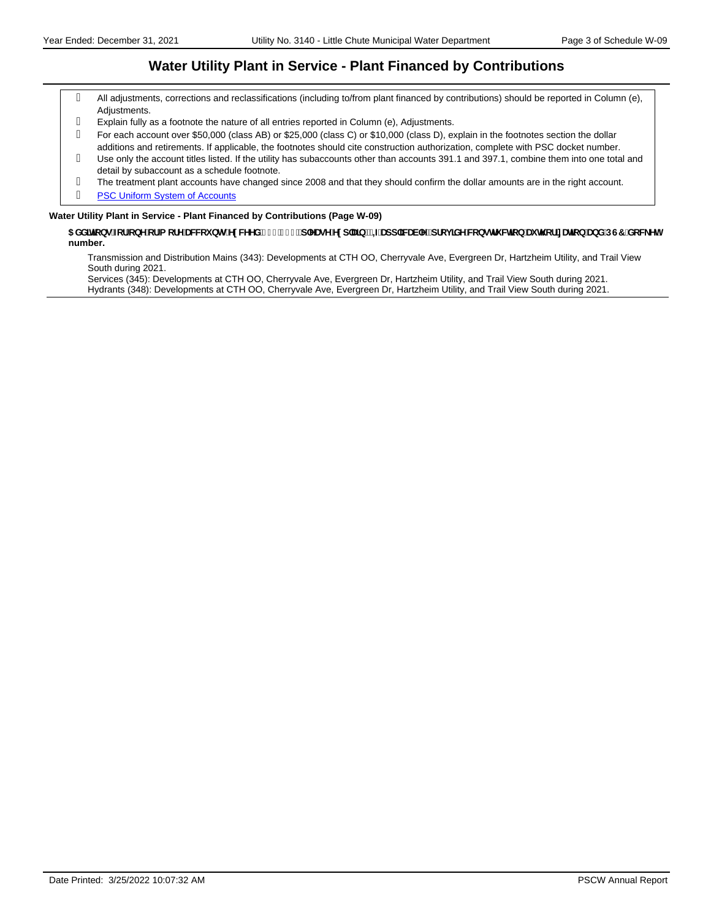#### **Water Utility Plant in Service - Plant Financed by Contributions**

- All adjustments, corrections and reclassifications (including to/from plant financed by contributions) should be reported in Column (e), Adjustments.
- Explain fully as a footnote the nature of all entries reported in Column (e), Adjustments.
- For each account over \$50,000 (class AB) or \$25,000 (class C) or \$10,000 (class D), explain in the footnotes section the dollar additions and retirements. If applicable, the footnotes should cite construction authorization, complete with PSC docket number.
- Use only the account titles listed. If the utility has subaccounts other than accounts 391.1 and 397.1, combine them into one total and detail by subaccount as a schedule footnote.
- The treatment plant accounts have changed since 2008 and that they should confirm the dollar amounts are in the right account.
- g **PSC Uniform System of Accounts**

#### **Water Utility Plant in Service - Plant Financed by Contributions (Page W-09)**

#### $5$ XXJHcbg'Zcf'cbYcf'a cfY'UWVci bhg'YI WYYX")\$我\$\$zd`YUgY'YI d`Ujb"'=ZUdd`]WUVYzdfcj ]XY'WcbgHi Wjcb'Ui h cf]nUhjcb'UbX'DG7 'XcW\_Yh **number.**

Transmission and Distribution Mains (343): Developments at CTH OO, Cherryvale Ave, Evergreen Dr, Hartzheim Utility, and Trail View South during 2021.

Services (345): Developments at CTH OO, Cherryvale Ave, Evergreen Dr, Hartzheim Utility, and Trail View South during 2021. Hydrants (348): Developments at CTH OO, Cherryvale Ave, Evergreen Dr, Hartzheim Utility, and Trail View South during 2021.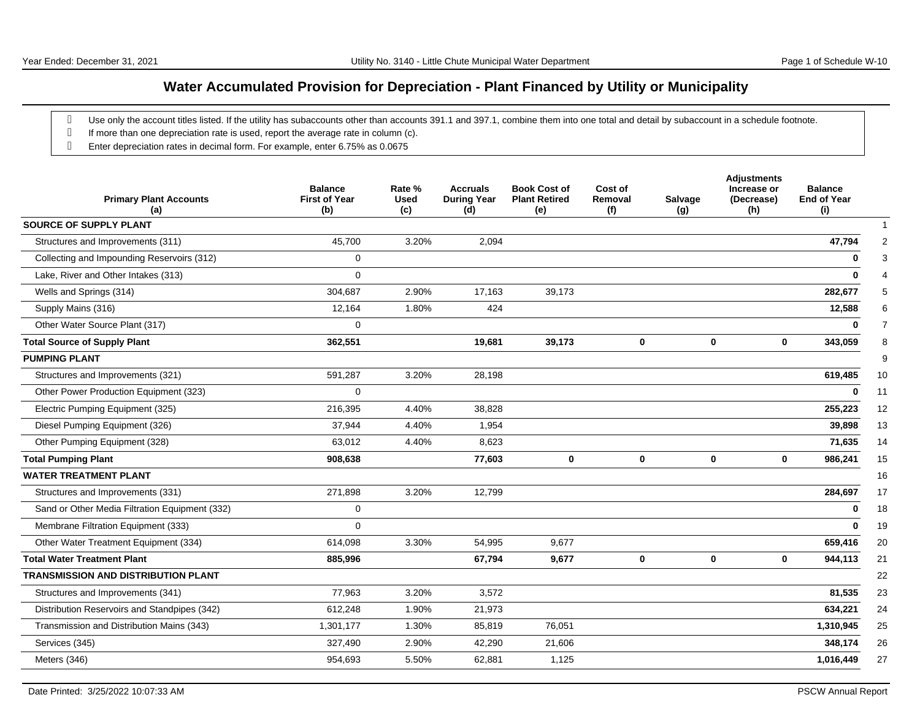# **Water Accumulated Provision for Depreciation - Plant Financed by Utility or Municipality**

- g Use only the account titles listed. If the utility has subaccounts other than accounts 391.1 and 397.1, combine them into one total and detail by subaccount in a schedule footnote.
- g If more than one depreciation rate is used, report the average rate in column (c).
- Enter depreciation rates in decimal form. For example, enter 6.75% as 0.0675

| <b>Primary Plant Accounts</b><br>(a)           | <b>Balance</b><br><b>First of Year</b><br>(b) | Rate %<br><b>Used</b><br>(c) | <b>Accruals</b><br><b>During Year</b><br>(d) | <b>Book Cost of</b><br><b>Plant Retired</b><br>(e) | Cost of<br>Removal<br>(f) | Salvage<br>(g) | <b>Adjustments</b><br>Increase or<br>(Decrease)<br>(h) | <b>Balance</b><br><b>End of Year</b><br>(i) |
|------------------------------------------------|-----------------------------------------------|------------------------------|----------------------------------------------|----------------------------------------------------|---------------------------|----------------|--------------------------------------------------------|---------------------------------------------|
| <b>SOURCE OF SUPPLY PLANT</b>                  |                                               |                              |                                              |                                                    |                           |                |                                                        |                                             |
| Structures and Improvements (311)              | 45,700                                        | 3.20%                        | 2,094                                        |                                                    |                           |                |                                                        | 47,794                                      |
| Collecting and Impounding Reservoirs (312)     | 0                                             |                              |                                              |                                                    |                           |                |                                                        | $\bf{0}$                                    |
| Lake, River and Other Intakes (313)            | 0                                             |                              |                                              |                                                    |                           |                |                                                        |                                             |
| Wells and Springs (314)                        | 304,687                                       | 2.90%                        | 17,163                                       | 39,173                                             |                           |                |                                                        | 282,677                                     |
| Supply Mains (316)                             | 12,164                                        | 1.80%                        | 424                                          |                                                    |                           |                |                                                        | 12,588                                      |
| Other Water Source Plant (317)                 | 0                                             |                              |                                              |                                                    |                           |                |                                                        | $\bf{0}$                                    |
| <b>Total Source of Supply Plant</b>            | 362,551                                       |                              | 19,681                                       | 39,173                                             | $\bf{0}$                  |                | 0<br>$\mathbf 0$                                       | 343,059                                     |
| <b>PUMPING PLANT</b>                           |                                               |                              |                                              |                                                    |                           |                |                                                        |                                             |
| Structures and Improvements (321)              | 591,287                                       | 3.20%                        | 28,198                                       |                                                    |                           |                |                                                        | 619,485                                     |
| Other Power Production Equipment (323)         | 0                                             |                              |                                              |                                                    |                           |                |                                                        | $\mathbf{0}$                                |
| Electric Pumping Equipment (325)               | 216,395                                       | 4.40%                        | 38,828                                       |                                                    |                           |                |                                                        | 255,223                                     |
| Diesel Pumping Equipment (326)                 | 37,944                                        | 4.40%                        | 1,954                                        |                                                    |                           |                |                                                        | 39,898                                      |
| Other Pumping Equipment (328)                  | 63,012                                        | 4.40%                        | 8,623                                        |                                                    |                           |                |                                                        | 71,635                                      |
| <b>Total Pumping Plant</b>                     | 908,638                                       |                              | 77,603                                       | 0                                                  | $\bf{0}$                  |                | 0<br>$\bf{0}$                                          | 986,241                                     |
| <b>WATER TREATMENT PLANT</b>                   |                                               |                              |                                              |                                                    |                           |                |                                                        |                                             |
| Structures and Improvements (331)              | 271,898                                       | 3.20%                        | 12,799                                       |                                                    |                           |                |                                                        | 284,697                                     |
| Sand or Other Media Filtration Equipment (332) | 0                                             |                              |                                              |                                                    |                           |                |                                                        | 0                                           |
| Membrane Filtration Equipment (333)            | 0                                             |                              |                                              |                                                    |                           |                |                                                        | $\mathbf{0}$                                |
| Other Water Treatment Equipment (334)          | 614,098                                       | 3.30%                        | 54,995                                       | 9,677                                              |                           |                |                                                        | 659,416                                     |
| <b>Total Water Treatment Plant</b>             | 885,996                                       |                              | 67,794                                       | 9,677                                              | 0                         |                | $\bf{0}$<br>$\mathbf 0$                                | 944,113                                     |
| <b>TRANSMISSION AND DISTRIBUTION PLANT</b>     |                                               |                              |                                              |                                                    |                           |                |                                                        |                                             |
| Structures and Improvements (341)              | 77,963                                        | 3.20%                        | 3,572                                        |                                                    |                           |                |                                                        | 81,535                                      |
| Distribution Reservoirs and Standpipes (342)   | 612,248                                       | 1.90%                        | 21,973                                       |                                                    |                           |                |                                                        | 634,221                                     |
| Transmission and Distribution Mains (343)      | 1,301,177                                     | 1.30%                        | 85,819                                       | 76,051                                             |                           |                |                                                        | 1,310,945                                   |
| Services (345)                                 | 327,490                                       | 2.90%                        | 42,290                                       | 21,606                                             |                           |                |                                                        | 348,174                                     |
| Meters (346)                                   | 954,693                                       | 5.50%                        | 62,881                                       | 1,125                                              |                           |                |                                                        | 1,016,449                                   |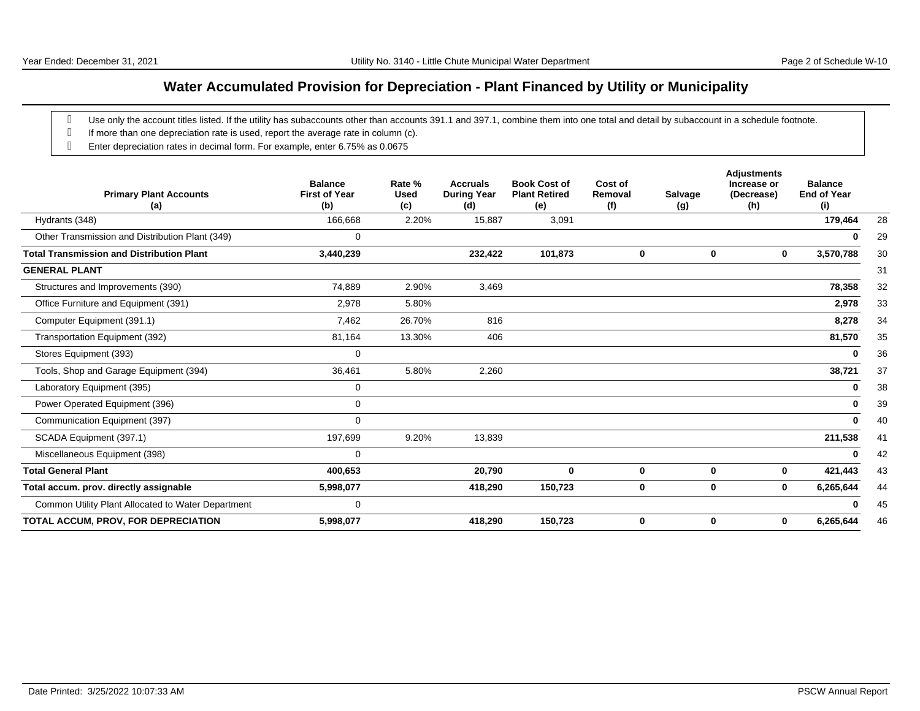# **Water Accumulated Provision for Depreciation - Plant Financed by Utility or Municipality**

- g Use only the account titles listed. If the utility has subaccounts other than accounts 391.1 and 397.1, combine them into one total and detail by subaccount in a schedule footnote.
- g If more than one depreciation rate is used, report the average rate in column (c).
- Enter depreciation rates in decimal form. For example, enter 6.75% as 0.0675

| <b>Primary Plant Accounts</b><br>(a)               | <b>Balance</b><br><b>First of Year</b><br>(b) | Rate %<br><b>Used</b><br>(c) | <b>Accruals</b><br><b>During Year</b><br>(d) | <b>Book Cost of</b><br><b>Plant Retired</b><br>(e) | Cost of<br>Removal<br>(f) | Salvage<br>(g) | <b>Adjustments</b><br>Increase or<br>(Decrease)<br>(h) | <b>Balance</b><br><b>End of Year</b><br>(i) |    |
|----------------------------------------------------|-----------------------------------------------|------------------------------|----------------------------------------------|----------------------------------------------------|---------------------------|----------------|--------------------------------------------------------|---------------------------------------------|----|
| Hydrants (348)                                     | 166,668                                       | 2.20%                        | 15,887                                       | 3,091                                              |                           |                |                                                        | 179,464                                     | 28 |
| Other Transmission and Distribution Plant (349)    | $\mathbf{0}$                                  |                              |                                              |                                                    |                           |                |                                                        |                                             | 29 |
| <b>Total Transmission and Distribution Plant</b>   | 3,440,239                                     |                              | 232,422                                      | 101,873                                            | 0                         | 0              | 0                                                      | 3,570,788                                   | 30 |
| <b>GENERAL PLANT</b>                               |                                               |                              |                                              |                                                    |                           |                |                                                        |                                             | 31 |
| Structures and Improvements (390)                  | 74,889                                        | 2.90%                        | 3,469                                        |                                                    |                           |                |                                                        | 78,358                                      | 32 |
| Office Furniture and Equipment (391)               | 2,978                                         | 5.80%                        |                                              |                                                    |                           |                |                                                        | 2,978                                       | 33 |
| Computer Equipment (391.1)                         | 7,462                                         | 26.70%                       | 816                                          |                                                    |                           |                |                                                        | 8,278                                       | 34 |
| Transportation Equipment (392)                     | 81,164                                        | 13.30%                       | 406                                          |                                                    |                           |                |                                                        | 81,570                                      | 35 |
| Stores Equipment (393)                             | 0                                             |                              |                                              |                                                    |                           |                |                                                        | O                                           | 36 |
| Tools, Shop and Garage Equipment (394)             | 36,461                                        | 5.80%                        | 2,260                                        |                                                    |                           |                |                                                        | 38,721                                      | 37 |
| Laboratory Equipment (395)                         | 0                                             |                              |                                              |                                                    |                           |                |                                                        | 0                                           | 38 |
| Power Operated Equipment (396)                     | 0                                             |                              |                                              |                                                    |                           |                |                                                        | 0                                           | 39 |
| Communication Equipment (397)                      | 0                                             |                              |                                              |                                                    |                           |                |                                                        | O                                           | 40 |
| SCADA Equipment (397.1)                            | 197,699                                       | 9.20%                        | 13,839                                       |                                                    |                           |                |                                                        | 211,538                                     | 41 |
| Miscellaneous Equipment (398)                      | $\mathbf 0$                                   |                              |                                              |                                                    |                           |                |                                                        |                                             | 42 |
| <b>Total General Plant</b>                         | 400,653                                       |                              | 20,790                                       | 0                                                  | 0                         | 0              | 0                                                      | 421,443                                     | 43 |
| Total accum. prov. directly assignable             | 5,998,077                                     |                              | 418,290                                      | 150,723                                            | 0                         | 0              | $\mathbf 0$                                            | 6,265,644                                   | 44 |
| Common Utility Plant Allocated to Water Department | 0                                             |                              |                                              |                                                    |                           |                |                                                        |                                             | 45 |
| TOTAL ACCUM, PROV, FOR DEPRECIATION                | 5,998,077                                     |                              | 418,290                                      | 150,723                                            | 0                         | 0              | 0                                                      | 6,265,644                                   | 46 |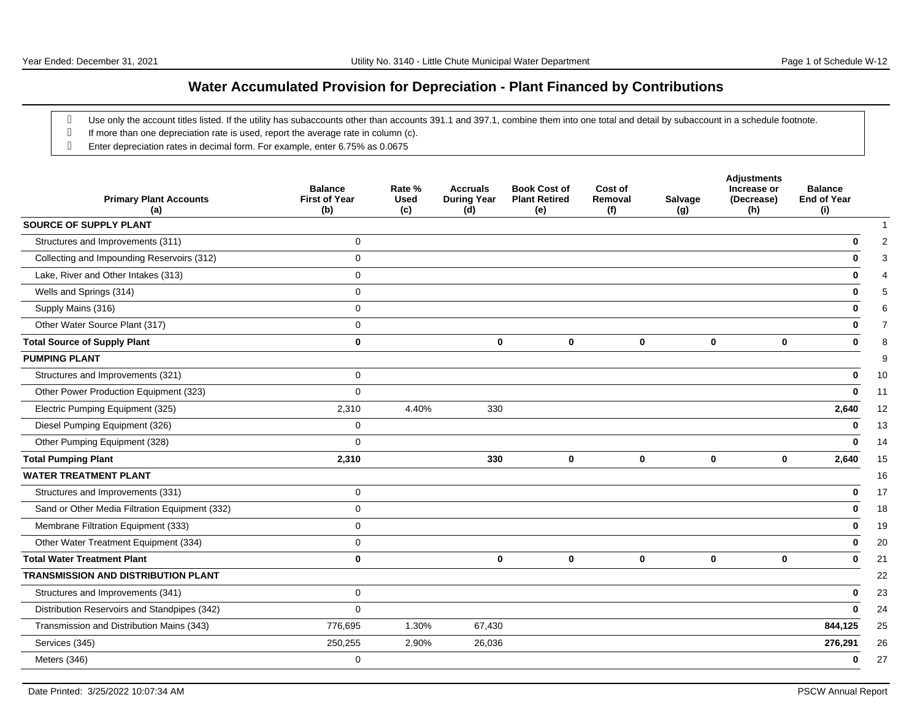## **Water Accumulated Provision for Depreciation - Plant Financed by Contributions**

- g Use only the account titles listed. If the utility has subaccounts other than accounts 391.1 and 397.1, combine them into one total and detail by subaccount in a schedule footnote.
- g If more than one depreciation rate is used, report the average rate in column (c).
- Enter depreciation rates in decimal form. For example, enter 6.75% as 0.0675

| <b>Primary Plant Accounts</b><br>(a)           | <b>Balance</b><br><b>First of Year</b><br>(b) | Rate %<br><b>Used</b><br>(c) | <b>Accruals</b><br><b>During Year</b><br>(d) | <b>Book Cost of</b><br><b>Plant Retired</b><br>(e) | Cost of<br>Removal<br>(f) | Salvage<br>(g) | <b>Adjustments</b><br>Increase or<br>(Decrease)<br>(h) | <b>Balance</b><br><b>End of Year</b><br>(i) |
|------------------------------------------------|-----------------------------------------------|------------------------------|----------------------------------------------|----------------------------------------------------|---------------------------|----------------|--------------------------------------------------------|---------------------------------------------|
| <b>SOURCE OF SUPPLY PLANT</b>                  |                                               |                              |                                              |                                                    |                           |                |                                                        |                                             |
| Structures and Improvements (311)              | 0                                             |                              |                                              |                                                    |                           |                |                                                        | 2<br>Ω                                      |
| Collecting and Impounding Reservoirs (312)     | $\mathbf 0$                                   |                              |                                              |                                                    |                           |                |                                                        |                                             |
| Lake, River and Other Intakes (313)            | 0                                             |                              |                                              |                                                    |                           |                |                                                        |                                             |
| Wells and Springs (314)                        | $\Omega$                                      |                              |                                              |                                                    |                           |                |                                                        | 5                                           |
| Supply Mains (316)                             | $\mathbf 0$                                   |                              |                                              |                                                    |                           |                |                                                        | 6                                           |
| Other Water Source Plant (317)                 | $\Omega$                                      |                              |                                              |                                                    |                           |                |                                                        | $\overline{7}$                              |
| <b>Total Source of Supply Plant</b>            | $\bf{0}$                                      |                              | 0                                            | $\bf{0}$                                           | 0                         | $\bf{0}$       | $\mathbf 0$                                            | 8<br>O                                      |
| <b>PUMPING PLANT</b>                           |                                               |                              |                                              |                                                    |                           |                |                                                        | 9                                           |
| Structures and Improvements (321)              | $\mathbf 0$                                   |                              |                                              |                                                    |                           |                |                                                        | 10<br>0                                     |
| Other Power Production Equipment (323)         | $\mathbf 0$                                   |                              |                                              |                                                    |                           |                |                                                        | 11<br>0                                     |
| Electric Pumping Equipment (325)               | 2,310                                         | 4.40%                        | 330                                          |                                                    |                           |                |                                                        | 2,640<br>12                                 |
| Diesel Pumping Equipment (326)                 | 0                                             |                              |                                              |                                                    |                           |                |                                                        | 13<br>0                                     |
| Other Pumping Equipment (328)                  | $\mathbf 0$                                   |                              |                                              |                                                    |                           |                |                                                        | 14<br>O                                     |
| <b>Total Pumping Plant</b>                     | 2,310                                         |                              | 330                                          | $\bf{0}$                                           | $\bf{0}$                  | $\bf{0}$       | $\mathbf 0$                                            | 2,640<br>15                                 |
| <b>WATER TREATMENT PLANT</b>                   |                                               |                              |                                              |                                                    |                           |                |                                                        | 16                                          |
| Structures and Improvements (331)              | $\mathbf 0$                                   |                              |                                              |                                                    |                           |                |                                                        | 17<br>0                                     |
| Sand or Other Media Filtration Equipment (332) | $\Omega$                                      |                              |                                              |                                                    |                           |                |                                                        | 18<br>$\bf{0}$                              |
| Membrane Filtration Equipment (333)            | $\mathbf 0$                                   |                              |                                              |                                                    |                           |                |                                                        | 19<br>0                                     |
| Other Water Treatment Equipment (334)          | 0                                             |                              |                                              |                                                    |                           |                |                                                        | 20<br>0                                     |
| <b>Total Water Treatment Plant</b>             | $\bf{0}$                                      |                              | 0                                            | $\mathbf 0$                                        | $\bf{0}$                  | $\mathbf 0$    | $\mathbf 0$                                            | $\mathbf 0$<br>21                           |
| <b>TRANSMISSION AND DISTRIBUTION PLANT</b>     |                                               |                              |                                              |                                                    |                           |                |                                                        | 22                                          |
| Structures and Improvements (341)              | $\mathbf 0$                                   |                              |                                              |                                                    |                           |                |                                                        | 23<br>0                                     |
| Distribution Reservoirs and Standpipes (342)   | 0                                             |                              |                                              |                                                    |                           |                |                                                        | 24<br>0                                     |
| Transmission and Distribution Mains (343)      | 776,695                                       | 1.30%                        | 67,430                                       |                                                    |                           |                |                                                        | 844,125<br>25                               |
| Services (345)                                 | 250,255                                       | 2.90%                        | 26,036                                       |                                                    |                           |                |                                                        | 276,291<br>26                               |
| Meters (346)                                   | 0                                             |                              |                                              |                                                    |                           |                |                                                        | 27<br>0                                     |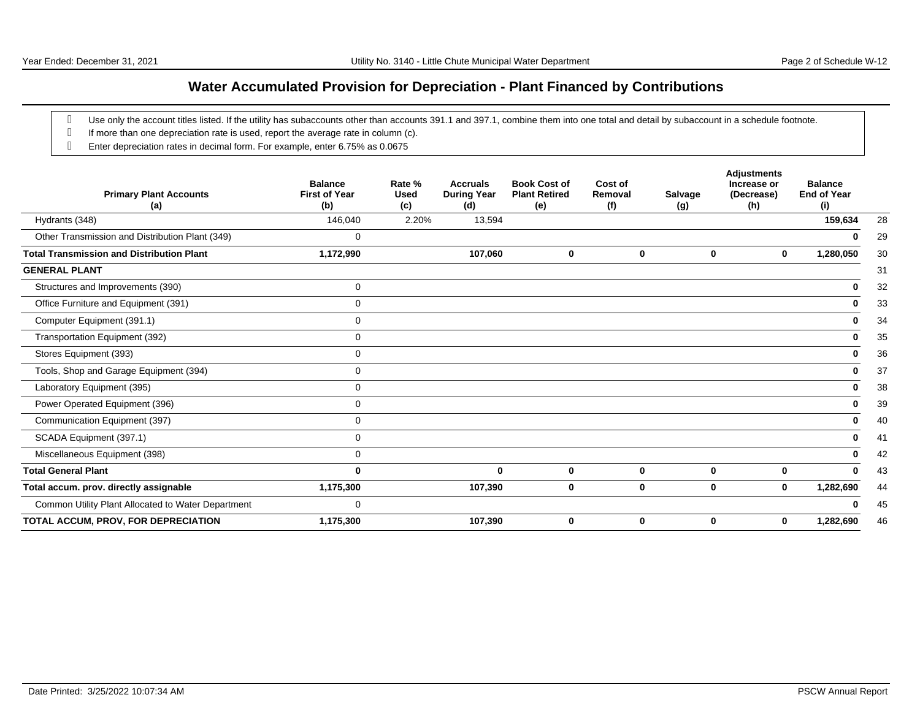## **Water Accumulated Provision for Depreciation - Plant Financed by Contributions**

- g Use only the account titles listed. If the utility has subaccounts other than accounts 391.1 and 397.1, combine them into one total and detail by subaccount in a schedule footnote.
- g If more than one depreciation rate is used, report the average rate in column (c).
- Enter depreciation rates in decimal form. For example, enter 6.75% as 0.0675

| <b>Primary Plant Accounts</b><br>(a)               | <b>Balance</b><br><b>First of Year</b><br>(b) | Rate %<br><b>Used</b><br>(c) | <b>Accruals</b><br><b>During Year</b><br>(d) | <b>Book Cost of</b><br><b>Plant Retired</b><br>(e) | Cost of<br>Removal<br>(f) | <b>Salvage</b><br>(g) | <b>Adjustments</b><br>Increase or<br>(Decrease)<br>(h) | <b>Balance</b><br><b>End of Year</b><br>(i) |
|----------------------------------------------------|-----------------------------------------------|------------------------------|----------------------------------------------|----------------------------------------------------|---------------------------|-----------------------|--------------------------------------------------------|---------------------------------------------|
| Hydrants (348)                                     | 146,040                                       | 2.20%                        | 13,594                                       |                                                    |                           |                       |                                                        | 159,634<br>28                               |
| Other Transmission and Distribution Plant (349)    | 0                                             |                              |                                              |                                                    |                           |                       |                                                        | 29                                          |
| <b>Total Transmission and Distribution Plant</b>   | 1,172,990                                     |                              | 107,060                                      | 0                                                  | 0                         | 0                     | $\mathbf 0$                                            | 1,280,050<br>30                             |
| <b>GENERAL PLANT</b>                               |                                               |                              |                                              |                                                    |                           |                       |                                                        | 31                                          |
| Structures and Improvements (390)                  | $\mathbf 0$                                   |                              |                                              |                                                    |                           |                       |                                                        | 32<br>0                                     |
| Office Furniture and Equipment (391)               | 0                                             |                              |                                              |                                                    |                           |                       |                                                        | 33<br>0                                     |
| Computer Equipment (391.1)                         | 0                                             |                              |                                              |                                                    |                           |                       |                                                        | 34<br>0                                     |
| Transportation Equipment (392)                     | 0                                             |                              |                                              |                                                    |                           |                       |                                                        | 35<br>0                                     |
| Stores Equipment (393)                             | 0                                             |                              |                                              |                                                    |                           |                       |                                                        | 36<br>0                                     |
| Tools, Shop and Garage Equipment (394)             | 0                                             |                              |                                              |                                                    |                           |                       |                                                        | 37<br>0                                     |
| Laboratory Equipment (395)                         | 0                                             |                              |                                              |                                                    |                           |                       |                                                        | 38<br>0                                     |
| Power Operated Equipment (396)                     | 0                                             |                              |                                              |                                                    |                           |                       |                                                        | 39<br>0                                     |
| Communication Equipment (397)                      | 0                                             |                              |                                              |                                                    |                           |                       |                                                        | 40<br>0                                     |
| SCADA Equipment (397.1)                            | 0                                             |                              |                                              |                                                    |                           |                       |                                                        | 41<br>0                                     |
| Miscellaneous Equipment (398)                      | 0                                             |                              |                                              |                                                    |                           |                       |                                                        | 42<br>0                                     |
| <b>Total General Plant</b>                         | 0                                             |                              | $\bf{0}$                                     | $\bf{0}$                                           | $\mathbf 0$               | 0                     | $\mathbf{0}$                                           | 43                                          |
| Total accum. prov. directly assignable             | 1,175,300                                     |                              | 107,390                                      | 0                                                  | 0                         | 0                     | $\mathbf 0$                                            | 1,282,690<br>44                             |
| Common Utility Plant Allocated to Water Department | 0                                             |                              |                                              |                                                    |                           |                       |                                                        | 45                                          |
| TOTAL ACCUM, PROV, FOR DEPRECIATION                | 1,175,300                                     |                              | 107,390                                      | 0                                                  | 0                         | 0                     | 0                                                      | 1,282,690<br>46                             |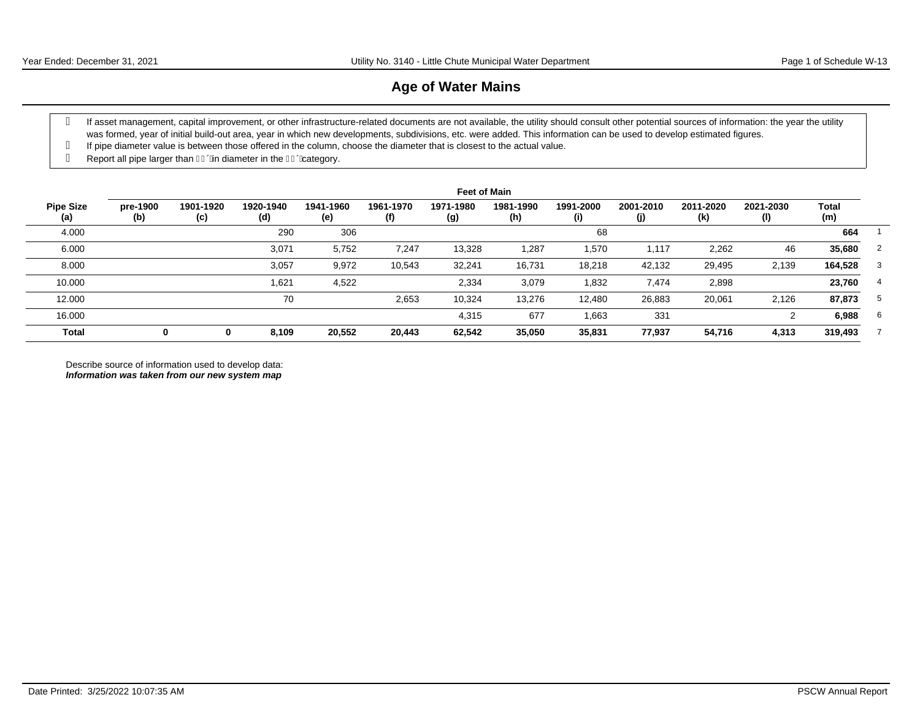#### **Age of Water Mains**

- g If asset management, capital improvement, or other infrastructure-related documents are not available, the utility should consult other potential sources of information: the year the utility was formed, year of initial build-out area, year in which new developments, subdivisions, etc. were added. This information can be used to develop estimated figures.
- If pipe diameter value is between those offered in the column, choose the diameter that is closest to the actual value.
- g Report all pipe larger than  $\overline{I}$  Giameter in the  $\overline{I}$  Giategory.

|                         |                 |                  |                  |                  |                  | <b>Feet of Main</b> |                  |                  |                  |                  |                  |              |    |
|-------------------------|-----------------|------------------|------------------|------------------|------------------|---------------------|------------------|------------------|------------------|------------------|------------------|--------------|----|
| <b>Pipe Size</b><br>(a) | pre-1900<br>(b) | 1901-1920<br>(c) | 1920-1940<br>(d) | 1941-1960<br>(e) | 1961-1970<br>(f) | 1971-1980<br>(g)    | 1981-1990<br>(h) | 1991-2000<br>(i) | 2001-2010<br>(j) | 2011-2020<br>(k) | 2021-2030<br>(1) | Total<br>(m) |    |
| 4.000                   |                 |                  | 290              | 306              |                  |                     |                  | 68               |                  |                  |                  | 664          |    |
| 6.000                   |                 |                  | 3,071            | 5,752            | 7,247            | 13,328              | 1,287            | 1,570            | 1,117            | 2,262            | 46               | 35,680       | 2  |
| 8.000                   |                 |                  | 3,057            | 9,972            | 10,543           | 32,241              | 16,731           | 18,218           | 42,132           | 29,495           | 2,139            | 164,528      | 3  |
| 10.000                  |                 |                  | 1,621            | 4,522            |                  | 2,334               | 3,079            | 1,832            | 7,474            | 2,898            |                  | 23,760       | 4  |
| 12.000                  |                 |                  | 70               |                  | 2,653            | 10,324              | 13,276           | 12,480           | 26,883           | 20,061           | 2,126            | 87,873       | 5  |
| 16.000                  |                 |                  |                  |                  |                  | 4,315               | 677              | 1,663            | 331              |                  |                  | 6,988        | -6 |
| <b>Total</b>            | 0               | 0                | 8,109            | 20,552           | 20,443           | 62,542              | 35,050           | 35,831           | 77,937           | 54,716           | 4,313            | 319,493      |    |

Describe source of information used to develop data: **Information was taken from our new system map**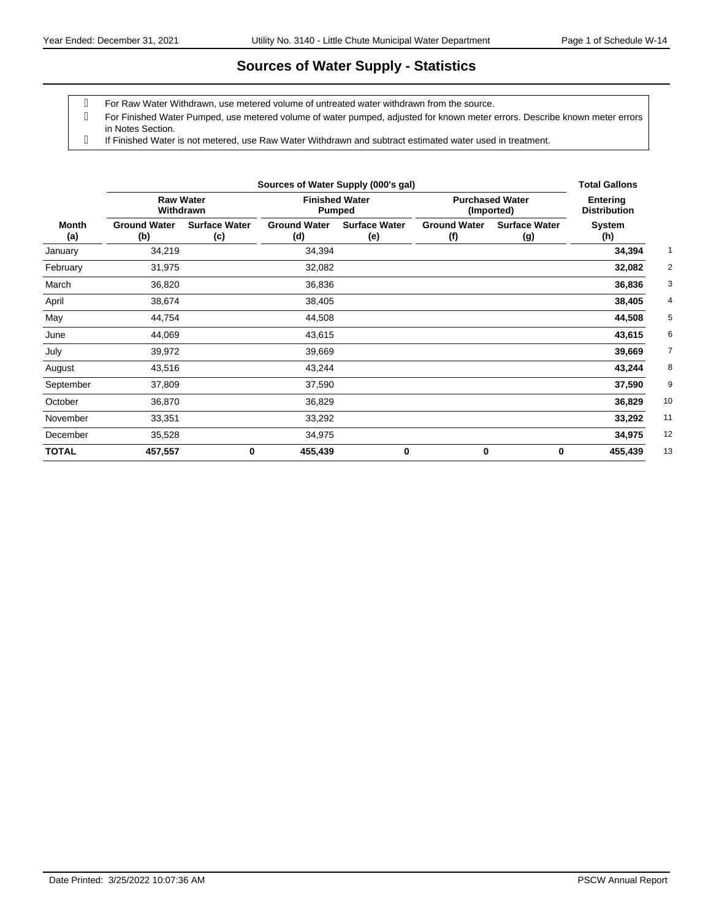## **Sources of Water Supply - Statistics**

For Raw Water Withdrawn, use metered volume of untreated water withdrawn from the source.

 For Finished Water Pumped, use metered volume of water pumped, adjusted for known meter errors. Describe known meter errors in Notes Section.

If Finished Water is not metered, use Raw Water Withdrawn and subtract estimated water used in treatment.

|              |                            | Sources of Water Supply (000's gal) | <b>Total Gallons</b>       |                                 |                            |                                      |                                        |
|--------------|----------------------------|-------------------------------------|----------------------------|---------------------------------|----------------------------|--------------------------------------|----------------------------------------|
|              | Withdrawn                  | <b>Raw Water</b>                    |                            | <b>Finished Water</b><br>Pumped |                            | <b>Purchased Water</b><br>(Imported) | <b>Entering</b><br><b>Distribution</b> |
| Month<br>(a) | <b>Ground Water</b><br>(b) | <b>Surface Water</b><br>(c)         | <b>Ground Water</b><br>(d) | <b>Surface Water</b><br>(e)     | <b>Ground Water</b><br>(f) | <b>Surface Water</b><br>(g)          | System<br>(h)                          |
| January      | 34,219                     |                                     | 34,394                     |                                 |                            |                                      | 34,394                                 |
| February     | 31,975                     |                                     | 32,082                     |                                 |                            |                                      | 32,082                                 |
| March        | 36,820                     |                                     | 36,836                     |                                 |                            |                                      | 36,836                                 |
| April        | 38,674                     |                                     | 38,405                     |                                 |                            |                                      | 38,405                                 |
| May          | 44,754                     |                                     | 44,508                     |                                 |                            |                                      | 44,508                                 |
| June         | 44,069                     |                                     | 43,615                     |                                 |                            |                                      | 43,615                                 |
| July         | 39,972                     |                                     | 39,669                     |                                 |                            |                                      | 39,669                                 |
| August       | 43,516                     |                                     | 43,244                     |                                 |                            |                                      | 43,244                                 |
| September    | 37,809                     |                                     | 37,590                     |                                 |                            |                                      | 37,590                                 |
| October      | 36,870                     |                                     | 36,829                     |                                 |                            |                                      | 10<br>36,829                           |
| November     | 33,351                     |                                     | 33,292                     |                                 |                            |                                      | 11<br>33,292                           |
| December     | 35,528                     |                                     | 34,975                     |                                 |                            |                                      | 12<br>34,975                           |
| <b>TOTAL</b> | 457,557                    | 0                                   | 455,439                    | 0                               | 0                          | 0                                    | 13<br>455,439                          |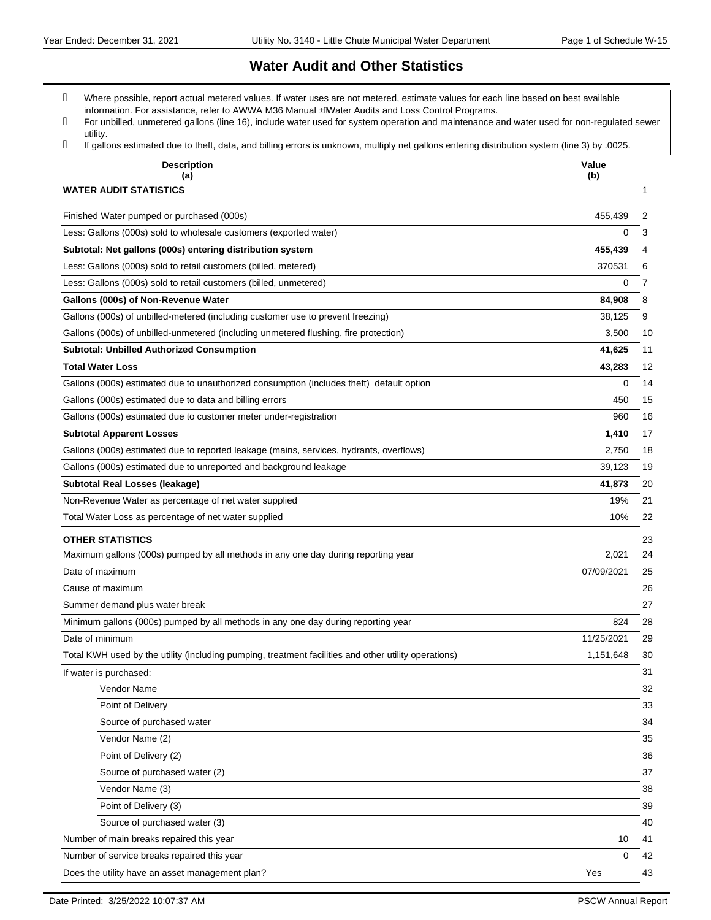#### **Water Audit and Other Statistics**

- Where possible, report actual metered values. If water uses are not metered, estimate values for each line based on best available information. For assistance, refer to AWWA M36 Manual . ÁVater Audits and Loss Control Programs.
- For unbilled, unmetered gallons (line 16), include water used for system operation and maintenance and water used for non-regulated sewer utility.
- If gallons estimated due to theft, data, and billing errors is unknown, multiply net gallons entering distribution system (line 3) by .0025.

| ii yalions estimated due to trient, data, and billing errors is unknown, multiply net yalions entering distribution system (line 3) by todzu.<br><b>Description</b><br>(a) | Value<br>(b) |    |
|----------------------------------------------------------------------------------------------------------------------------------------------------------------------------|--------------|----|
| <b>WATER AUDIT STATISTICS</b>                                                                                                                                              |              | 1  |
| Finished Water pumped or purchased (000s)                                                                                                                                  | 455,439      | 2  |
| Less: Gallons (000s) sold to wholesale customers (exported water)                                                                                                          | 0            | 3  |
| Subtotal: Net gallons (000s) entering distribution system                                                                                                                  | 455,439      | 4  |
| Less: Gallons (000s) sold to retail customers (billed, metered)                                                                                                            | 370531       | 6  |
| Less: Gallons (000s) sold to retail customers (billed, unmetered)                                                                                                          | 0            | 7  |
| Gallons (000s) of Non-Revenue Water                                                                                                                                        | 84,908       | 8  |
| Gallons (000s) of unbilled-metered (including customer use to prevent freezing)                                                                                            | 38,125       | 9  |
| Gallons (000s) of unbilled-unmetered (including unmetered flushing, fire protection)                                                                                       | 3,500        | 10 |
| <b>Subtotal: Unbilled Authorized Consumption</b>                                                                                                                           | 41,625       | 11 |
| <b>Total Water Loss</b>                                                                                                                                                    | 43,283       | 12 |
| Gallons (000s) estimated due to unauthorized consumption (includes theft) default option                                                                                   | 0            | 14 |
| Gallons (000s) estimated due to data and billing errors                                                                                                                    | 450          | 15 |
| Gallons (000s) estimated due to customer meter under-registration                                                                                                          | 960          | 16 |
| <b>Subtotal Apparent Losses</b>                                                                                                                                            | 1,410        | 17 |
| Gallons (000s) estimated due to reported leakage (mains, services, hydrants, overflows)                                                                                    | 2.750        | 18 |
| Gallons (000s) estimated due to unreported and background leakage                                                                                                          | 39,123       | 19 |
| <b>Subtotal Real Losses (leakage)</b>                                                                                                                                      | 41,873       | 20 |
| Non-Revenue Water as percentage of net water supplied                                                                                                                      | 19%          | 21 |
| Total Water Loss as percentage of net water supplied                                                                                                                       | 10%          | 22 |
| <b>OTHER STATISTICS</b>                                                                                                                                                    |              | 23 |
| Maximum gallons (000s) pumped by all methods in any one day during reporting year                                                                                          | 2,021        | 24 |
| Date of maximum                                                                                                                                                            | 07/09/2021   | 25 |
| Cause of maximum                                                                                                                                                           |              | 26 |
| Summer demand plus water break                                                                                                                                             |              | 27 |
| Minimum gallons (000s) pumped by all methods in any one day during reporting year                                                                                          | 824          | 28 |
| Date of minimum                                                                                                                                                            | 11/25/2021   | 29 |
| Total KWH used by the utility (including pumping, treatment facilities and other utility operations)                                                                       | 1,151,648    | 30 |
| If water is purchased:                                                                                                                                                     |              | 31 |
| Vendor Name                                                                                                                                                                |              | 32 |
| Point of Delivery                                                                                                                                                          |              | 33 |
| Source of purchased water                                                                                                                                                  |              | 34 |
| Vendor Name (2)                                                                                                                                                            |              | 35 |
| Point of Delivery (2)                                                                                                                                                      |              | 36 |
| Source of purchased water (2)                                                                                                                                              |              | 37 |
| Vendor Name (3)                                                                                                                                                            |              | 38 |
| Point of Delivery (3)                                                                                                                                                      |              | 39 |
| Source of purchased water (3)                                                                                                                                              |              | 40 |
| Number of main breaks repaired this year                                                                                                                                   | 10           | 41 |
| Number of service breaks repaired this year                                                                                                                                | 0            | 42 |
| Does the utility have an asset management plan?                                                                                                                            | Yes          | 43 |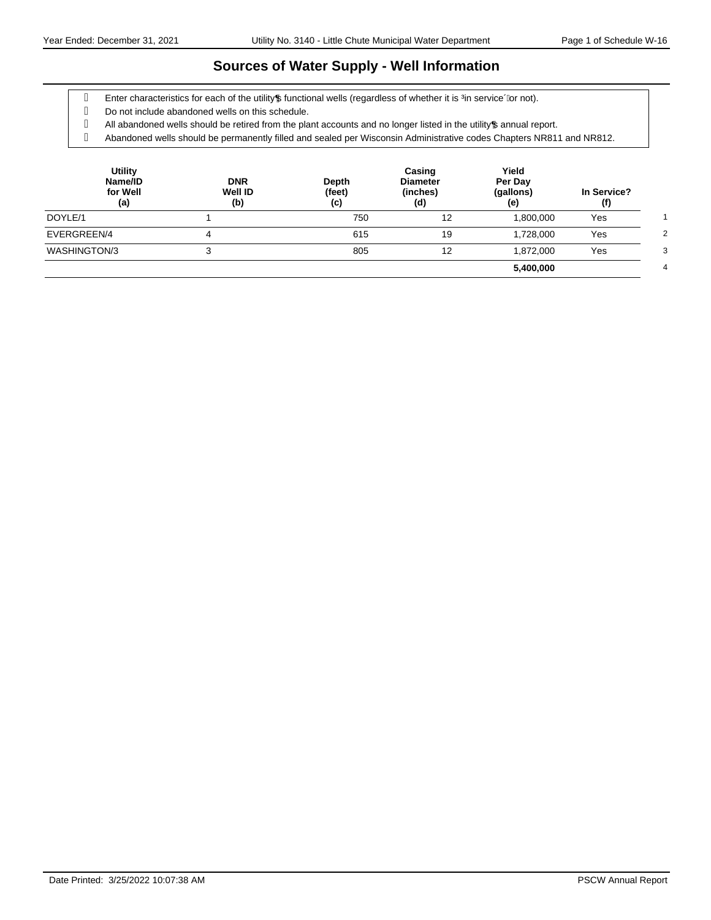## **Sources of Water Supply - Well Information**

- g Enter characteristics for each of the utility pfunctional wells (regardless of whether it is ‰ service+or not).
- Do not include abandoned wells on this schedule.
- g All abandoned wells should be retired from the plant accounts and no longer listed in the utility of annual report.

Abandoned wells should be permanently filled and sealed per Wisconsin Administrative codes Chapters NR811 and NR812.

| <b>Utility</b><br>Name/ID<br>for Well<br>(a) | <b>DNR</b><br><b>Well ID</b><br>(b) | Depth<br>(feet)<br>(c) | Casing<br><b>Diameter</b><br>(inches)<br>(d) | Yield<br>Per Day<br>(gallons)<br>(e) | In Service?<br>(f) |
|----------------------------------------------|-------------------------------------|------------------------|----------------------------------------------|--------------------------------------|--------------------|
| DOYLE/1                                      |                                     | 750                    | 12                                           | 1,800,000                            | Yes                |
| EVERGREEN/4                                  |                                     | 615                    | 19                                           | 1,728,000                            | Yes                |
| WASHINGTON/3                                 |                                     | 805                    | 12                                           | 1,872,000                            | Yes                |
|                                              |                                     |                        |                                              | 5,400,000                            |                    |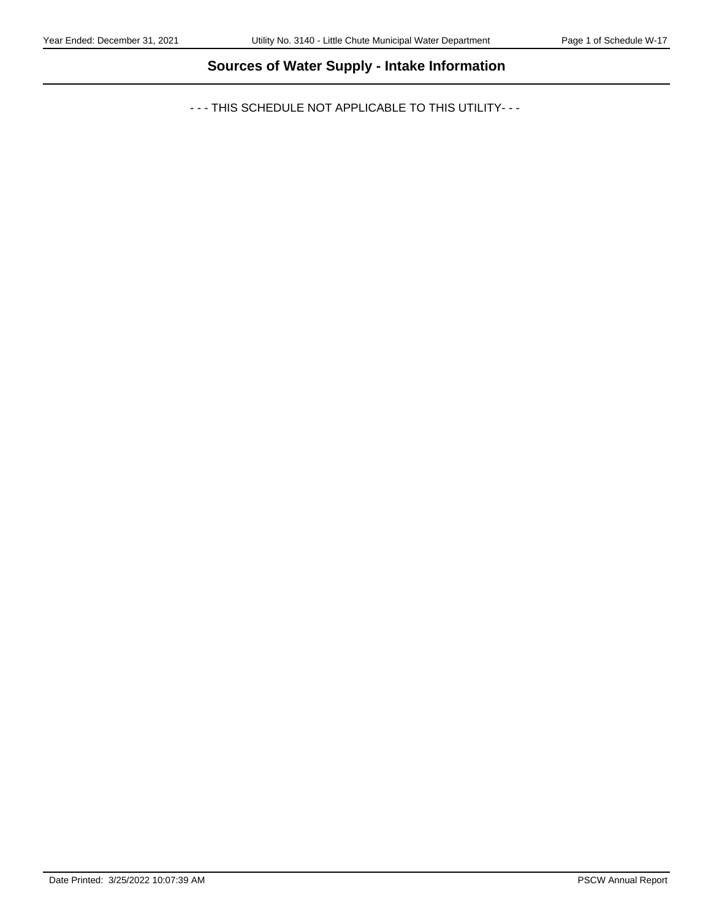# **Sources of Water Supply - Intake Information**

- - - THIS SCHEDULE NOT APPLICABLE TO THIS UTILITY- - -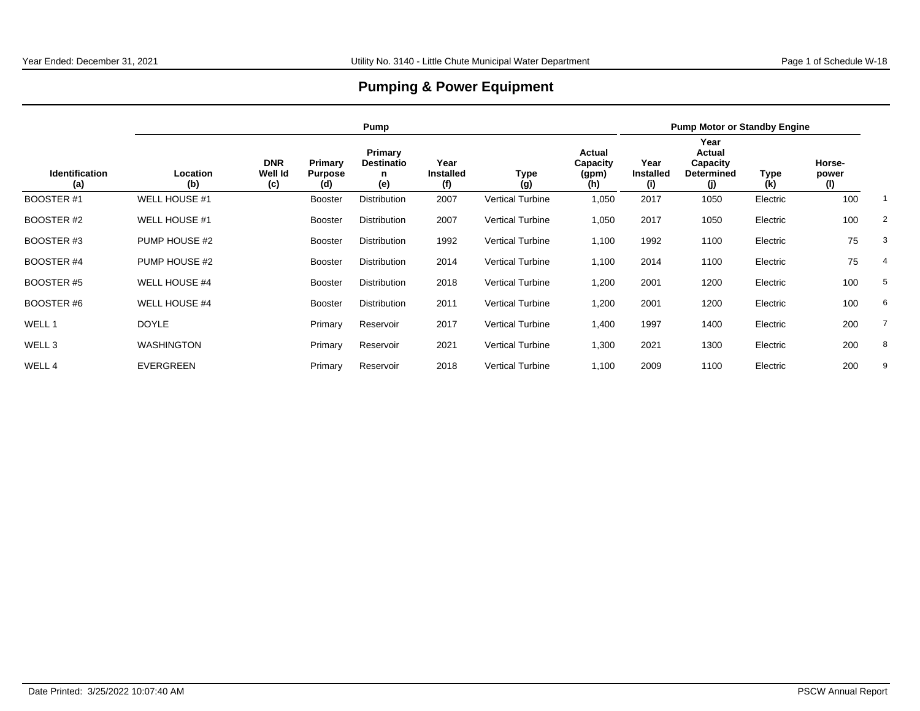# **Pumping & Power Equipment**

|                              |                   | Pump                         |                                  |                                          |                                 |                         |                                    |                                 | <b>Pump Motor or Standby Engine</b>                    |             |                        |                |  |
|------------------------------|-------------------|------------------------------|----------------------------------|------------------------------------------|---------------------------------|-------------------------|------------------------------------|---------------------------------|--------------------------------------------------------|-------------|------------------------|----------------|--|
| <b>Identification</b><br>(a) | Location<br>(b)   | <b>DNR</b><br>Well Id<br>(c) | Primary<br><b>Purpose</b><br>(d) | Primary<br><b>Destinatio</b><br>n<br>(e) | Year<br><b>Installed</b><br>(f) | Type<br>(g)             | Actual<br>Capacity<br>(gpm)<br>(h) | Year<br><b>Installed</b><br>(i) | Year<br>Actual<br>Capacity<br><b>Determined</b><br>(i) | Type<br>(k) | Horse-<br>power<br>(1) |                |  |
| <b>BOOSTER#1</b>             | WELL HOUSE #1     |                              | <b>Booster</b>                   | <b>Distribution</b>                      | 2007                            | Vertical Turbine        | 1,050                              | 2017                            | 1050                                                   | Electric    | 100                    |                |  |
| BOOSTER #2                   | WELL HOUSE #1     |                              | <b>Booster</b>                   | <b>Distribution</b>                      | 2007                            | <b>Vertical Turbine</b> | 1,050                              | 2017                            | 1050                                                   | Electric    | 100                    | $\overline{2}$ |  |
| BOOSTER #3                   | PUMP HOUSE #2     |                              | <b>Booster</b>                   | Distribution                             | 1992                            | <b>Vertical Turbine</b> | 1,100                              | 1992                            | 1100                                                   | Electric    | 75                     | 3              |  |
| <b>BOOSTER #4</b>            | PUMP HOUSE #2     |                              | <b>Booster</b>                   | <b>Distribution</b>                      | 2014                            | <b>Vertical Turbine</b> | 1,100                              | 2014                            | 1100                                                   | Electric    | 75                     |                |  |
| BOOSTER #5                   | WELL HOUSE #4     |                              | <b>Booster</b>                   | <b>Distribution</b>                      | 2018                            | <b>Vertical Turbine</b> | 1,200                              | 2001                            | 1200                                                   | Electric    | 100                    | 5              |  |
| BOOSTER #6                   | WELL HOUSE #4     |                              | <b>Booster</b>                   | <b>Distribution</b>                      | 2011                            | <b>Vertical Turbine</b> | 1,200                              | 2001                            | 1200                                                   | Electric    | 100                    | 6              |  |
| WELL 1                       | <b>DOYLE</b>      |                              | Primary                          | Reservoir                                | 2017                            | <b>Vertical Turbine</b> | 1,400                              | 1997                            | 1400                                                   | Electric    | 200                    |                |  |
| WELL 3                       | <b>WASHINGTON</b> |                              | Primary                          | Reservoir                                | 2021                            | Vertical Turbine        | 1,300                              | 2021                            | 1300                                                   | Electric    | 200                    | 8              |  |
| WELL 4                       | EVERGREEN         |                              | Primary                          | Reservoir                                | 2018                            | Vertical Turbine        | 1,100                              | 2009                            | 1100                                                   | Electric    | 200                    | 9              |  |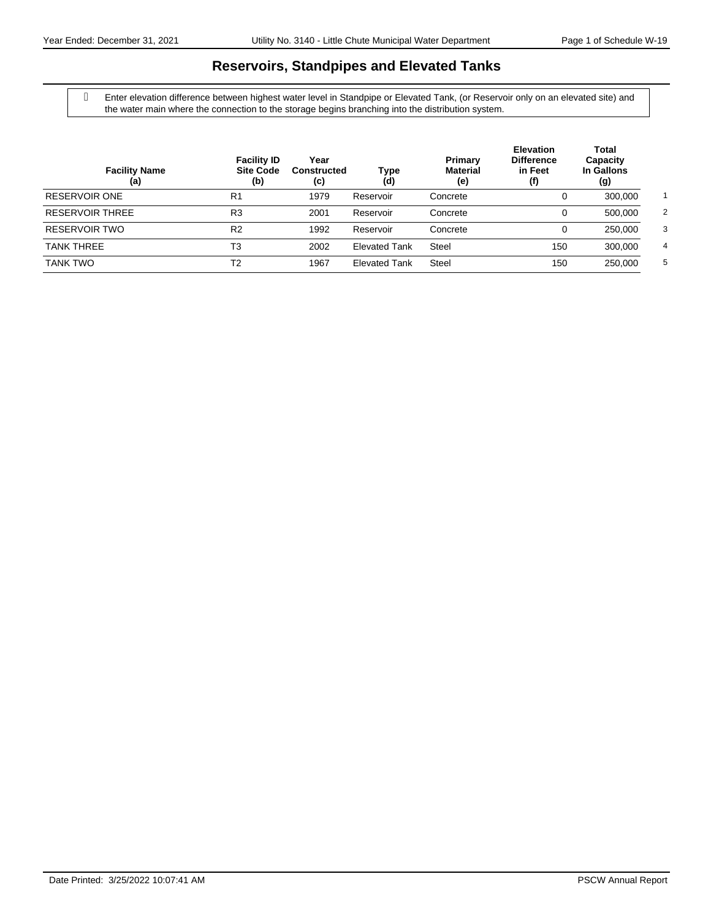## **Reservoirs, Standpipes and Elevated Tanks**

 Enter elevation difference between highest water level in Standpipe or Elevated Tank, (or Reservoir only on an elevated site) and the water main where the connection to the storage begins branching into the distribution system.

| <b>Facility Name</b><br>(a) | <b>Facility ID</b><br><b>Site Code</b><br>(b) | Year<br>Constructed<br>(c) | Type<br>(d)          | Primary<br><b>Material</b><br>(e) | <b>Elevation</b><br><b>Difference</b><br>in Feet<br>(f) | Total<br>Capacity<br>In Gallons<br>(g) |                |
|-----------------------------|-----------------------------------------------|----------------------------|----------------------|-----------------------------------|---------------------------------------------------------|----------------------------------------|----------------|
| RESERVOIR ONE               | R <sub>1</sub>                                | 1979                       | Reservoir            | Concrete                          |                                                         | 300,000                                |                |
| <b>RESERVOIR THREE</b>      | R <sub>3</sub>                                | 2001                       | Reservoir            | Concrete                          | 0                                                       | 500,000                                | $\overline{2}$ |
| RESERVOIR TWO               | R <sub>2</sub>                                | 1992                       | Reservoir            | Concrete                          | 0                                                       | 250,000                                | 3              |
| <b>TANK THREE</b>           | T3                                            | 2002                       | <b>Elevated Tank</b> | <b>Steel</b>                      | 150                                                     | 300.000                                | 4              |
| <b>TANK TWO</b>             | T2                                            | 1967                       | <b>Elevated Tank</b> | Steel                             | 150                                                     | 250,000                                | 5              |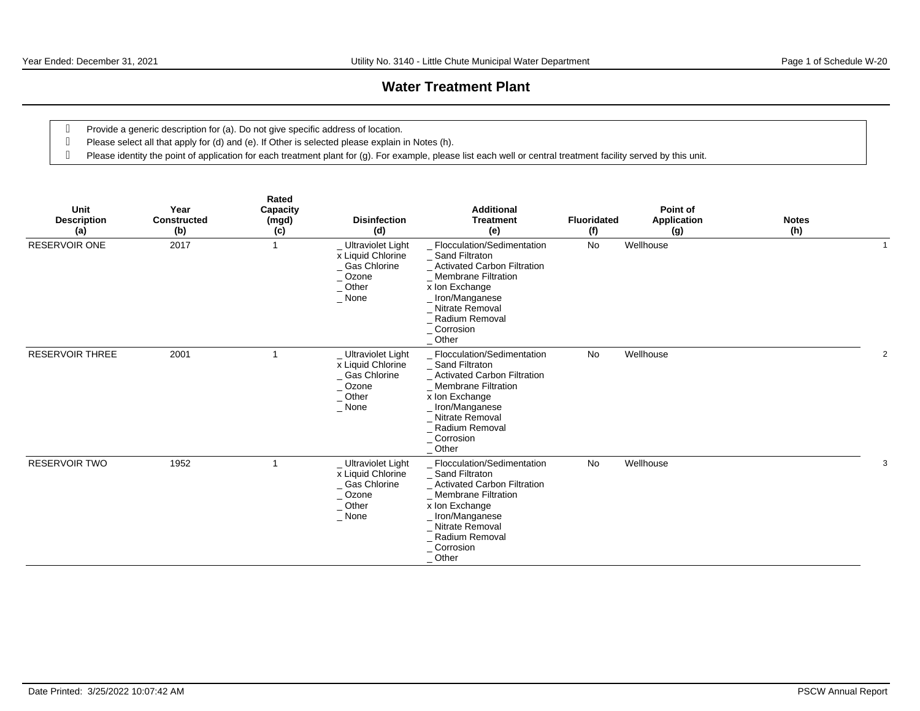## **Water Treatment Plant**

- Provide a generic description for (a). Do not give specific address of location.
- Please select all that apply for (d) and (e). If Other is selected please explain in Notes (h).
- Please identity the point of application for each treatment plant for (g). For example, please list each well or central treatment facility served by this unit.

| Unit<br><b>Description</b><br>(a) | Year<br><b>Constructed</b><br>(b) | Rated<br>Capacity<br>(mgd)<br>(c) | <b>Disinfection</b><br>(d)                                                                          | <b>Additional</b><br><b>Treatment</b><br>(e)                                                                                                                                                                                | <b>Fluoridated</b><br>(f) | Point of<br>Application<br>(g) | <b>Notes</b><br>(h) |  |
|-----------------------------------|-----------------------------------|-----------------------------------|-----------------------------------------------------------------------------------------------------|-----------------------------------------------------------------------------------------------------------------------------------------------------------------------------------------------------------------------------|---------------------------|--------------------------------|---------------------|--|
| RESERVOIR ONE                     | 2017                              | $\overline{1}$                    | _ Ultraviolet Light<br>x Liquid Chlorine<br>_ Gas Chlorine<br>_Ozone<br>Other<br>$\_$ None          | _ Flocculation/Sedimentation<br>_ Sand Filtraton<br>_ Activated Carbon Filtration<br><b>Membrane Filtration</b><br>x Ion Exchange<br>_Iron/Manganese<br>Nitrate Removal<br>_ Radium Removal<br>$\_$ Corrosion<br>$\_$ Other | No                        | Wellhouse                      |                     |  |
| <b>RESERVOIR THREE</b>            | 2001                              | -1                                | _ Ultraviolet Light<br>x Liquid Chlorine<br>_ Gas Chlorine<br>$\_$ Ozone<br>$\_$ Other<br>$\_$ None | Flocculation/Sedimentation<br>_ Sand Filtraton<br><b>Activated Carbon Filtration</b><br>_ Membrane Filtration<br>x Ion Exchange<br>_Iron/Manganese<br>Nitrate Removal<br>Radium Removal<br>_ Corrosion<br>$\_$ Other        | No                        | Wellhouse                      |                     |  |
| <b>RESERVOIR TWO</b>              | 1952                              | -1                                | _ Ultraviolet Light<br>x Liquid Chlorine<br>_ Gas Chlorine<br>$\_$ Ozone<br>$\_$ Other<br>$\_$ None | _ Flocculation/Sedimentation<br>_ Sand Filtraton<br>_ Activated Carbon Filtration<br><b>Membrane Filtration</b><br>x Ion Exchange<br>_Iron/Manganese<br>_ Nitrate Removal<br>Radium Removal<br>_ Corrosion<br>$\_$ Other    | No                        | Wellhouse                      |                     |  |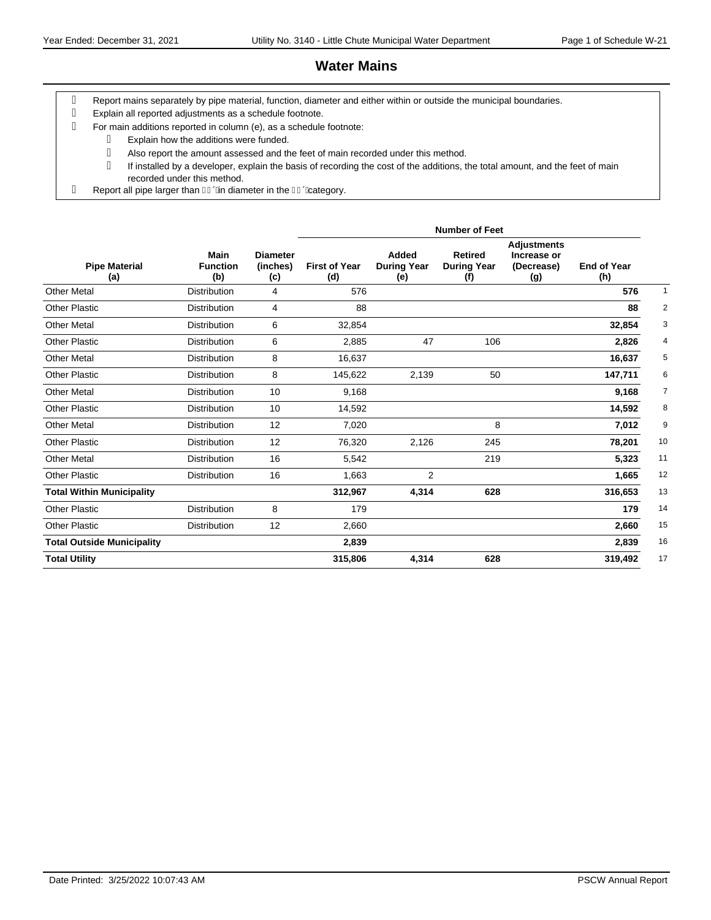# **Water Mains**

- Report mains separately by pipe material, function, diameter and either within or outside the municipal boundaries.
- Explain all reported adjustments as a schedule footnote.
- For main additions reported in column (e), as a schedule footnote:
- Explain how the additions were funded. Also report the amount assessed and the feet of main recorded under this method. If installed by a developer, explain the basis of recording the cost of the additions, the total amount, and the feet of main recorded under this method.
- g Report all pipe larger than  $\overline{\mathsf{I}}$  Given diameter in the  $\overline{\mathsf{I}}$  Given Given Given Bin

|                                   |                                |                                    | <b>Number of Feet</b>       |                                    |                                             |                                                        |                           |                |  |  |  |  |  |
|-----------------------------------|--------------------------------|------------------------------------|-----------------------------|------------------------------------|---------------------------------------------|--------------------------------------------------------|---------------------------|----------------|--|--|--|--|--|
| <b>Pipe Material</b><br>(a)       | Main<br><b>Function</b><br>(b) | <b>Diameter</b><br>(inches)<br>(c) | <b>First of Year</b><br>(d) | Added<br><b>During Year</b><br>(e) | <b>Retired</b><br><b>During Year</b><br>(f) | <b>Adjustments</b><br>Increase or<br>(Decrease)<br>(g) | <b>End of Year</b><br>(h) |                |  |  |  |  |  |
| <b>Other Metal</b>                | <b>Distribution</b>            | 4                                  | 576                         |                                    |                                             |                                                        | 576                       | $\mathbf{1}$   |  |  |  |  |  |
| Other Plastic                     | <b>Distribution</b>            | 4                                  | 88                          |                                    |                                             |                                                        | 88                        | $\overline{2}$ |  |  |  |  |  |
| <b>Other Metal</b>                | <b>Distribution</b>            | 6                                  | 32,854                      |                                    |                                             |                                                        | 32,854                    | 3              |  |  |  |  |  |
| <b>Other Plastic</b>              | <b>Distribution</b>            | 6                                  | 2,885                       | 47                                 | 106                                         |                                                        | 2,826                     | 4              |  |  |  |  |  |
| Other Metal                       | <b>Distribution</b>            | 8                                  | 16,637                      |                                    |                                             |                                                        | 16,637                    | 5              |  |  |  |  |  |
| <b>Other Plastic</b>              | <b>Distribution</b>            | 8                                  | 145,622                     | 2,139                              | 50                                          |                                                        | 147,711                   | 6              |  |  |  |  |  |
| <b>Other Metal</b>                | <b>Distribution</b>            | 10                                 | 9,168                       |                                    |                                             |                                                        | 9,168                     | 7              |  |  |  |  |  |
| <b>Other Plastic</b>              | <b>Distribution</b>            | 10                                 | 14,592                      |                                    |                                             |                                                        | 14,592                    | 8              |  |  |  |  |  |
| <b>Other Metal</b>                | <b>Distribution</b>            | 12                                 | 7,020                       |                                    | 8                                           |                                                        | 7,012                     | 9              |  |  |  |  |  |
| <b>Other Plastic</b>              | <b>Distribution</b>            | 12                                 | 76,320                      | 2,126                              | 245                                         |                                                        | 78,201                    | 10             |  |  |  |  |  |
| <b>Other Metal</b>                | <b>Distribution</b>            | 16                                 | 5,542                       |                                    | 219                                         |                                                        | 5,323                     | 11             |  |  |  |  |  |
| <b>Other Plastic</b>              | <b>Distribution</b>            | 16                                 | 1,663                       | $\overline{2}$                     |                                             |                                                        | 1,665                     | 12             |  |  |  |  |  |
| <b>Total Within Municipality</b>  |                                |                                    | 312,967                     | 4,314                              | 628                                         |                                                        | 316,653                   | 13             |  |  |  |  |  |
| <b>Other Plastic</b>              | <b>Distribution</b>            | 8                                  | 179                         |                                    |                                             |                                                        | 179                       | 14             |  |  |  |  |  |
| <b>Other Plastic</b>              | <b>Distribution</b>            | 12                                 | 2,660                       |                                    |                                             |                                                        | 2,660                     | 15             |  |  |  |  |  |
| <b>Total Outside Municipality</b> |                                |                                    | 2,839                       |                                    |                                             |                                                        | 2,839                     | 16             |  |  |  |  |  |
| <b>Total Utility</b>              |                                |                                    | 315,806                     | 4,314                              | 628                                         |                                                        | 319,492                   | 17             |  |  |  |  |  |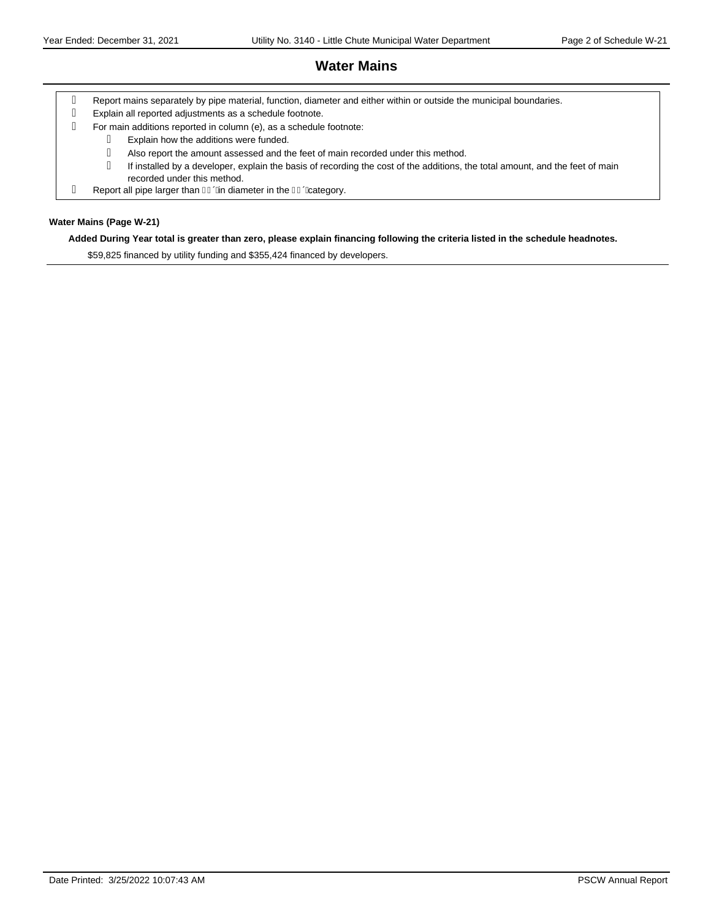# **Water Mains**

- Report mains separately by pipe material, function, diameter and either within or outside the municipal boundaries.
- Explain all reported adjustments as a schedule footnote.
- For main additions reported in column (e), as a schedule footnote:
- Explain how the additions were funded. Also report the amount assessed and the feet of main recorded under this method. If installed by a developer, explain the basis of recording the cost of the additions, the total amount, and the feet of main recorded under this method.
- g Report all pipe larger than  $\overline{\mathsf{I}}$  Given diameter in the  $\overline{\mathsf{I}}$  Given Given Given Bin

#### **Water Mains (Page W-21)**

#### **Added During Year total is greater than zero, please explain financing following the criteria listed in the schedule headnotes.**

\$59,825 financed by utility funding and \$355,424 financed by developers.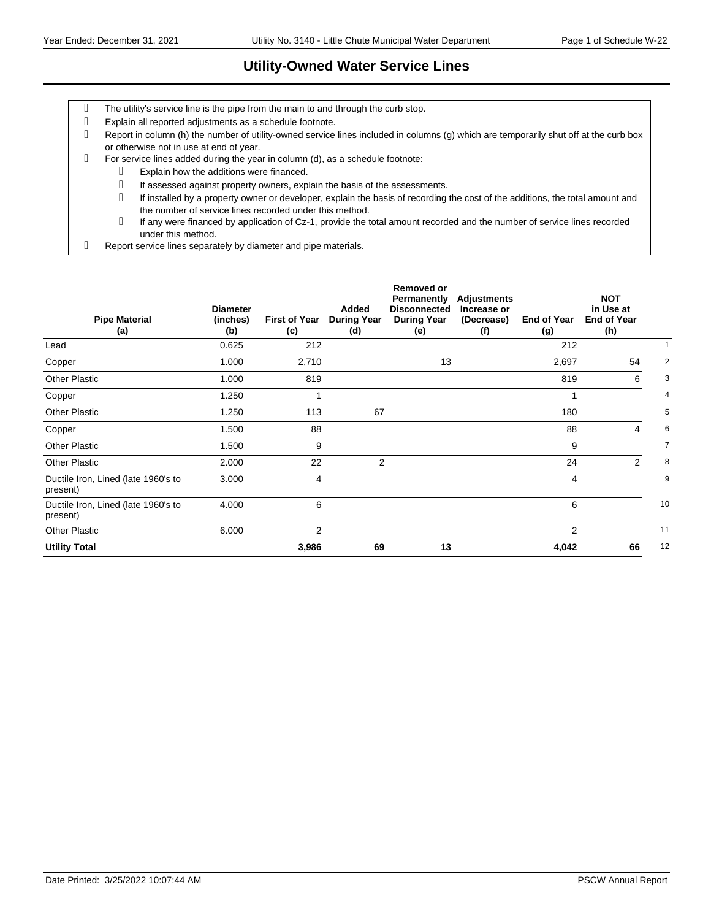## **Utility-Owned Water Service Lines**

- The utility's service line is the pipe from the main to and through the curb stop.
- Explain all reported adjustments as a schedule footnote.
- Report in column (h) the number of utility-owned service lines included in columns (g) which are temporarily shut off at the curb box or otherwise not in use at end of year.
- For service lines added during the year in column (d), as a schedule footnote:
	- Explain how the additions were financed.
		- If assessed against property owners, explain the basis of the assessments.
	- If installed by a property owner or developer, explain the basis of recording the cost of the additions, the total amount and the number of service lines recorded under this method.
	- If any were financed by application of Cz-1, provide the total amount recorded and the number of service lines recorded under this method.
- Report service lines separately by diameter and pipe materials.

| <b>Pipe Material</b><br>(a)                     | <b>Diameter</b><br>(inches)<br>(b) | <b>First of Year</b><br>(c) | Added<br><b>During Year</b><br>(d) | <b>Removed or</b><br>Permanently<br><b>Disconnected</b><br><b>During Year</b><br>(e) | <b>Adjustments</b><br>Increase or<br>(Decrease)<br>(f) | <b>End of Year</b><br>(g) | <b>NOT</b><br>in Use at<br><b>End of Year</b><br>(h) |                |
|-------------------------------------------------|------------------------------------|-----------------------------|------------------------------------|--------------------------------------------------------------------------------------|--------------------------------------------------------|---------------------------|------------------------------------------------------|----------------|
| Lead                                            | 0.625                              | 212                         |                                    |                                                                                      |                                                        | 212                       |                                                      |                |
| Copper                                          | 1.000                              | 2,710                       |                                    | 13                                                                                   |                                                        | 2,697                     | 54                                                   | $\overline{2}$ |
| <b>Other Plastic</b>                            | 1.000                              | 819                         |                                    |                                                                                      |                                                        | 819                       | 6                                                    | 3              |
| Copper                                          | 1.250                              |                             |                                    |                                                                                      |                                                        |                           |                                                      | 4              |
| <b>Other Plastic</b>                            | 1.250                              | 113                         | 67                                 |                                                                                      |                                                        | 180                       |                                                      | 5              |
| Copper                                          | 1.500                              | 88                          |                                    |                                                                                      |                                                        | 88                        | 4                                                    | 6              |
| <b>Other Plastic</b>                            | 1.500                              | 9                           |                                    |                                                                                      |                                                        | 9                         |                                                      | $\overline{7}$ |
| <b>Other Plastic</b>                            | 2.000                              | 22                          | 2                                  |                                                                                      |                                                        | 24                        | 2                                                    | 8              |
| Ductile Iron, Lined (late 1960's to<br>present) | 3.000                              | 4                           |                                    |                                                                                      |                                                        | 4                         |                                                      | 9              |
| Ductile Iron, Lined (late 1960's to<br>present) | 4.000                              | 6                           |                                    |                                                                                      |                                                        | 6                         |                                                      | 10             |
| <b>Other Plastic</b>                            | 6.000                              | 2                           |                                    |                                                                                      |                                                        | $\overline{2}$            |                                                      | 11             |
| <b>Utility Total</b>                            |                                    | 3,986                       | 69                                 | 13                                                                                   |                                                        | 4,042                     | 66                                                   | 12             |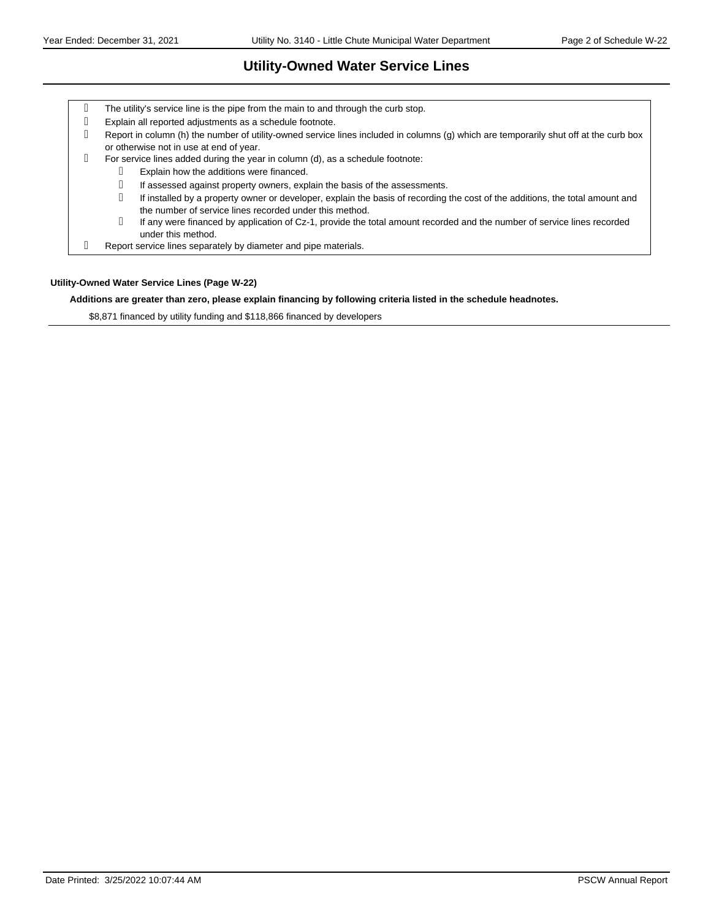## **Utility-Owned Water Service Lines**

| g | The utility's service line is the pipe from the main to and through the curb stop.                                                                                                       |
|---|------------------------------------------------------------------------------------------------------------------------------------------------------------------------------------------|
| q | Explain all reported adjustments as a schedule footnote.                                                                                                                                 |
| q | Report in column (h) the number of utility-owned service lines included in columns (g) which are temporarily shut off at the curb box<br>or otherwise not in use at end of year.         |
| q | For service lines added during the year in column (d), as a schedule footnote:                                                                                                           |
|   | Explain how the additions were financed.                                                                                                                                                 |
|   | If assessed against property owners, explain the basis of the assessments.                                                                                                               |
|   | If installed by a property owner or developer, explain the basis of recording the cost of the additions, the total amount and<br>the number of service lines recorded under this method. |
|   | If any were financed by application of Cz-1, provide the total amount recorded and the number of service lines recorded<br>under this method.                                            |
| q | Report service lines separately by diameter and pipe materials.                                                                                                                          |

#### **Utility-Owned Water Service Lines (Page W-22)**

#### **Additions are greater than zero, please explain financing by following criteria listed in the schedule headnotes.**

\$8,871 financed by utility funding and \$118,866 financed by developers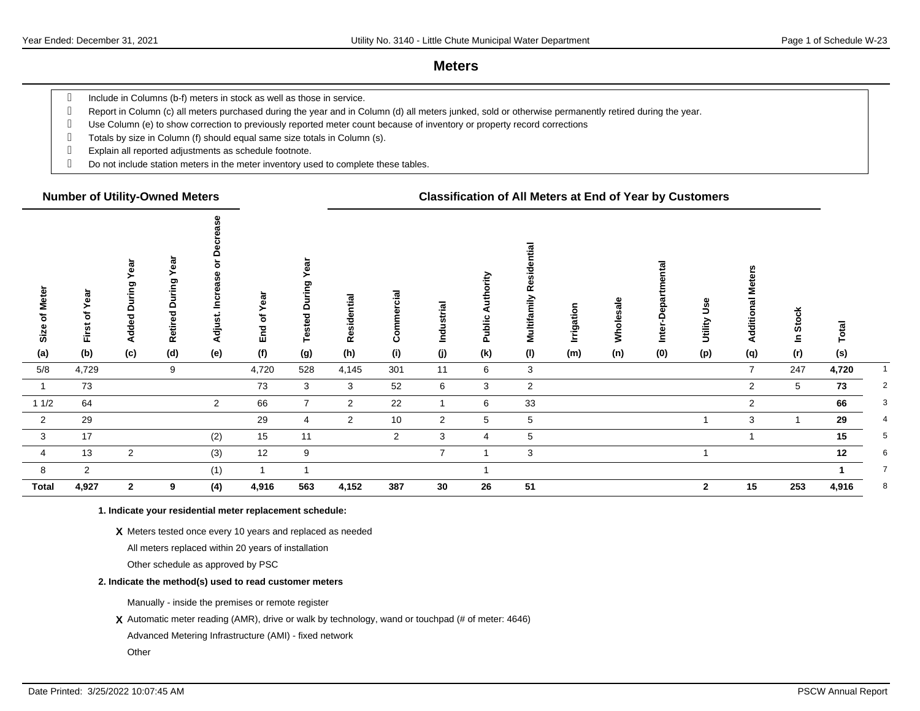#### **Meters**

g Include in Columns (b-f) meters in stock as well as those in service.

Report in Column (c) all meters purchased during the year and in Column (d) all meters junked, sold or otherwise permanently retired during the year.

- Use Column (e) to show correction to previously reported meter count because of inventory or property record corrections
- Totals by size in Column (f) should equal same size totals in Column (s).
- Explain all reported adjustments as schedule footnote.
- Do not include station meters in the meter inventory used to complete these tables.

#### **Number of Utility-Owned Meters Classification of All Meters at End of Year by Customers**

| Size of Meter  | Year<br>First of | Year<br>During<br>Added | ēā<br>ත<br>$\Omega$<br>$\overline{\mathbf{c}}$<br>Retire | $\circ$<br>ω<br>Ŵ,<br>æ<br>ၑ<br>ں<br>≘<br>Adjust. | ear<br>≻<br>đ<br>End | ear<br>During<br>Tested | Residential    | Commercial     | Industrial     | ority<br>Autho<br><b>Public</b> | Multifamily Residential | Irrigation | Wholesale | ó<br>᠍<br>$\Omega$<br>Inte | Jse<br>Utility | eters<br>Ź<br>Additional | In Stock        | Total |                |
|----------------|------------------|-------------------------|----------------------------------------------------------|---------------------------------------------------|----------------------|-------------------------|----------------|----------------|----------------|---------------------------------|-------------------------|------------|-----------|----------------------------|----------------|--------------------------|-----------------|-------|----------------|
| (a)            | (b)              | (c)                     | (d)                                                      | (e)                                               | (f)                  | (g)                     | (h)            | (i)            | (j)            | (k)                             | (1)                     | (m)        | (n)       | (0)                        | (p)            | (q)                      | (r)             | (s)   |                |
| 5/8            | 4,729            |                         | 9                                                        |                                                   | 4,720                | 528                     | 4,145          | 301            | 11             | 6                               | $\mathbf{3}$            |            |           |                            |                | $\overline{7}$           | 247             | 4,720 |                |
|                | 73               |                         |                                                          |                                                   | 73                   | 3                       | 3              | 52             | 6              | 3                               | $\overline{2}$          |            |           |                            |                | $\overline{2}$           | $5\overline{5}$ | 73    | $\overline{2}$ |
| 11/2           | 64               |                         |                                                          | $\overline{2}$                                    | 66                   | $\overline{7}$          | $\overline{2}$ | 22             |                | 6                               | 33                      |            |           |                            |                | $\overline{2}$           |                 | 66    | 3              |
| $\overline{2}$ | 29               |                         |                                                          |                                                   | 29                   | 4                       | 2              | 10             | $\overline{2}$ | 5                               | 5                       |            |           |                            |                | 3                        |                 | 29    | 4              |
| $\mathbf{3}$   | 17               |                         |                                                          | (2)                                               | 15                   | 11                      |                | $\overline{2}$ | 3              | 4                               | 5                       |            |           |                            |                |                          |                 | 15    | 5              |
| $\overline{4}$ | 13               | $\overline{2}$          |                                                          | (3)                                               | 12                   | 9                       |                |                | $\overline{7}$ | 1                               | 3                       |            |           |                            |                |                          |                 | 12    | 6              |
| 8              | $\overline{2}$   |                         |                                                          | (1)                                               |                      |                         |                |                |                |                                 |                         |            |           |                            |                |                          |                 |       | $\overline{7}$ |
| <b>Total</b>   | 4,927            | $\mathbf{2}$            | 9                                                        | (4)                                               | 4,916                | 563                     | 4,152          | 387            | 30             | 26                              | 51                      |            |           |                            | $\mathbf{2}$   | 15                       | 253             | 4,916 | 8              |

#### **1. Indicate your residential meter replacement schedule:**

#### **X** Meters tested once every 10 years and replaced as needed

All meters replaced within 20 years of installation

Other schedule as approved by PSC

#### **2. Indicate the method(s) used to read customer meters**

Manually - inside the premises or remote register

**X** Automatic meter reading (AMR), drive or walk by technology, wand or touchpad (# of meter: 4646)

Advanced Metering Infrastructure (AMI) - fixed network

**Other**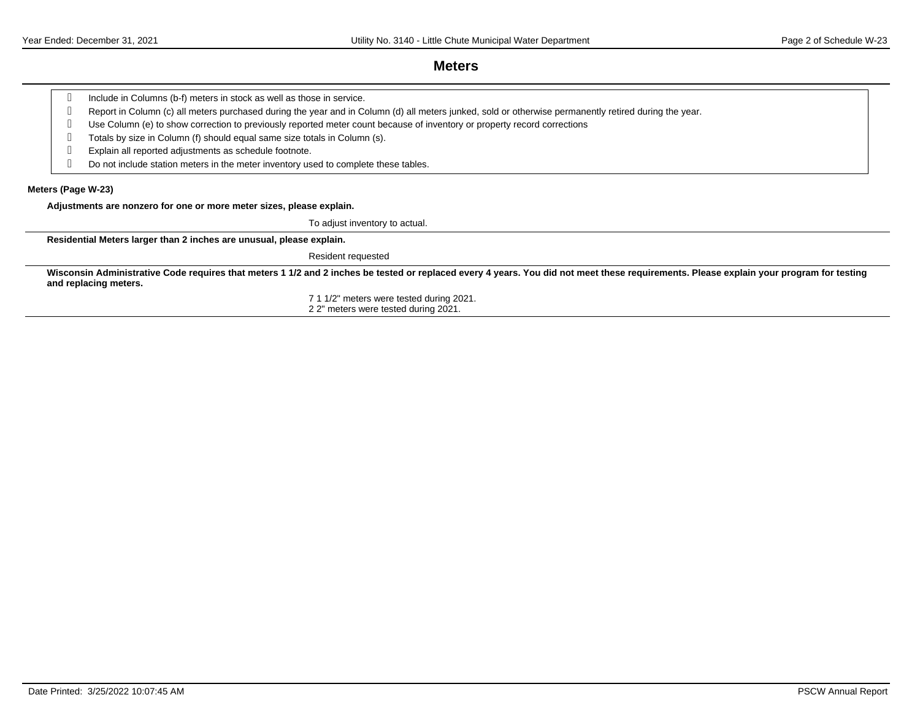#### **Meters**

Report in Column (c) all meters purchased during the year and in Column (d) all meters junked, sold or otherwise permanently retired during the year.

Use Column (e) to show correction to previously reported meter count because of inventory or property record corrections

Totals by size in Column (f) should equal same size totals in Column (s).

Explain all reported adjustments as schedule footnote.

Do not include station meters in the meter inventory used to complete these tables.

#### **Meters (Page W-23)**

**Adjustments are nonzero for one or more meter sizes, please explain.**

To adjust inventory to actual.

**Residential Meters larger than 2 inches are unusual, please explain.**

Resident requested

Wisconsin Administrative Code requires that meters 1 1/2 and 2 inches be tested or replaced every 4 years. You did not meet these requirements. Please explain your program for testing **and replacing meters.**

> 7 1 1/2" meters were tested during 2021. 2 2" meters were tested during 2021.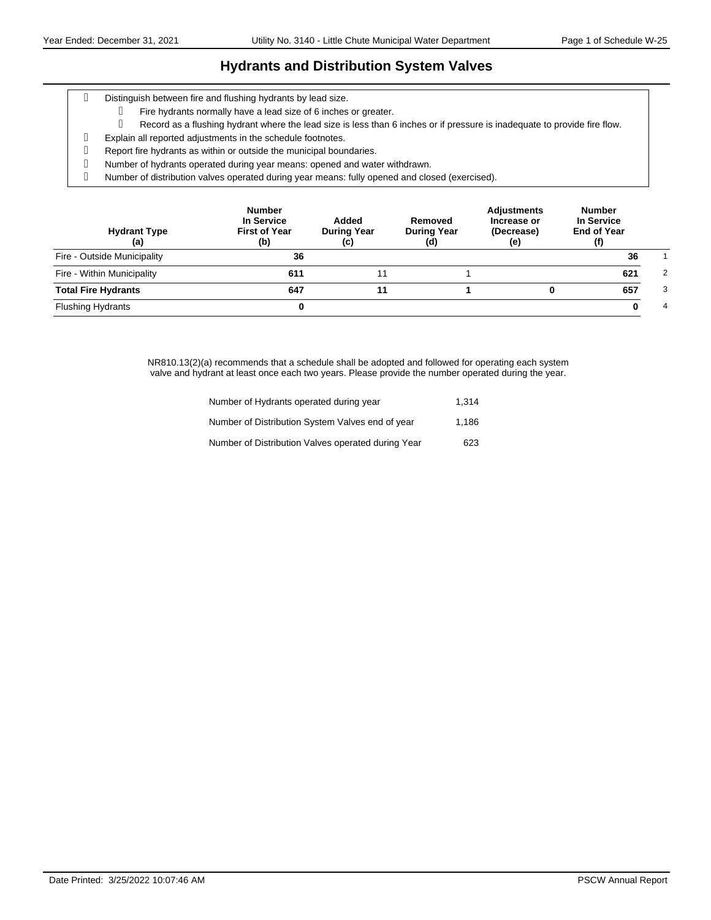### **Hydrants and Distribution System Valves**

- Distinguish between fire and flushing hydrants by lead size.
	- Fire hydrants normally have a lead size of 6 inches or greater.
		- Record as a flushing hydrant where the lead size is less than 6 inches or if pressure is inadequate to provide fire flow.
- Explain all reported adjustments in the schedule footnotes.
- Report fire hydrants as within or outside the municipal boundaries.
- Number of hydrants operated during year means: opened and water withdrawn.
- Number of distribution valves operated during year means: fully opened and closed (exercised).

| <b>Hydrant Type</b><br>(a)  | <b>Number</b><br>In Service<br><b>First of Year</b><br>(b) | Added<br><b>During Year</b><br>(c) | Removed<br><b>During Year</b><br>(d) | <b>Adjustments</b><br>Increase or<br>(Decrease)<br>(e) | <b>Number</b><br>In Service<br><b>End of Year</b> |   |
|-----------------------------|------------------------------------------------------------|------------------------------------|--------------------------------------|--------------------------------------------------------|---------------------------------------------------|---|
| Fire - Outside Municipality | 36                                                         |                                    |                                      |                                                        | 36                                                |   |
| Fire - Within Municipality  | 611                                                        | 11                                 |                                      |                                                        | 621                                               | 2 |
| <b>Total Fire Hydrants</b>  | 647                                                        |                                    |                                      |                                                        | 657                                               | 3 |
| <b>Flushing Hydrants</b>    |                                                            |                                    |                                      |                                                        |                                                   | 4 |

NR810.13(2)(a) recommends that a schedule shall be adopted and followed for operating each system valve and hydrant at least once each two years. Please provide the number operated during the year.

| Number of Hydrants operated during year            | 1.314 |
|----------------------------------------------------|-------|
| Number of Distribution System Valves end of year   | 1.186 |
| Number of Distribution Valves operated during Year | 623   |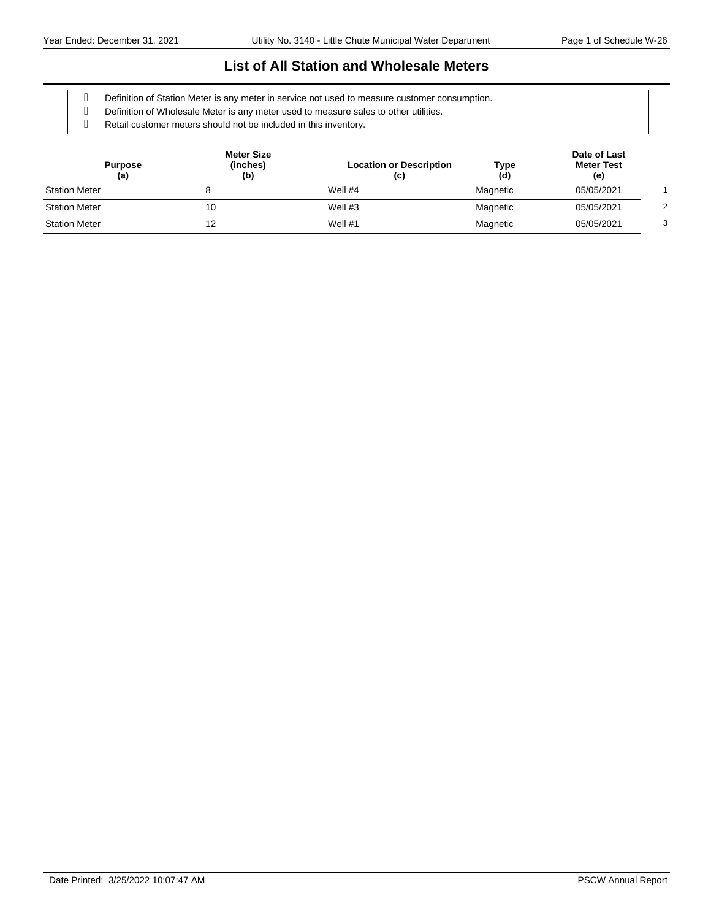#### **List of All Station and Wholesale Meters**

Definition of Station Meter is any meter in service not used to measure customer consumption.

- Definition of Wholesale Meter is any meter used to measure sales to other utilities.
- Retail customer meters should not be included in this inventory.

| <b>Purpose</b><br>(a) | <b>Meter Size</b><br>(inches)<br>(b) | <b>Location or Description</b><br>(c) | Type<br>(d) | Date of Last<br><b>Meter Test</b><br>(e) |   |
|-----------------------|--------------------------------------|---------------------------------------|-------------|------------------------------------------|---|
| <b>Station Meter</b>  |                                      | Well #4                               | Magnetic    | 05/05/2021                               |   |
| <b>Station Meter</b>  | 10                                   | Well $#3$                             | Magnetic    | 05/05/2021                               |   |
| <b>Station Meter</b>  | 12                                   | Well $#1$                             | Magnetic    | 05/05/2021                               | з |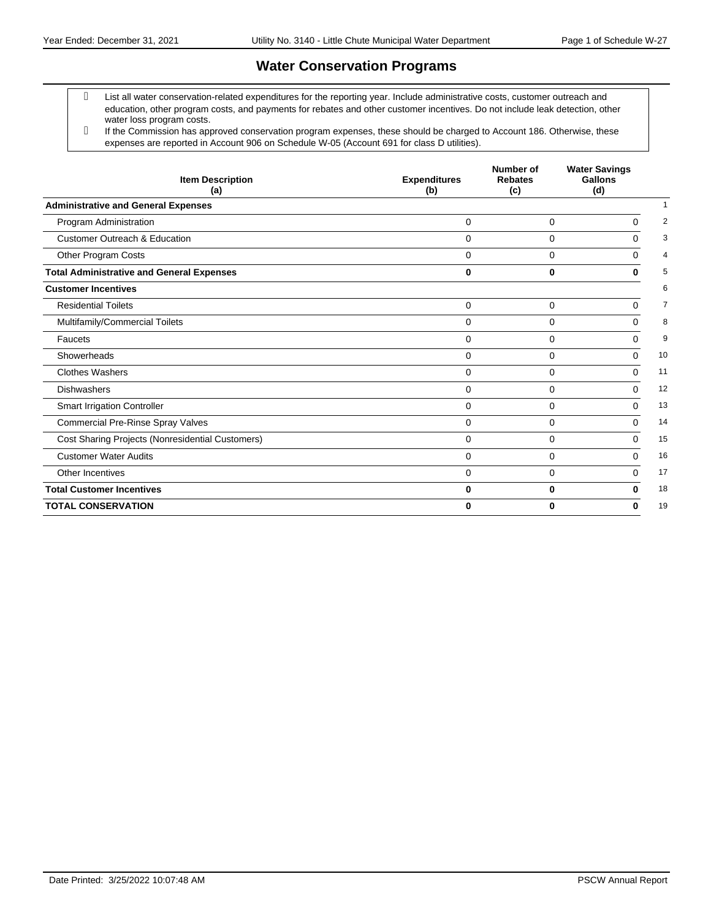# **Water Conservation Programs**

- List all water conservation-related expenditures for the reporting year. Include administrative costs, customer outreach and education, other program costs, and payments for rebates and other customer incentives. Do not include leak detection, other water loss program costs.
- If the Commission has approved conservation program expenses, these should be charged to Account 186. Otherwise, these expenses are reported in Account 906 on Schedule W-05 (Account 691 for class D utilities).

| <b>Item Description</b><br>(a)                   | <b>Expenditures</b><br>(b) | Number of<br><b>Rebates</b><br>(c) | <b>Water Savings</b><br>Gallons<br>(d) |    |
|--------------------------------------------------|----------------------------|------------------------------------|----------------------------------------|----|
| <b>Administrative and General Expenses</b>       |                            |                                    |                                        |    |
| Program Administration                           | $\Omega$                   | $\Omega$                           | $\Omega$                               | 2  |
| <b>Customer Outreach &amp; Education</b>         | $\Omega$                   | $\Omega$                           | $\Omega$                               | 3  |
| Other Program Costs                              | $\Omega$                   | 0                                  | $\Omega$                               | 4  |
| <b>Total Administrative and General Expenses</b> | $\bf{0}$                   | $\bf{0}$                           | O                                      | 5  |
| <b>Customer Incentives</b>                       |                            |                                    |                                        | 6  |
| <b>Residential Toilets</b>                       | 0                          | 0                                  | $\Omega$                               | 7  |
| Multifamily/Commercial Toilets                   | $\Omega$                   | 0                                  | $\Omega$                               | 8  |
| Faucets                                          | $\Omega$                   | $\Omega$                           | $\Omega$                               | 9  |
| Showerheads                                      | $\Omega$                   | $\Omega$                           | $\Omega$                               | 10 |
| <b>Clothes Washers</b>                           | $\Omega$                   | $\Omega$                           | $\Omega$                               | 11 |
| <b>Dishwashers</b>                               | $\Omega$                   | $\Omega$                           | $\Omega$                               | 12 |
| <b>Smart Irrigation Controller</b>               | $\Omega$                   | $\mathbf 0$                        | $\Omega$                               | 13 |
| <b>Commercial Pre-Rinse Spray Valves</b>         | $\Omega$                   | 0                                  | $\Omega$                               | 14 |
| Cost Sharing Projects (Nonresidential Customers) | $\Omega$                   | $\Omega$                           | $\Omega$                               | 15 |
| <b>Customer Water Audits</b>                     | $\Omega$                   | $\Omega$                           | $\Omega$                               | 16 |
| Other Incentives                                 | $\Omega$                   | $\Omega$                           | $\Omega$                               | 17 |
| <b>Total Customer Incentives</b>                 | $\bf{0}$                   | 0                                  | 0                                      | 18 |
| <b>TOTAL CONSERVATION</b>                        | 0                          | $\bf{0}$                           | 0                                      | 19 |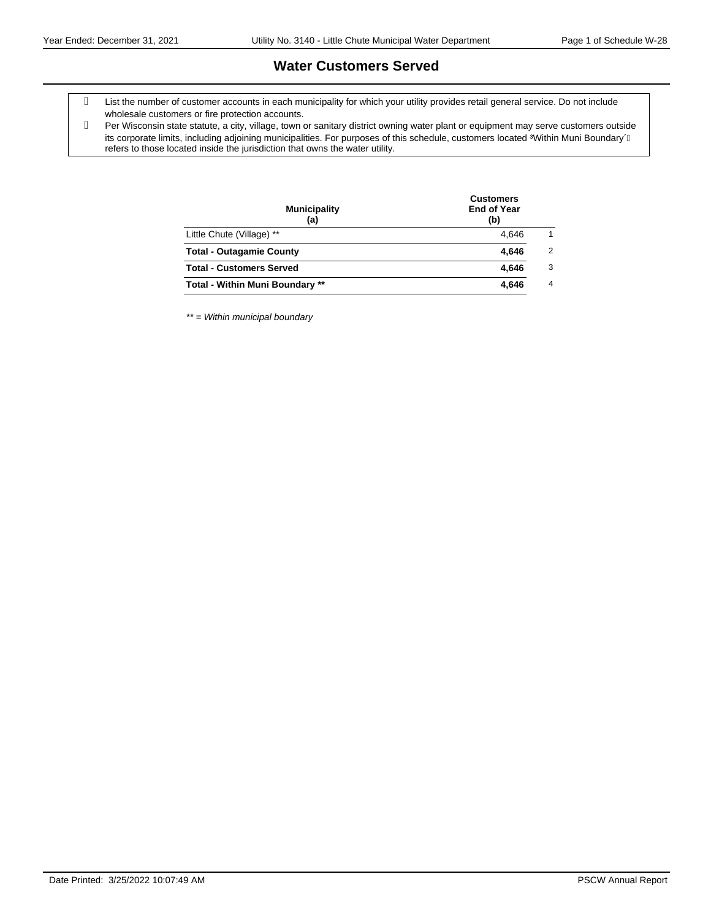### **Water Customers Served**

- List the number of customer accounts in each municipality for which your utility provides retail general service. Do not include wholesale customers or fire protection accounts.
- Per Wisconsin state statute, a city, village, town or sanitary district owning water plant or equipment may serve customers outside its corporate limits, including adjoining municipalities. For purposes of this schedule, customers located %Within Muni Boundary $\acute{+}$ refers to those located inside the jurisdiction that owns the water utility.

| <b>End of Year</b><br>(b) |                |
|---------------------------|----------------|
| 4.646                     | 1              |
| 4.646                     | $\overline{2}$ |
| 4.646                     | 3              |
| 4.646                     | $\overline{4}$ |
|                           |                |

\*\* = Within municipal boundary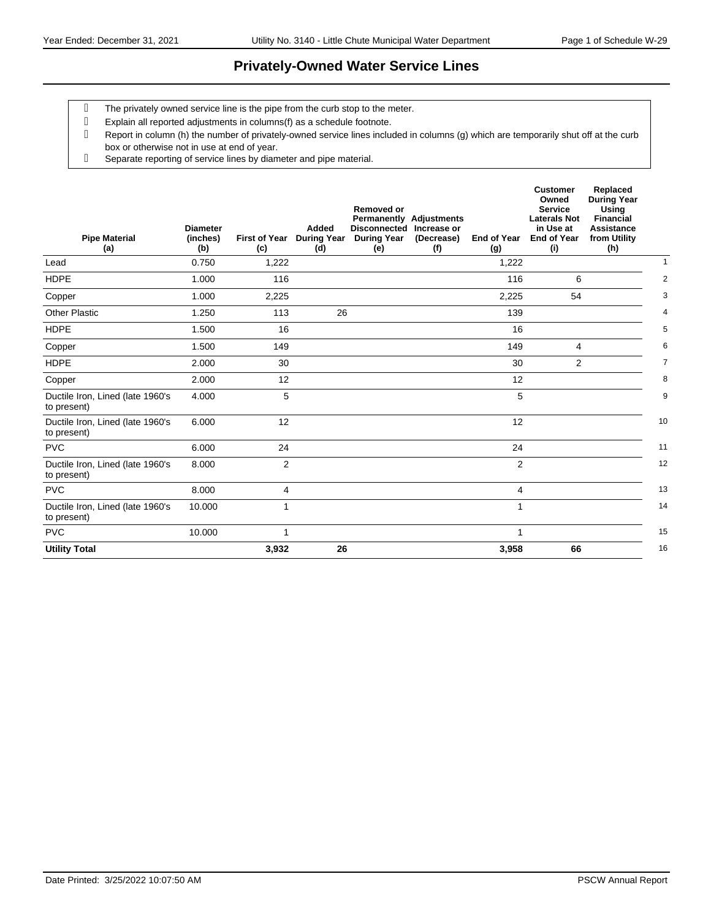## **Privately-Owned Water Service Lines**

- The privately owned service line is the pipe from the curb stop to the meter.
- Explain all reported adjustments in columns(f) as a schedule footnote.
- Report in column (h) the number of privately-owned service lines included in columns (g) which are temporarily shut off at the curb box or otherwise not in use at end of year.
- Separate reporting of service lines by diameter and pipe material.

| <b>Pipe Material</b><br>(a)                     | <b>Diameter</b><br>(inches)<br>(b) | <b>First of Year</b><br>(c) | Added<br>(d) | <b>Removed or</b><br><b>Disconnected</b><br>During Year During Year<br>(e) | <b>Permanently Adjustments</b><br>Increase or<br>(Decrease)<br>(f) | <b>End of Year</b><br>(g) | <b>Customer</b><br>Owned<br><b>Service</b><br><b>Laterals Not</b><br>in Use at<br><b>End of Year</b><br>(i) | Replaced<br><b>During Year</b><br>Using<br><b>Financial</b><br><b>Assistance</b><br>from Utility<br>(h) |                |
|-------------------------------------------------|------------------------------------|-----------------------------|--------------|----------------------------------------------------------------------------|--------------------------------------------------------------------|---------------------------|-------------------------------------------------------------------------------------------------------------|---------------------------------------------------------------------------------------------------------|----------------|
| Lead                                            | 0.750                              | 1,222                       |              |                                                                            |                                                                    | 1,222                     |                                                                                                             |                                                                                                         | $\mathbf{1}$   |
| <b>HDPE</b>                                     | 1.000                              | 116                         |              |                                                                            |                                                                    | 116                       | 6                                                                                                           |                                                                                                         | $\overline{2}$ |
| Copper                                          | 1.000                              | 2,225                       |              |                                                                            |                                                                    | 2,225                     | 54                                                                                                          |                                                                                                         | 3              |
| <b>Other Plastic</b>                            | 1.250                              | 113                         | 26           |                                                                            |                                                                    | 139                       |                                                                                                             |                                                                                                         | 4              |
| <b>HDPE</b>                                     | 1.500                              | 16                          |              |                                                                            |                                                                    | 16                        |                                                                                                             |                                                                                                         | 5              |
| Copper                                          | 1.500                              | 149                         |              |                                                                            |                                                                    | 149                       | 4                                                                                                           |                                                                                                         | 6              |
| <b>HDPE</b>                                     | 2.000                              | 30                          |              |                                                                            |                                                                    | 30                        | 2                                                                                                           |                                                                                                         | $\overline{7}$ |
| Copper                                          | 2.000                              | 12                          |              |                                                                            |                                                                    | 12                        |                                                                                                             |                                                                                                         | 8              |
| Ductile Iron, Lined (late 1960's<br>to present) | 4.000                              | 5                           |              |                                                                            |                                                                    | 5                         |                                                                                                             |                                                                                                         | 9              |
| Ductile Iron, Lined (late 1960's<br>to present) | 6.000                              | 12                          |              |                                                                            |                                                                    | 12                        |                                                                                                             |                                                                                                         | 10             |
| <b>PVC</b>                                      | 6.000                              | 24                          |              |                                                                            |                                                                    | 24                        |                                                                                                             |                                                                                                         | 11             |
| Ductile Iron, Lined (late 1960's<br>to present) | 8.000                              | $\overline{2}$              |              |                                                                            |                                                                    | $\overline{2}$            |                                                                                                             |                                                                                                         | 12             |
| <b>PVC</b>                                      | 8.000                              | 4                           |              |                                                                            |                                                                    | 4                         |                                                                                                             |                                                                                                         | 13             |
| Ductile Iron, Lined (late 1960's<br>to present) | 10.000                             | $\mathbf{1}$                |              |                                                                            |                                                                    | 1                         |                                                                                                             |                                                                                                         | 14             |
| <b>PVC</b>                                      | 10.000                             | 1                           |              |                                                                            |                                                                    | 1                         |                                                                                                             |                                                                                                         | 15             |
| <b>Utility Total</b>                            |                                    | 3,932                       | 26           |                                                                            |                                                                    | 3,958                     | 66                                                                                                          |                                                                                                         | 16             |